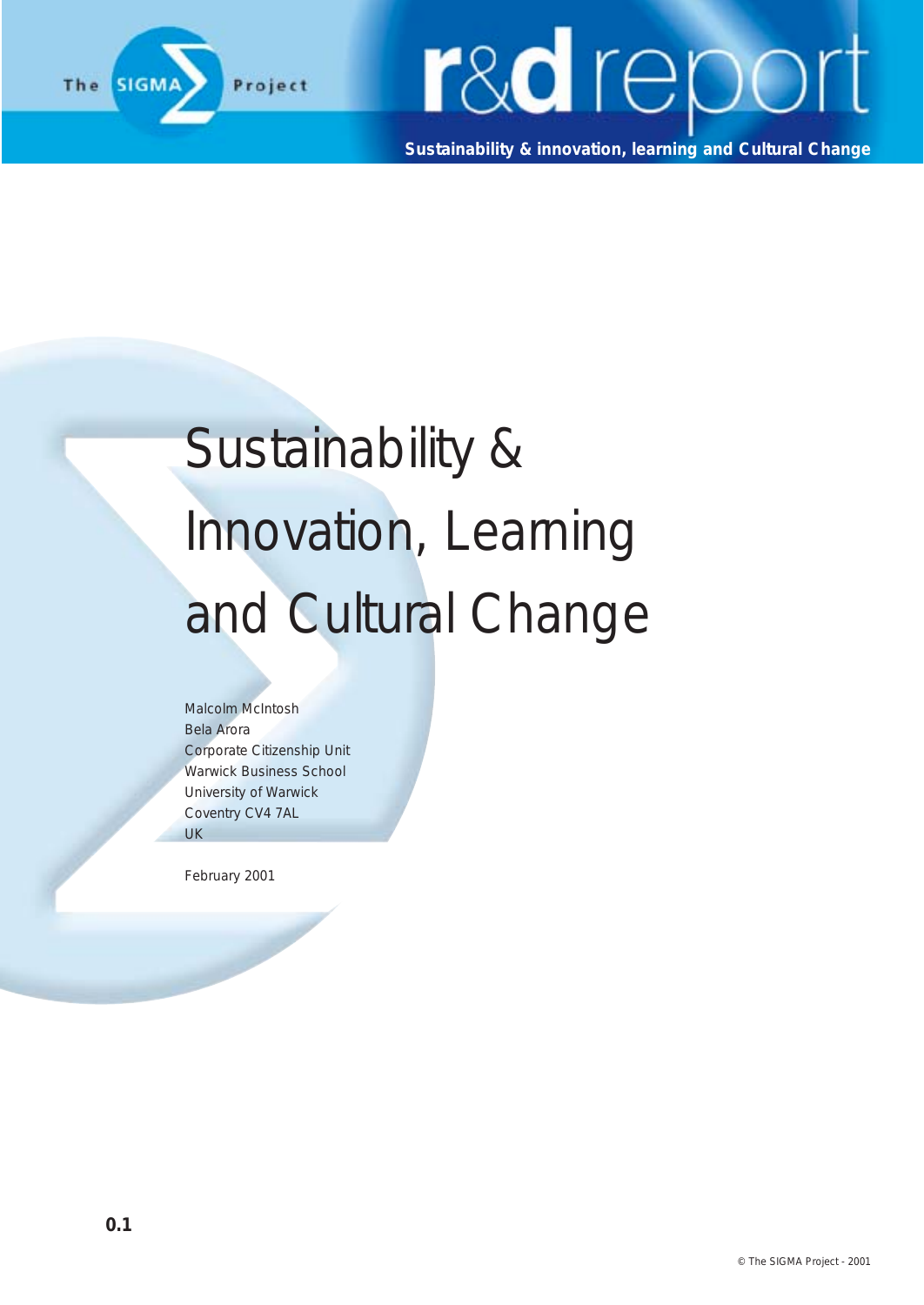

**Sustainability & innovation, learning and Cultural Change**

### Sustainability & Innovation, Learning and Cultural Change

Malcolm McIntosh Bela Arora Corporate Citizenship Unit Warwick Business School University of Warwick Coventry CV4 7AL UK

**Contract Contract Contract Contract** 

February 2001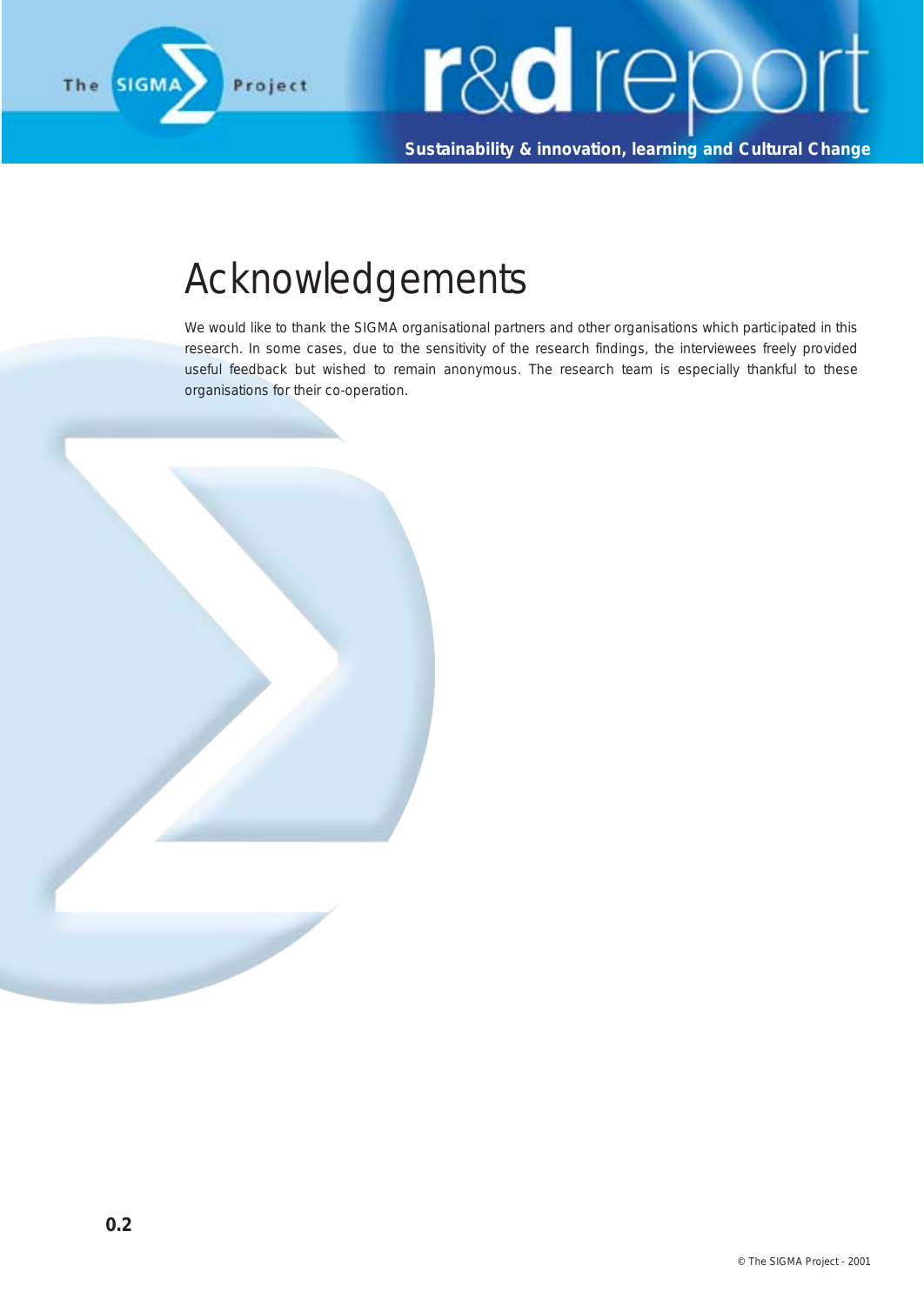

**Sustainability & innovation, learning and Cultural Change**

#### Acknowledgements

We would like to thank the SIGMA organisational partners and other organisations which participated in this research. In some cases, due to the sensitivity of the research findings, the interviewees freely provided useful feedback but wished to remain anonymous. The research team is especially thankful to these organisations for their co-operation.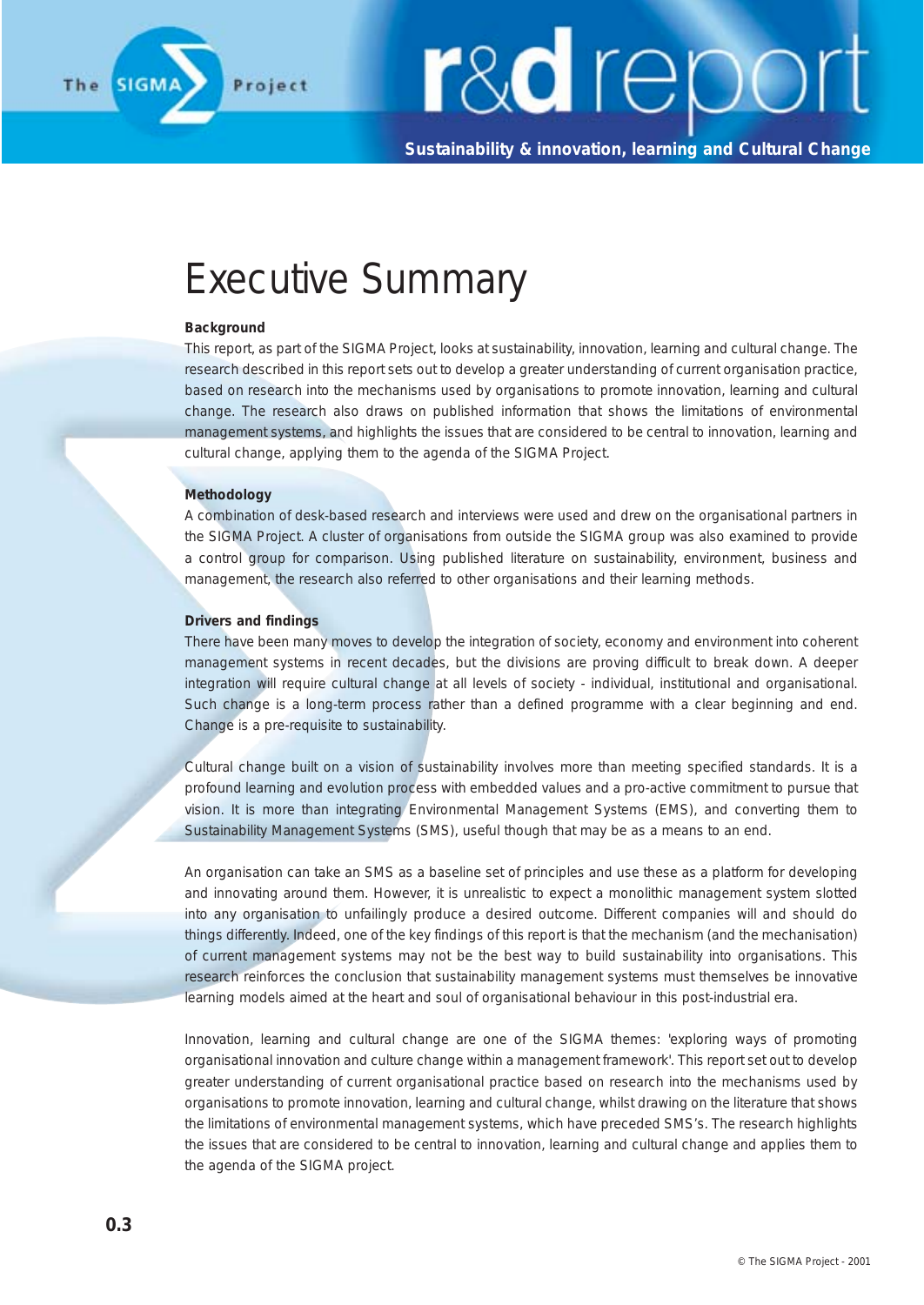

**Sustainability & innovation, learning and Cultural Change**

### Executive Summary

#### **Background**

This report, as part of the SIGMA Project, looks at sustainability, innovation, learning and cultural change. The research described in this report sets out to develop a greater understanding of current organisation practice, based on research into the mechanisms used by organisations to promote innovation, learning and cultural change. The research also draws on published information that shows the limitations of environmental management systems, and highlights the issues that are considered to be central to innovation, learning and cultural change, applying them to the agenda of the SIGMA Project.

#### **Methodology**

A combination of desk-based research and interviews were used and drew on the organisational partners in the SIGMA Project. A cluster of organisations from outside the SIGMA group was also examined to provide a control group for comparison. Using published literature on sustainability, environment, business and management, the research also referred to other organisations and their learning methods.

#### **Drivers and findings**

There have been many moves to develop the integration of society, economy and environment into coherent management systems in recent decades, but the divisions are proving difficult to break down. A deeper integration will require cultural change at all levels of society - individual, institutional and organisational. Such change is a long-term process rather than a defined programme with a clear beginning and end. Change is a pre-requisite to sustainability.

Cultural change built on a vision of sustainability involves more than meeting specified standards. It is a profound learning and evolution process with embedded values and a pro-active commitment to pursue that vision. It is more than integrating Environmental Management Systems (EMS), and converting them to Sustainability Management Systems (SMS), useful though that may be as a means to an end.

An organisation can take an SMS as a baseline set of principles and use these as a platform for developing and innovating around them. However, it is unrealistic to expect a monolithic management system slotted into any organisation to unfailingly produce a desired outcome. Different companies will and should do things differently. Indeed, one of the key findings of this report is that the mechanism (and the mechanisation) of current management systems may not be the best way to build sustainability into organisations. This research reinforces the conclusion that sustainability management systems must themselves be innovative learning models aimed at the heart and soul of organisational behaviour in this post-industrial era.

Innovation, learning and cultural change are one of the SIGMA themes: 'exploring ways of promoting organisational innovation and culture change within a management framework'. This report set out to develop greater understanding of current organisational practice based on research into the mechanisms used by organisations to promote innovation, learning and cultural change, whilst drawing on the literature that shows the limitations of environmental management systems, which have preceded SMS's. The research highlights the issues that are considered to be central to innovation, learning and cultural change and applies them to the agenda of the SIGMA project.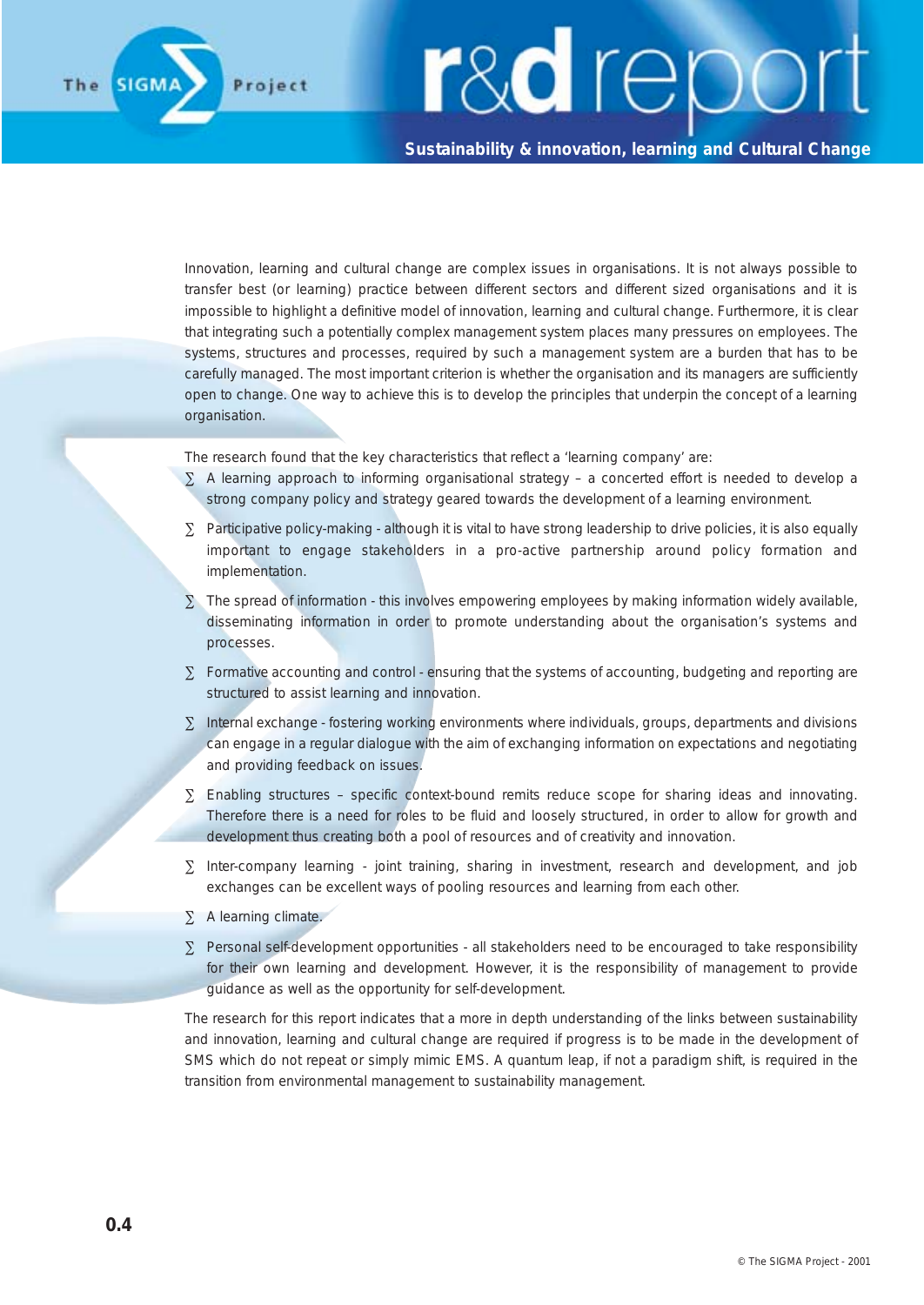#### **Sustainability & innovation, learning and Cultural Change**

Innovation, learning and cultural change are complex issues in organisations. It is not always possible to transfer best (or learning) practice between different sectors and different sized organisations and it is impossible to highlight a definitive model of innovation, learning and cultural change. Furthermore, it is clear that integrating such a potentially complex management system places many pressures on employees. The systems, structures and processes, required by such a management system are a burden that has to be carefully managed. The most important criterion is whether the organisation and its managers are sufficiently open to change. One way to achieve this is to develop the principles that underpin the concept of a learning organisation.

The research found that the key characteristics that reflect a 'learning company' are:

- ∑ A learning approach to informing organisational strategy a concerted effort is needed to develop a strong company policy and strategy geared towards the development of a learning environment.
- ∑ Participative policy-making although it is vital to have strong leadership to drive policies, it is also equally important to engage stakeholders in a pro-active partnership around policy formation and implementation.
- ∑ The spread of information this involves empowering employees by making information widely available, disseminating information in order to promote understanding about the organisation's systems and processes.
- ∑ Formative accounting and control ensuring that the systems of accounting, budgeting and reporting are structured to assist learning and innovation.
- ∑ Internal exchange fostering working environments where individuals, groups, departments and divisions can engage in a regular dialogue with the aim of exchanging information on expectations and negotiating and providing feedback on issues.
- ∑ Enabling structures specific context-bound remits reduce scope for sharing ideas and innovating. Therefore there is a need for roles to be fluid and loosely structured, in order to allow for growth and development thus creating both a pool of resources and of creativity and innovation.
- ∑ Inter-company learning joint training, sharing in investment, research and development, and job exchanges can be excellent ways of pooling resources and learning from each other.
- ∑ A learning climate.
- ∑ Personal self-development opportunities all stakeholders need to be encouraged to take responsibility for their own learning and development. However, it is the responsibility of management to provide guidance as well as the opportunity for self-development.

The research for this report indicates that a more in depth understanding of the links between sustainability and innovation, learning and cultural change are required if progress is to be made in the development of SMS which do not repeat or simply mimic EMS. A quantum leap, if not a paradigm shift, is required in the transition from environmental management to sustainability management.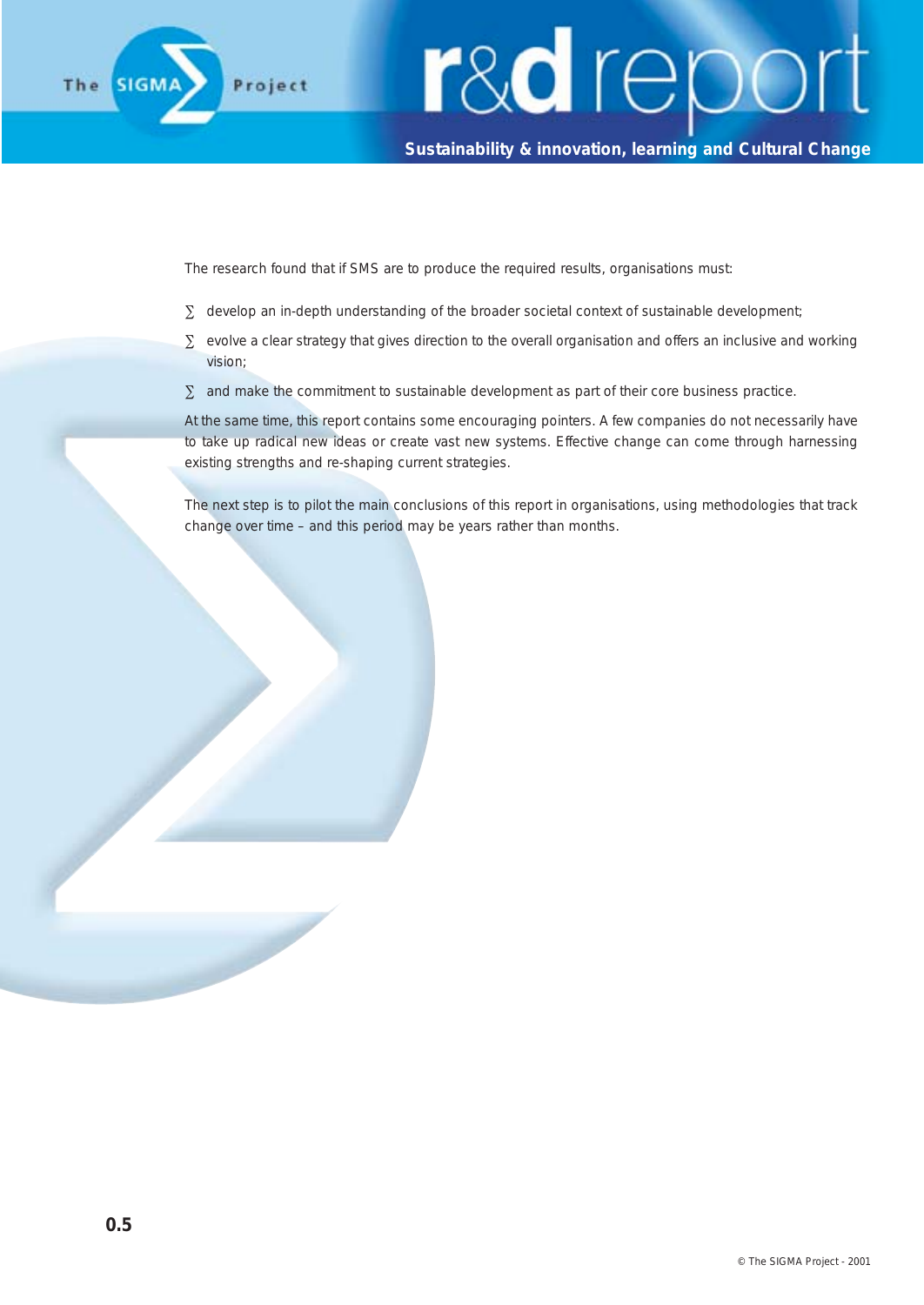

#### **Sustainability & innovation, learning and Cultural Change**

The research found that if SMS are to produce the required results, organisations must:

- ∑ develop an in-depth understanding of the broader societal context of sustainable development;
- ∑ evolve a clear strategy that gives direction to the overall organisation and offers an inclusive and working vision;
- $\Sigma$  and make the commitment to sustainable development as part of their core business practice.

At the same time, this report contains some encouraging pointers. A few companies do not necessarily have to take up radical new ideas or create vast new systems. Effective change can come through harnessing existing strengths and re-shaping current strategies.

The next step is to pilot the main conclusions of this report in organisations, using methodologies that track change over time – and this period may be years rather than months.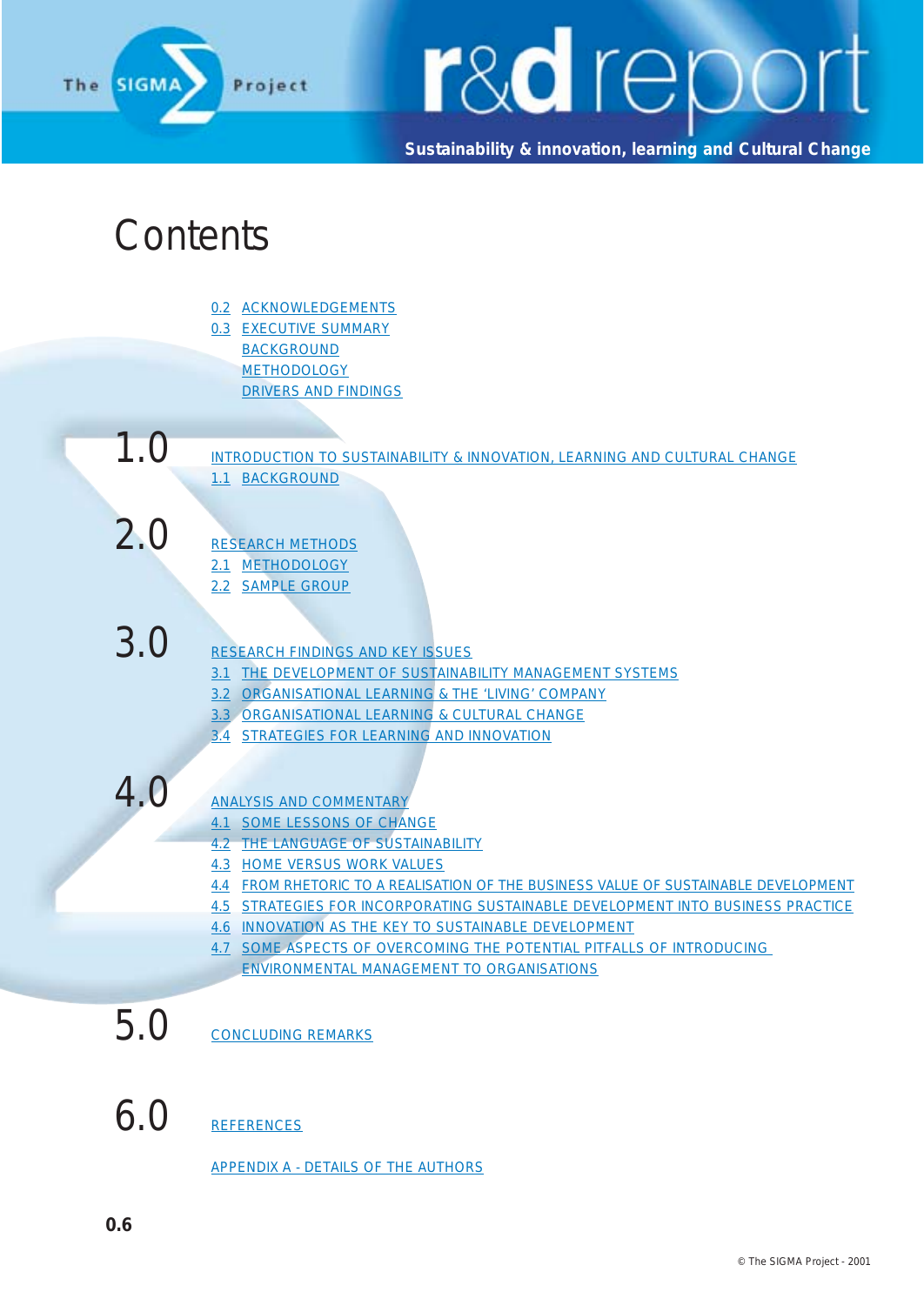

**Sustainability & innovation, learning and Cultural Change**

#### Contents

- 0.2 ACKNOWLEDGEMENTS 0.3 EXECUTIVE SUMMARY BACKGROUND **METHODOLOGY** 
	- DRIVERS AND FINDINGS
- $1.0$  introduction to sustainability & innovation, learning and cultural change 1.1 BACKGROUND

2.0 RESEARCH METHODS 2.1 METHODOLOGY

- 2.2 SAMPLE GROUP
- 
- 3.0 RESEARCH FINDINGS AND KEY ISSUES
	- 3.1 THE DEVELOPMENT OF SUSTAINABILITY MANAGEMENT SYSTEMS
	- 3.2 ORGANISATIONAL LEARNING & THE 'LIVING' COMPANY
	- 3.3 ORGANISATIONAL LEARNING & CULTURAL CHANGE
	- 3.4 STRATEGIES FOR LEARNING AND INNOVATION

- 4.0 ANALYSIS AND COMMENTARY
	- 4.1 SOME LESSONS OF CHANGE
	- 4.2 THE LANGUAGE OF SUSTAINABILITY
	- 4.3 HOME VERSUS WORK VALUES
	- 4.4 FROM RHETORIC TO A REALISATION OF THE BUSINESS VALUE OF SUSTAINABLE DEVELOPMENT
	- 4.5 STRATEGIES FOR INCORPORATING SUSTAINABLE DEVELOPMENT INTO BUSINESS PRACTICE
	- 4.6 INNOVATION AS THE KEY TO SUSTAINABLE DEVELOPMENT
	- 4.7 SOME ASPECTS OF OVERCOMING THE POTENTIAL PITFALLS OF INTRODUCING ENVIRONMENTAL MANAGEMENT TO ORGANISATIONS

5.0 CONCLUDING REMARKS

6.0 REFERENCES

APPENDIX A - DETAILS OF THE AUTHORS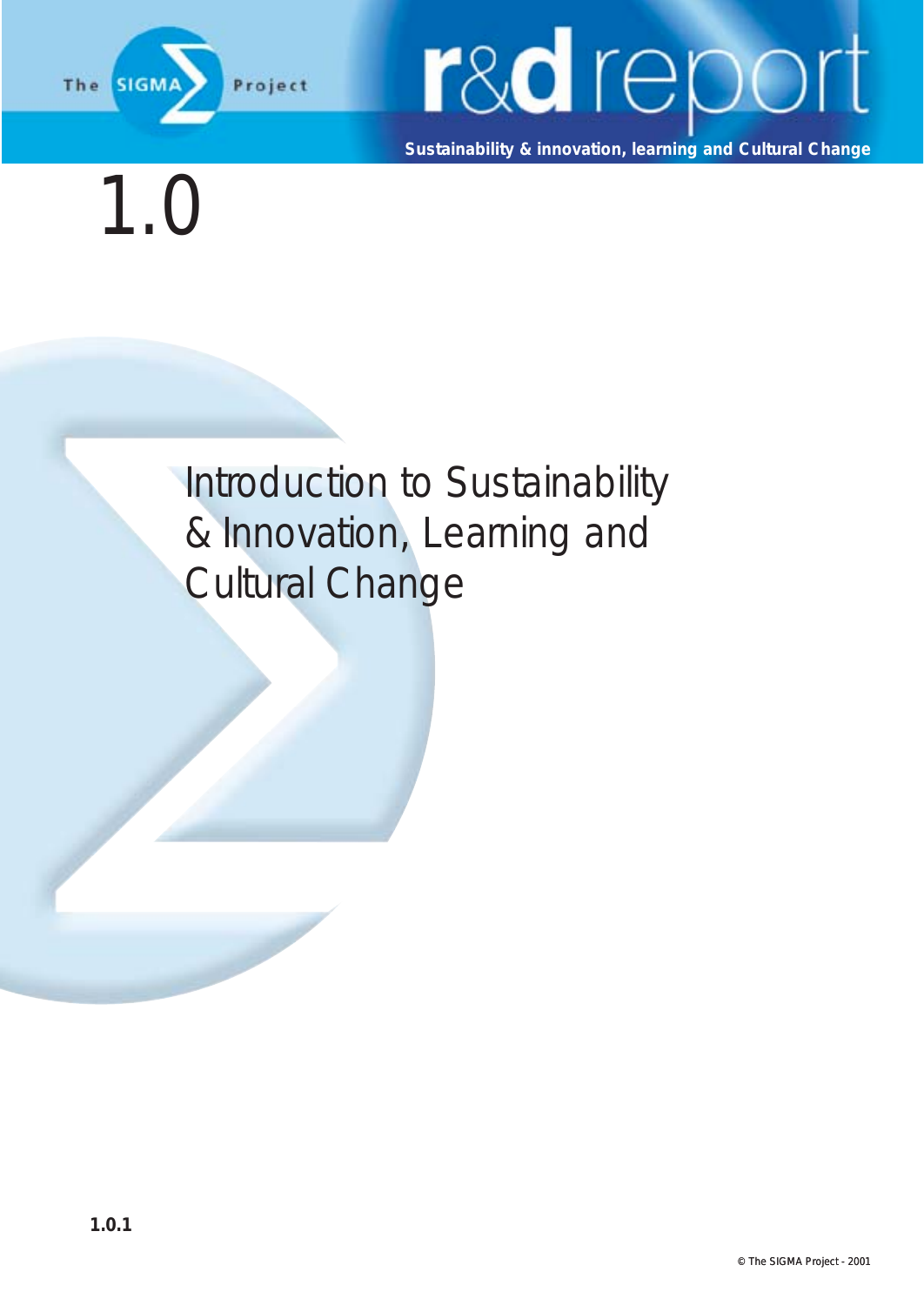

**Sustainability & innovation, learning and Cultural Change**

1.0

Introduction to Sustainability & Innovation, Learning and Cultural Change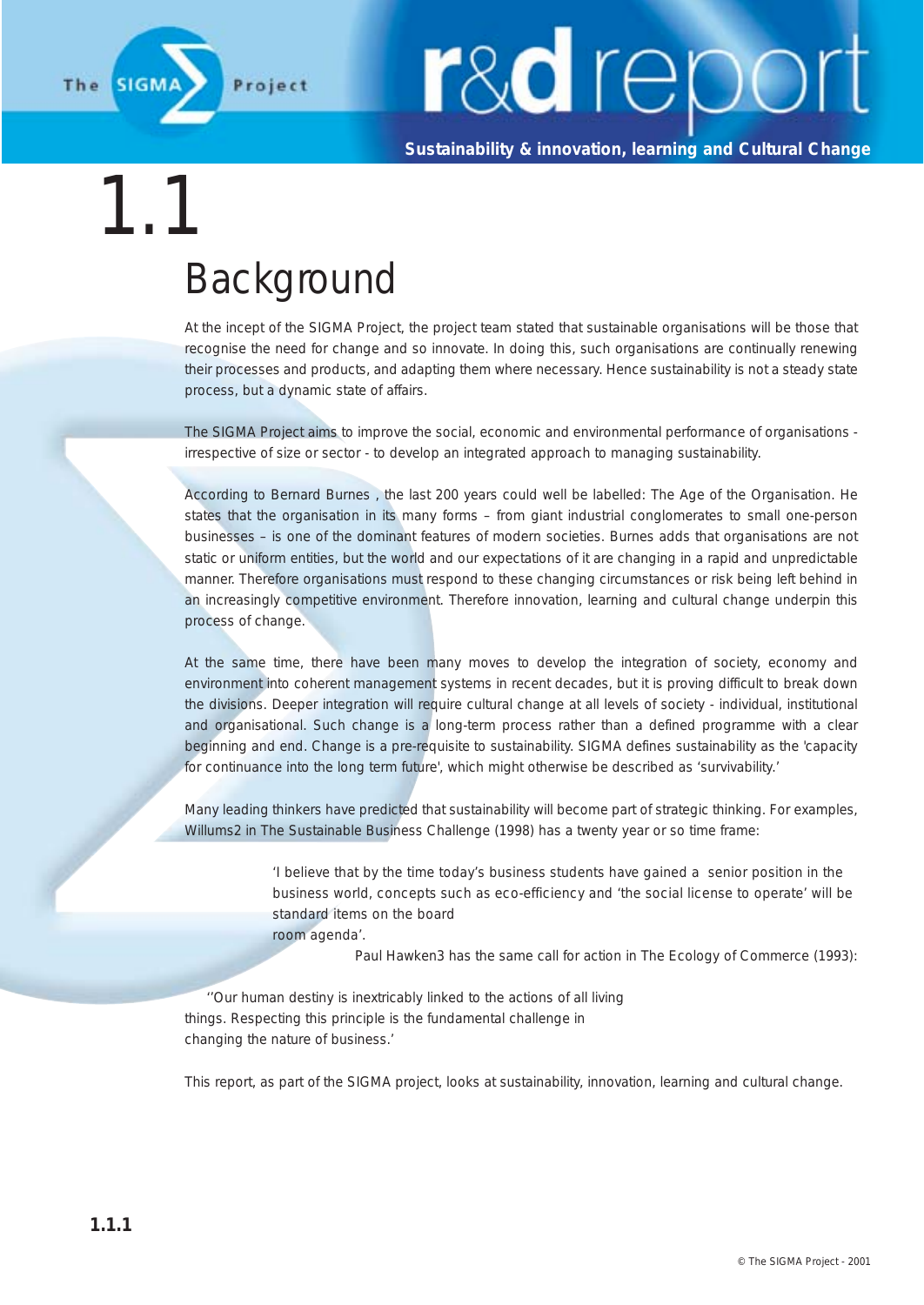

**Sustainability & innovation, learning and Cultural Change**

### 1.1 Background

At the incept of the SIGMA Project, the project team stated that sustainable organisations will be those that recognise the need for change and so innovate. In doing this, such organisations are continually renewing their processes and products, and adapting them where necessary. Hence sustainability is not a steady state process, but a dynamic state of affairs.

The SIGMA Project aims to improve the social, economic and environmental performance of organisations irrespective of size or sector - to develop an integrated approach to managing sustainability.

According to Bernard Burnes , the last 200 years could well be labelled: The Age of the Organisation. He states that the organisation in its many forms – from giant industrial conglomerates to small one-person businesses – is one of the dominant features of modern societies. Burnes adds that organisations are not static or uniform entities, but the world and our expectations of it are changing in a rapid and unpredictable manner. Therefore organisations must respond to these changing circumstances or risk being left behind in an increasingly competitive environment. Therefore innovation, learning and cultural change underpin this process of change.

At the same time, there have been many moves to develop the integration of society, economy and environment into coherent management systems in recent decades, but it is proving difficult to break down the divisions. Deeper integration will require cultural change at all levels of society - individual, institutional and organisational. Such change is a long-term process rather than a defined programme with a clear beginning and end. Change is a pre-requisite to sustainability. SIGMA defines sustainability as the 'capacity for continuance into the long term future', which might otherwise be described as 'survivability.'

Many leading thinkers have predicted that sustainability will become part of strategic thinking. For examples, Willums2 in The Sustainable Business Challenge (1998) has a twenty year or so time frame:

> *'I believe that by the time today's business students have gained a senior position in the business world, concepts such as eco-efficiency and 'the social license to operate' will be standard items on the board room agenda'.*

> > Paul Hawken3 has the same call for action in The Ecology of Commerce (1993):

''Our human destiny is inextricably linked to the actions of all living things. Respecting this principle is the fundamental challenge in changing the nature of business.'

This report, as part of the SIGMA project, looks at sustainability, innovation, learning and cultural change.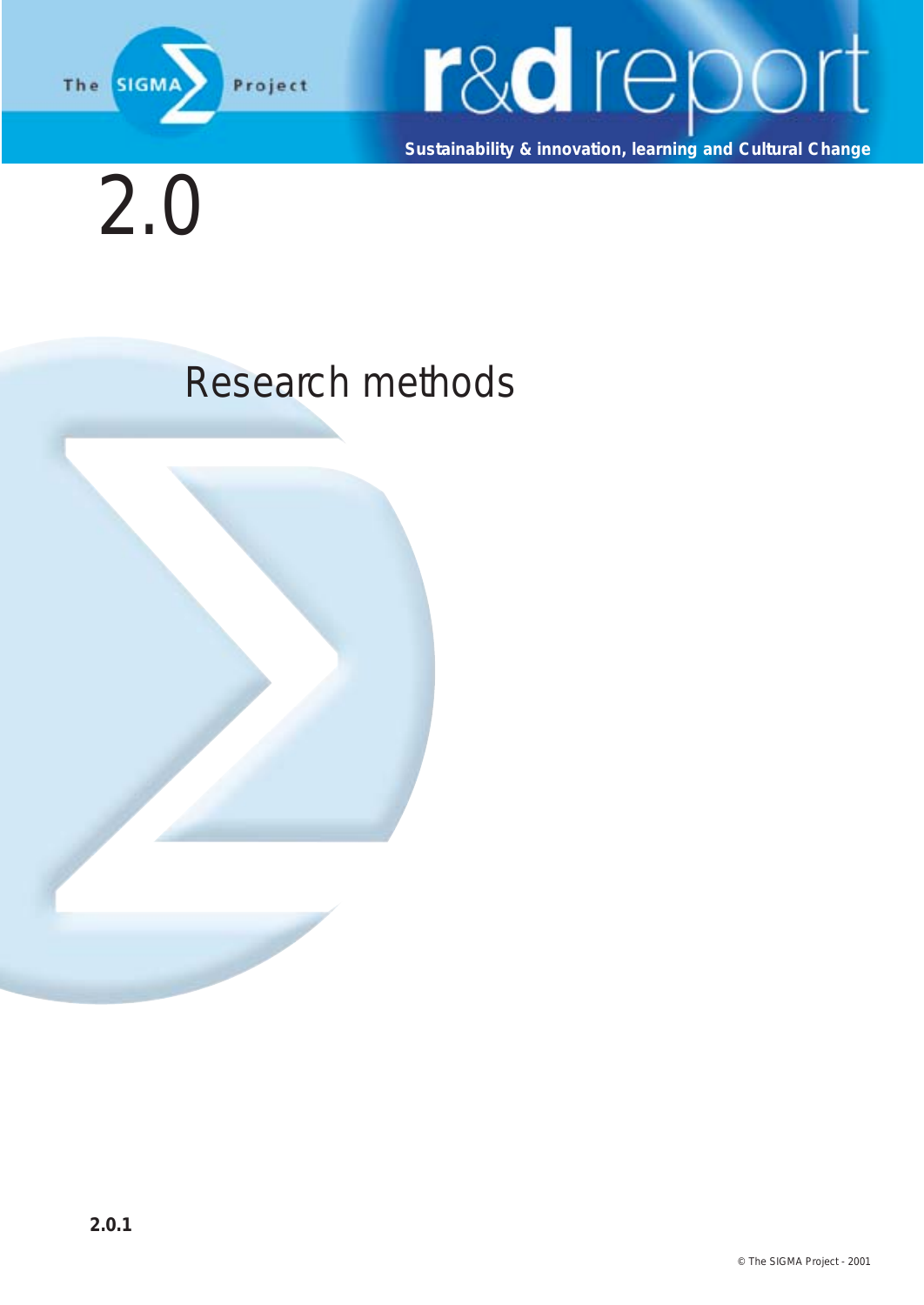

# **rad** report

**Sustainability & innovation, learning and Cultural Change**

2.0

### Research methods

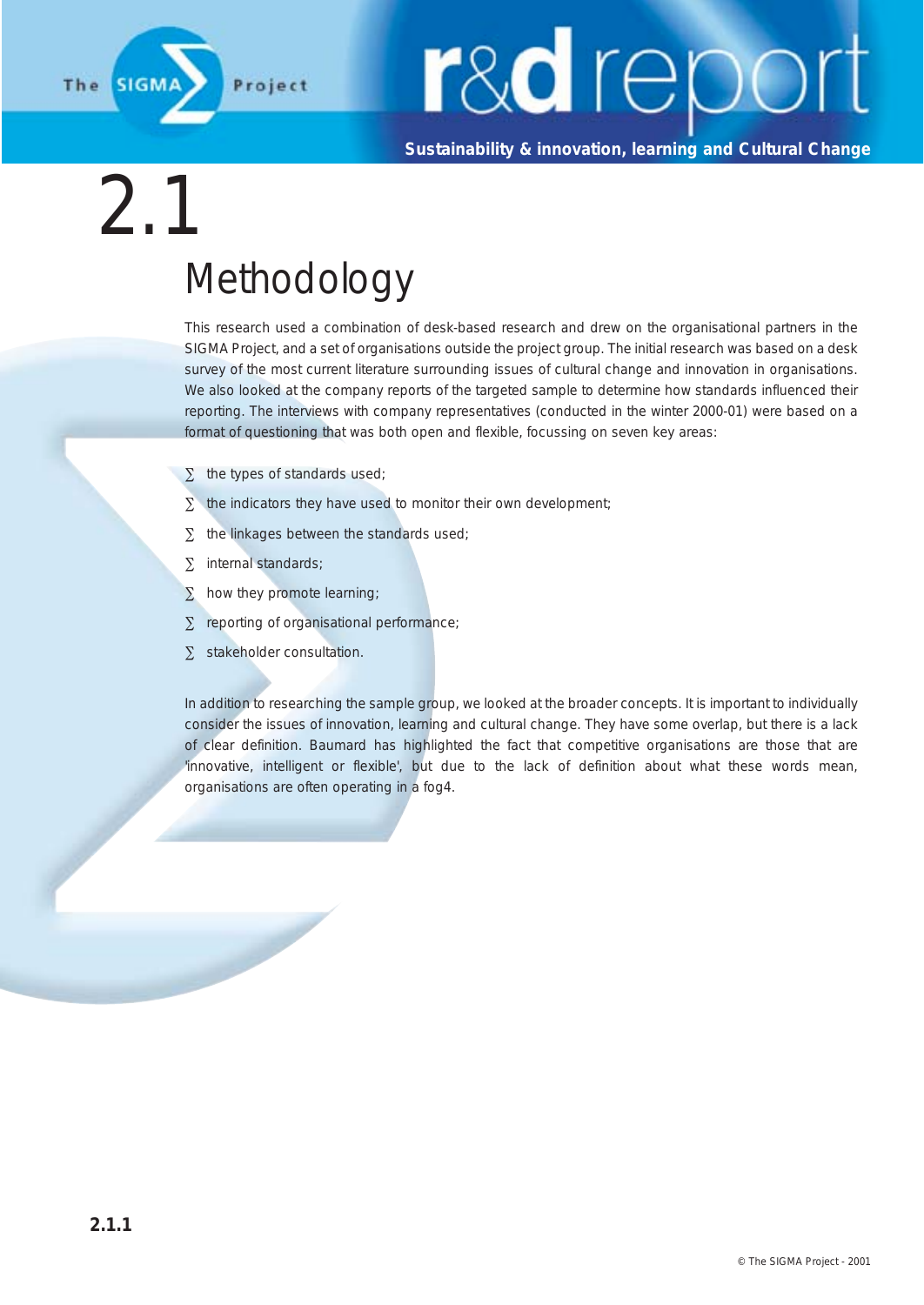

**Sustainability & innovation, learning and Cultural Change**

### 2.1 Methodology

This research used a combination of desk-based research and drew on the organisational partners in the SIGMA Project, and a set of organisations outside the project group. The initial research was based on a desk survey of the most current literature surrounding issues of cultural change and innovation in organisations. We also looked at the company reports of the targeted sample to determine how standards influenced their reporting. The interviews with company representatives (conducted in the winter 2000-01) were based on a format of questioning that was both open and flexible, focussing on seven key areas:

- ∑ the types of standards used;
- $\Sigma$  the indicators they have used to monitor their own development;
- ∑ the linkages between the standards used;
- ∑ internal standards;
- ∑ how they promote learning;
- ∑ reporting of organisational performance;
- ∑ stakeholder consultation.

In addition to researching the sample group, we looked at the broader concepts. It is important to individually consider the issues of innovation, learning and cultural change. They have some overlap, but there is a lack of clear definition. Baumard has highlighted the fact that competitive organisations are those that are 'innovative, intelligent or flexible', but due to the lack of definition about what these words mean, organisations are often operating in a fog4.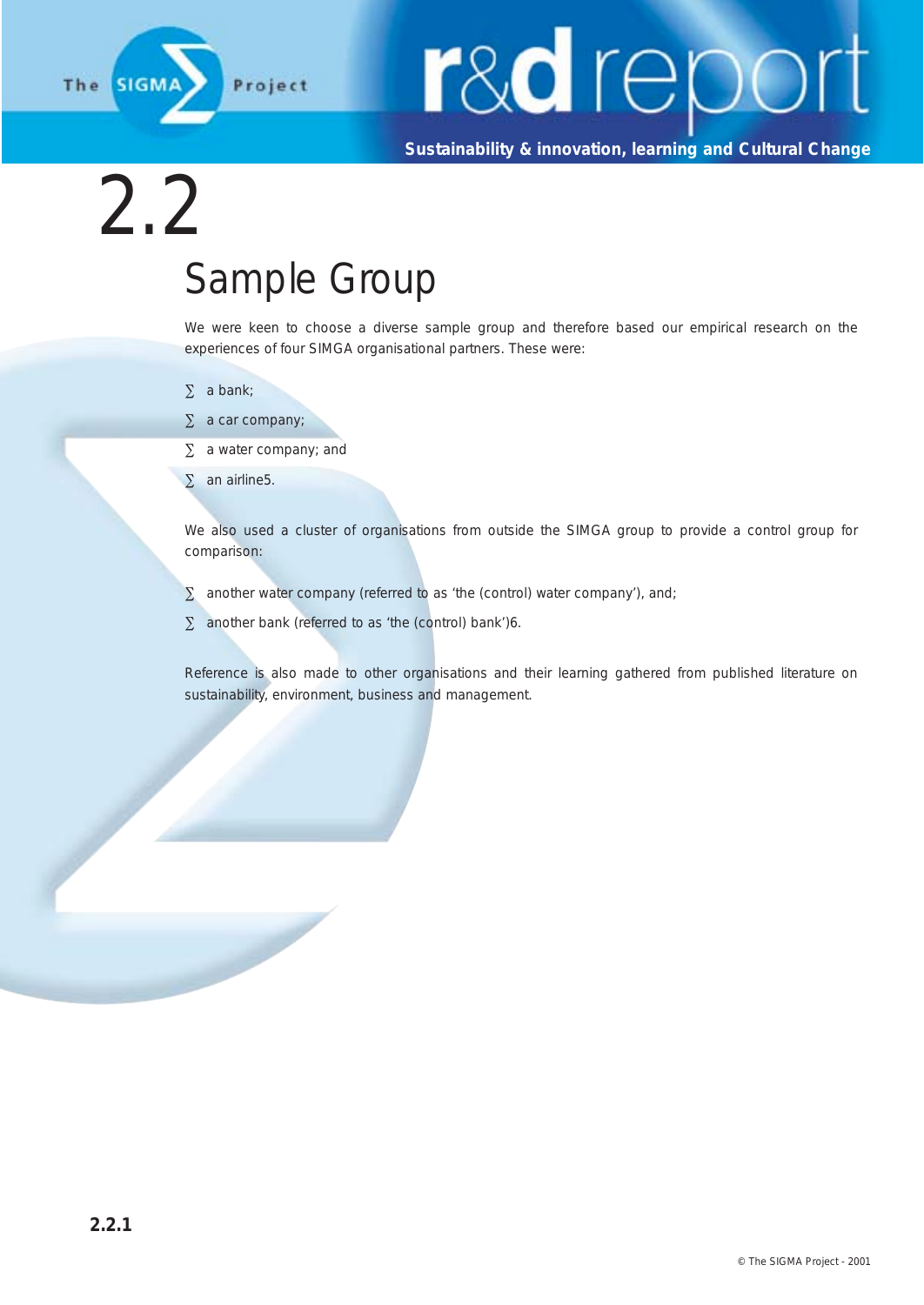

**Sustainability & innovation, learning and Cultural Change**

### 2.2 Sample Group

We were keen to choose a diverse sample group and therefore based our empirical research on the experiences of four SIMGA organisational partners. These were:

- ∑ a bank;
- $\Sigma$  a car company;
- ∑ a water company; and

∑ an airline5.

We also used a cluster of organisations from outside the SIMGA group to provide a control group for comparison:

- $\Sigma$  another water company (referred to as 'the (control) water company'), and;
- $\Sigma$  another bank (referred to as 'the (control) bank')6.

Reference is also made to other organisations and their learning gathered from published literature on sustainability, environment, business and management.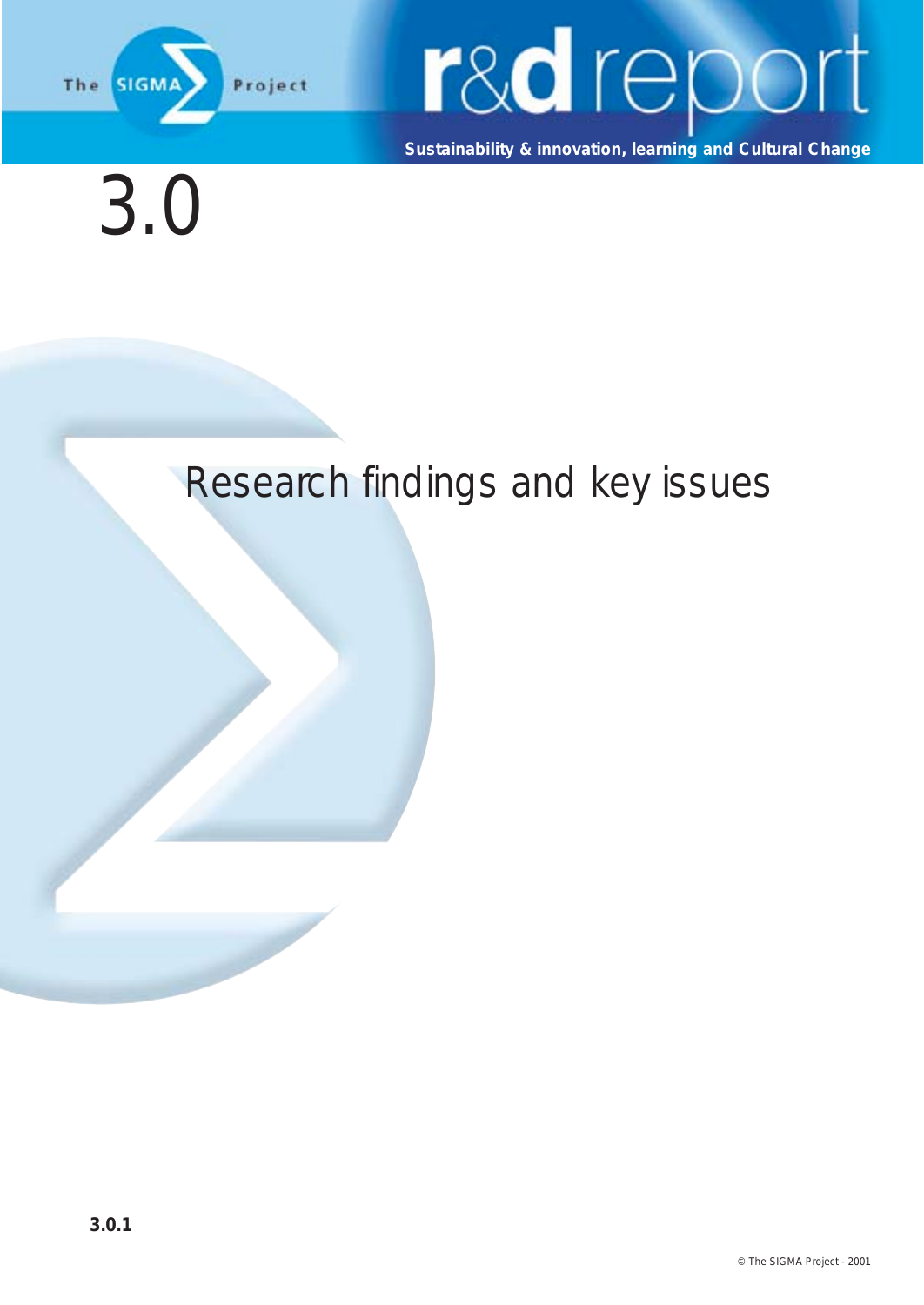

**Sustainability & innovation, learning and Cultural Change**

### 3.0

#### Research findings and key issues

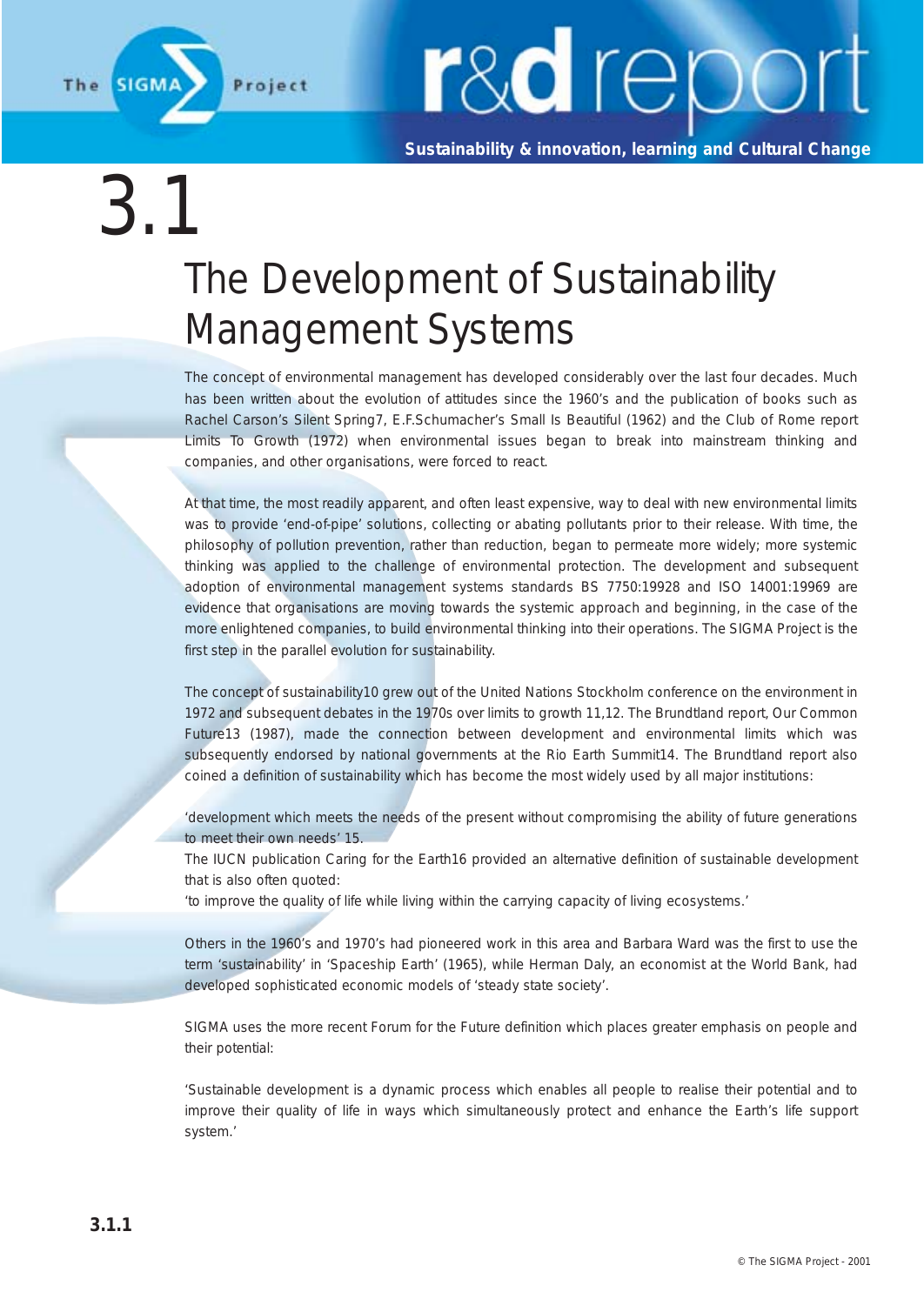

**Sustainability & innovation, learning and Cultural Change**

 $\left(3\right)$ 

### The Development of Sustainability Management Systems

The concept of environmental management has developed considerably over the last four decades. Much has been written about the evolution of attitudes since the 1960's and the publication of books such as Rachel Carson's Silent Spring7, E.F.Schumacher's Small Is Beautiful (1962) and the Club of Rome report Limits To Growth (1972) when environmental issues began to break into mainstream thinking and companies, and other organisations, were forced to react.

At that time, the most readily apparent, and often least expensive, way to deal with new environmental limits was to provide 'end-of-pipe' solutions, collecting or abating pollutants prior to their release. With time, the philosophy of pollution prevention, rather than reduction, began to permeate more widely; more systemic thinking was applied to the challenge of environmental protection. The development and subsequent adoption of environmental management systems standards BS 7750:19928 and ISO 14001:19969 are evidence that organisations are moving towards the systemic approach and beginning, in the case of the more enlightened companies, to build environmental thinking into their operations. The SIGMA Project is the first step in the parallel evolution for sustainability.

The concept of sustainability10 grew out of the United Nations Stockholm conference on the environment in 1972 and subsequent debates in the 1970s over limits to growth 11,12. The Brundtland report, Our Common Future13 (1987), made the connection between development and environmental limits which was subsequently endorsed by national governments at the Rio Earth Summit14. The Brundtland report also coined a definition of sustainability which has become the most widely used by all major institutions:

'development which meets the needs of the present without compromising the ability of future generations to meet their own needs' 15.

The IUCN publication Caring for the Earth16 provided an alternative definition of sustainable development that is also often quoted:

'to improve the quality of life while living within the carrying capacity of living ecosystems.'

Others in the 1960's and 1970's had pioneered work in this area and Barbara Ward was the first to use the term 'sustainability' in 'Spaceship Earth' (1965), while Herman Daly, an economist at the World Bank, had developed sophisticated economic models of 'steady state society'.

SIGMA uses the more recent Forum for the Future definition which places greater emphasis on people and their potential:

'Sustainable development is a dynamic process which enables all people to realise their potential and to improve their quality of life in ways which simultaneously protect and enhance the Earth's life support system.'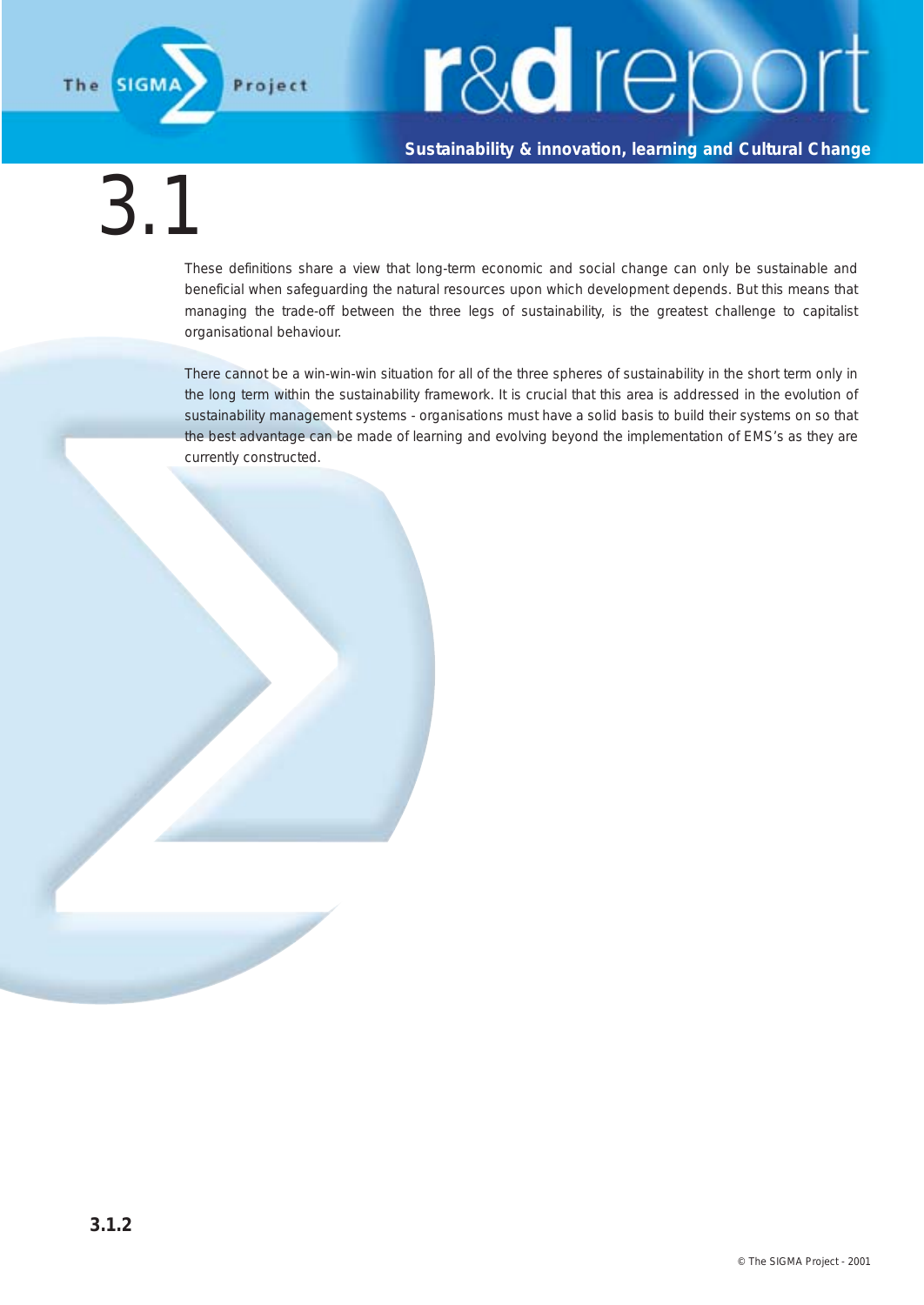

#### **Sustainability & innovation, learning and Cultural Change**

### 3.1

These definitions share a view that long-term economic and social change can only be sustainable and beneficial when safeguarding the natural resources upon which development depends. But this means that managing the trade-off between the three legs of sustainability, is the greatest challenge to capitalist organisational behaviour.

There cannot be a win-win-win situation for all of the three spheres of sustainability in the short term only in the long term within the sustainability framework. It is crucial that this area is addressed in the evolution of sustainability management systems - organisations must have a solid basis to build their systems on so that the best advantage can be made of learning and evolving beyond the implementation of EMS's as they are currently constructed.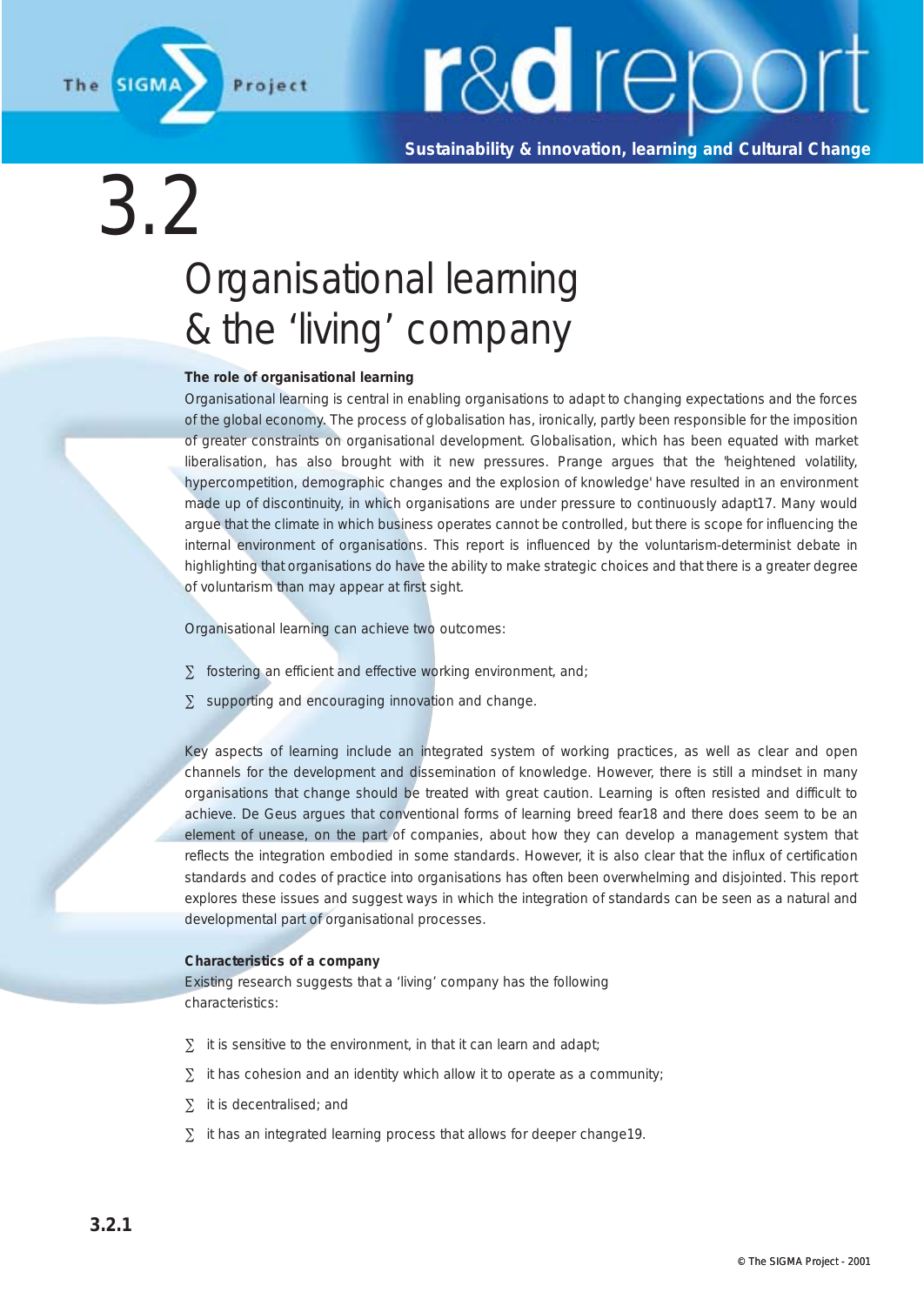

**Sustainability & innovation, learning and Cultural Change**

### 3.2 Organisational learning & the 'living' company

#### **The role of organisational learning**

Organisational learning is central in enabling organisations to adapt to changing expectations and the forces of the global economy. The process of globalisation has, ironically, partly been responsible for the imposition of greater constraints on organisational development. Globalisation, which has been equated with market liberalisation, has also brought with it new pressures. Prange argues that the 'heightened volatility, hypercompetition, demographic changes and the explosion of knowledge' have resulted in an environment made up of discontinuity, in which organisations are under pressure to continuously adapt17. Many would argue that the climate in which business operates cannot be controlled, but there is scope for influencing the internal environment of organisations. This report is influenced by the voluntarism-determinist debate in highlighting that organisations do have the ability to make strategic choices and that there is a greater degree of voluntarism than may appear at first sight.

Organisational learning can achieve two outcomes:

- ∑ fostering an efficient and effective working environment, and;
- ∑ supporting and encouraging innovation and change.

Key aspects of learning include an integrated system of working practices, as well as clear and open channels for the development and dissemination of knowledge. However, there is still a mindset in many organisations that change should be treated with great caution. Learning is often resisted and difficult to achieve. De Geus argues that conventional forms of learning breed fear18 and there does seem to be an element of unease, on the part of companies, about how they can develop a management system that reflects the integration embodied in some standards. However, it is also clear that the influx of certification standards and codes of practice into organisations has often been overwhelming and disjointed. This report explores these issues and suggest ways in which the integration of standards can be seen as a natural and developmental part of organisational processes.

#### **Characteristics of a company**

Existing research suggests that a 'living' company has the following characteristics:

- $\Sigma$  it is sensitive to the environment, in that it can learn and adapt;
- $\Sigma$  it has cohesion and an identity which allow it to operate as a community;
- ∑ it is decentralised; and
- ∑ it has an integrated learning process that allows for deeper change19.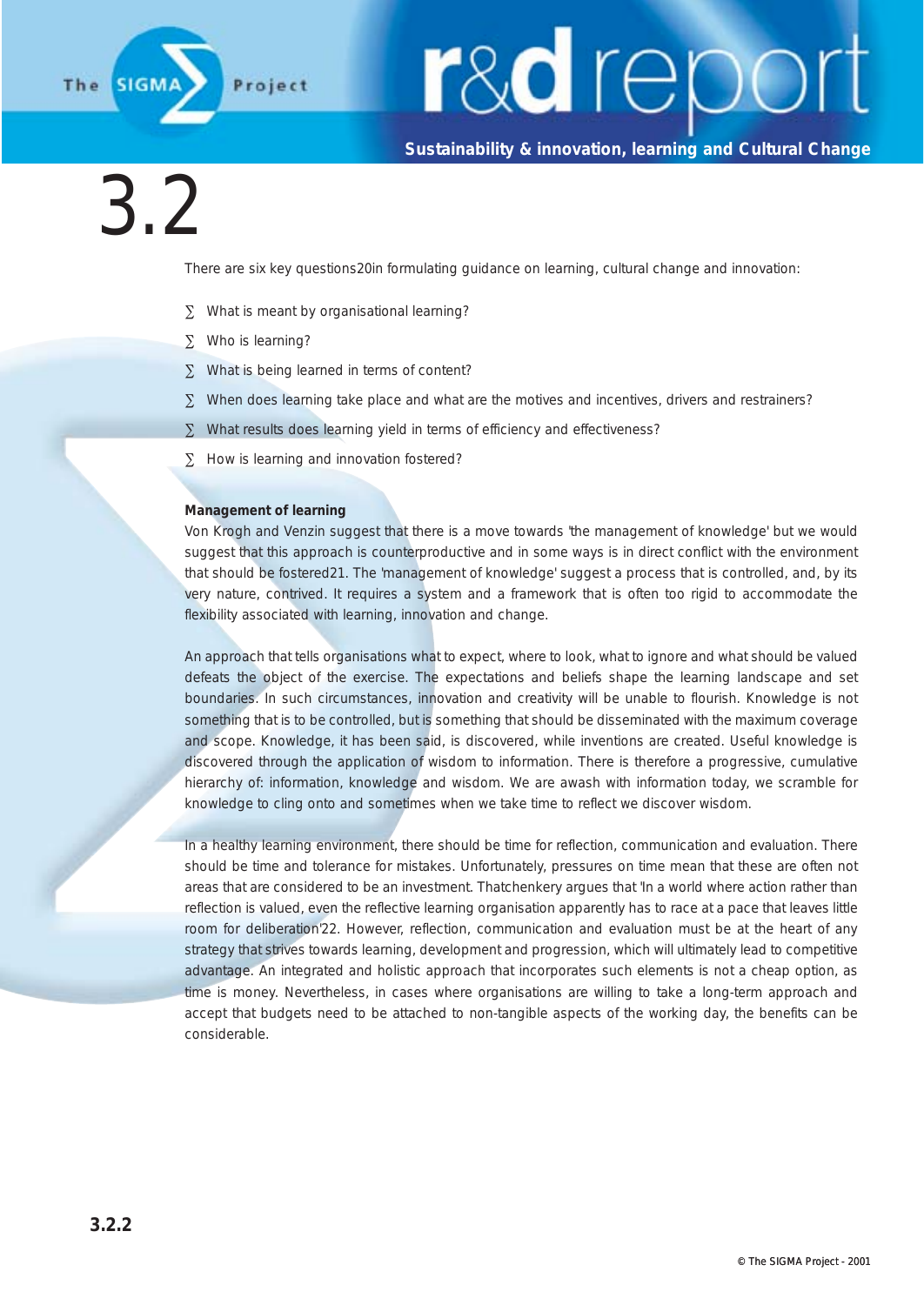

#### **Sustainability & innovation, learning and Cultural Change**

### 3.2

There are six key questions20in formulating guidance on learning, cultural change and innovation:

- ∑ What is meant by organisational learning?
- ∑ Who is learning?
- ∑ What is being learned in terms of content?
- ∑ When does learning take place and what are the motives and incentives, drivers and restrainers?
- ∑ What results does learning yield in terms of efficiency and effectiveness?
- ∑ How is learning and innovation fostered?

#### **Management of learning**

Von Krogh and Venzin suggest that there is a move towards 'the management of knowledge' but we would suggest that this approach is counterproductive and in some ways is in direct conflict with the environment that should be fostered21. The 'management of knowledge' suggest a process that is controlled, and, by its very nature, contrived. It requires a system and a framework that is often too rigid to accommodate the flexibility associated with learning, innovation and change.

An approach that tells organisations what to expect, where to look, what to ignore and what should be valued defeats the object of the exercise. The expectations and beliefs shape the learning landscape and set boundaries. In such circumstances, innovation and creativity will be unable to flourish. Knowledge is not something that is to be controlled, but is something that should be disseminated with the maximum coverage and scope. Knowledge, it has been said, is discovered, while inventions are created. Useful knowledge is discovered through the application of wisdom to information. There is therefore a progressive, cumulative hierarchy of: information, knowledge and wisdom. We are awash with information today, we scramble for knowledge to cling onto and sometimes when we take time to reflect we discover wisdom.

In a healthy learning environment, there should be time for reflection, communication and evaluation. There should be time and tolerance for mistakes. Unfortunately, pressures on time mean that these are often not areas that are considered to be an investment. Thatchenkery argues that 'In a world where action rather than reflection is valued, even the reflective learning organisation apparently has to race at a pace that leaves little room for deliberation'22. However, reflection, communication and evaluation must be at the heart of any strategy that strives towards learning, development and progression, which will ultimately lead to competitive advantage. An integrated and holistic approach that incorporates such elements is not a cheap option, as time is money. Nevertheless, in cases where organisations are willing to take a long-term approach and accept that budgets need to be attached to non-tangible aspects of the working day, the benefits can be considerable.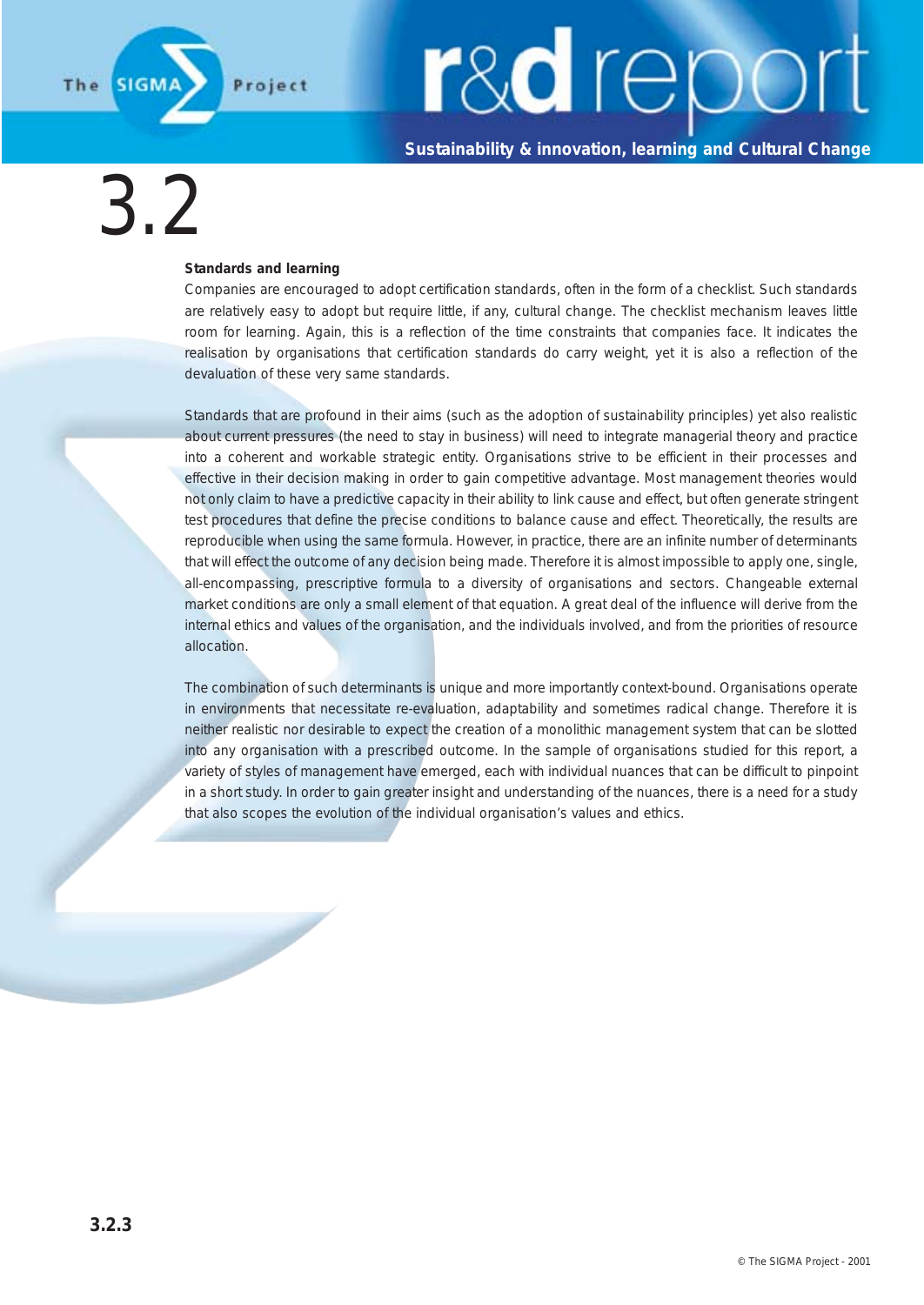

**Sustainability & innovation, learning and Cultural Change**

### 3.2

#### **Standards and learning**

Companies are encouraged to adopt certification standards, often in the form of a checklist. Such standards are relatively easy to adopt but require little, if any, cultural change. The checklist mechanism leaves little room for learning. Again, this is a reflection of the time constraints that companies face. It indicates the realisation by organisations that certification standards do carry weight, yet it is also a reflection of the devaluation of these very same standards.

Standards that are profound in their aims (such as the adoption of sustainability principles) yet also realistic about current pressures (the need to stay in business) will need to integrate managerial theory and practice into a coherent and workable strategic entity. Organisations strive to be efficient in their processes and effective in their decision making in order to gain competitive advantage. Most management theories would not only claim to have a predictive capacity in their ability to link cause and effect, but often generate stringent test procedures that define the precise conditions to balance cause and effect. Theoretically, the results are reproducible when using the same formula. However, in practice, there are an infinite number of determinants that will effect the outcome of any decision being made. Therefore it is almost impossible to apply one, single, all-encompassing, prescriptive formula to a diversity of organisations and sectors. Changeable external market conditions are only a small element of that equation. A great deal of the influence will derive from the internal ethics and values of the organisation, and the individuals involved, and from the priorities of resource allocation.

The combination of such determinants is unique and more importantly context-bound. Organisations operate in environments that necessitate re-evaluation, adaptability and sometimes radical change. Therefore it is neither realistic nor desirable to expect the creation of a monolithic management system that can be slotted into any organisation with a prescribed outcome. In the sample of organisations studied for this report, a variety of styles of management have emerged, each with individual nuances that can be difficult to pinpoint in a short study. In order to gain greater insight and understanding of the nuances, there is a need for a study that also scopes the evolution of the individual organisation's values and ethics.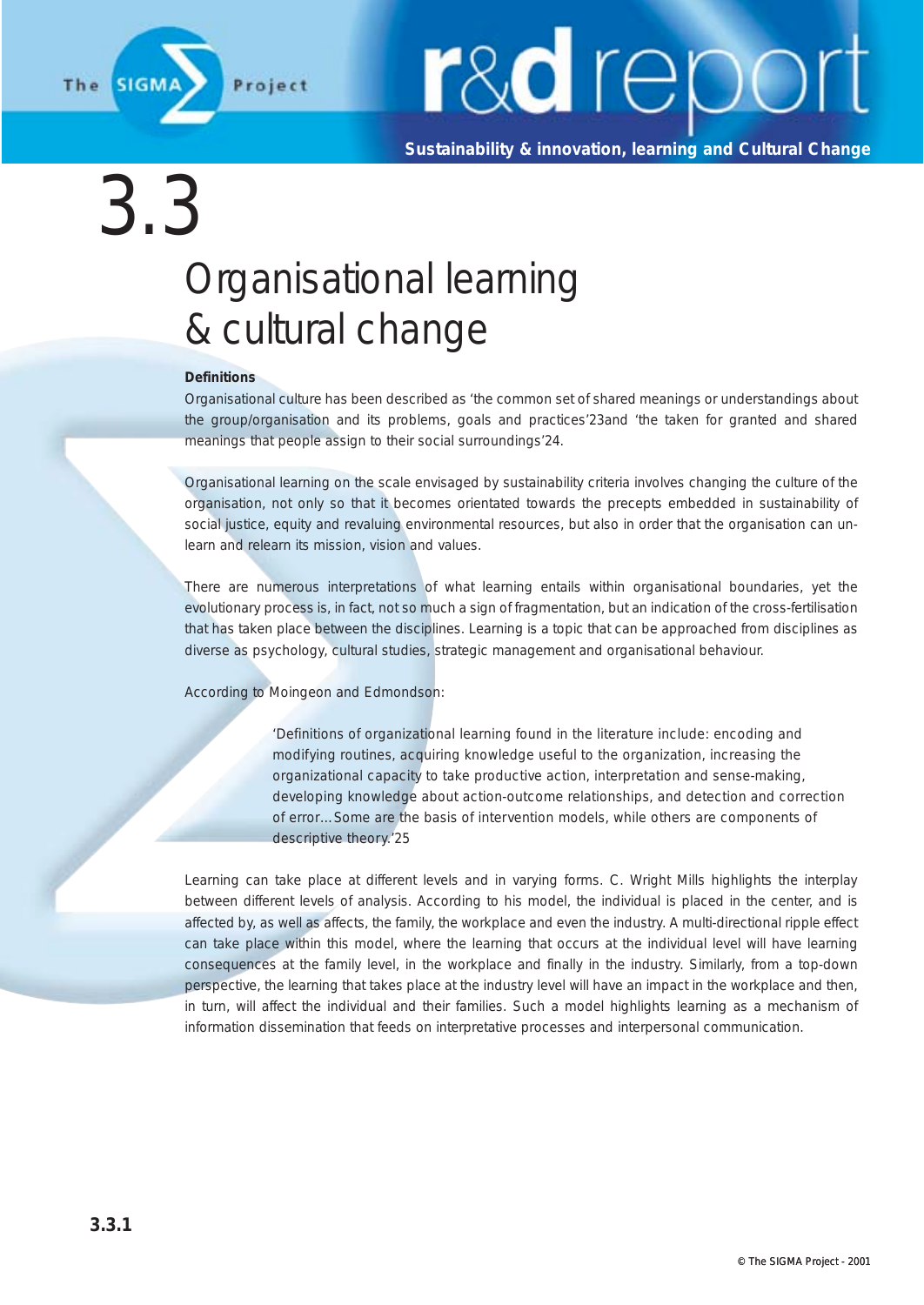

**Sustainability & innovation, learning and Cultural Change**

### 3.3 Organisational learning & cultural change

#### **Definitions**

Organisational culture has been described as 'the common set of shared meanings or understandings about the group/organisation and its problems, goals and practices'23and 'the taken for granted and shared meanings that people assign to their social surroundings'24.

Organisational learning on the scale envisaged by sustainability criteria involves changing the culture of the organisation, not only so that it becomes orientated towards the precepts embedded in sustainability of social justice, equity and revaluing environmental resources, but also in order that the organisation can unlearn and relearn its mission, vision and values.

There are numerous interpretations of what learning entails within organisational boundaries, yet the evolutionary process is, in fact, not so much a sign of fragmentation, but an indication of the cross-fertilisation that has taken place between the disciplines. Learning is a topic that can be approached from disciplines as diverse as psychology, cultural studies, strategic management and organisational behaviour.

According to Moingeon and Edmondson:

*'Definitions of organizational learning found in the literature include: encoding and modifying routines, acquiring knowledge useful to the organization, increasing the organizational capacity to take productive action, interpretation and sense-making, developing knowledge about action-outcome relationships, and detection and correction of error…Some are the basis of intervention models, while others are components of descriptive theory.'25*

Learning can take place at different levels and in varying forms. C. Wright Mills highlights the interplay between different levels of analysis. According to his model, the individual is placed in the center, and is affected by, as well as affects, the family, the workplace and even the industry. A multi-directional ripple effect can take place within this model, where the learning that occurs at the individual level will have learning consequences at the family level, in the workplace and finally in the industry. Similarly, from a top-down perspective, the learning that takes place at the industry level will have an impact in the workplace and then, in turn, will affect the individual and their families. Such a model highlights learning as a mechanism of information dissemination that feeds on interpretative processes and interpersonal communication.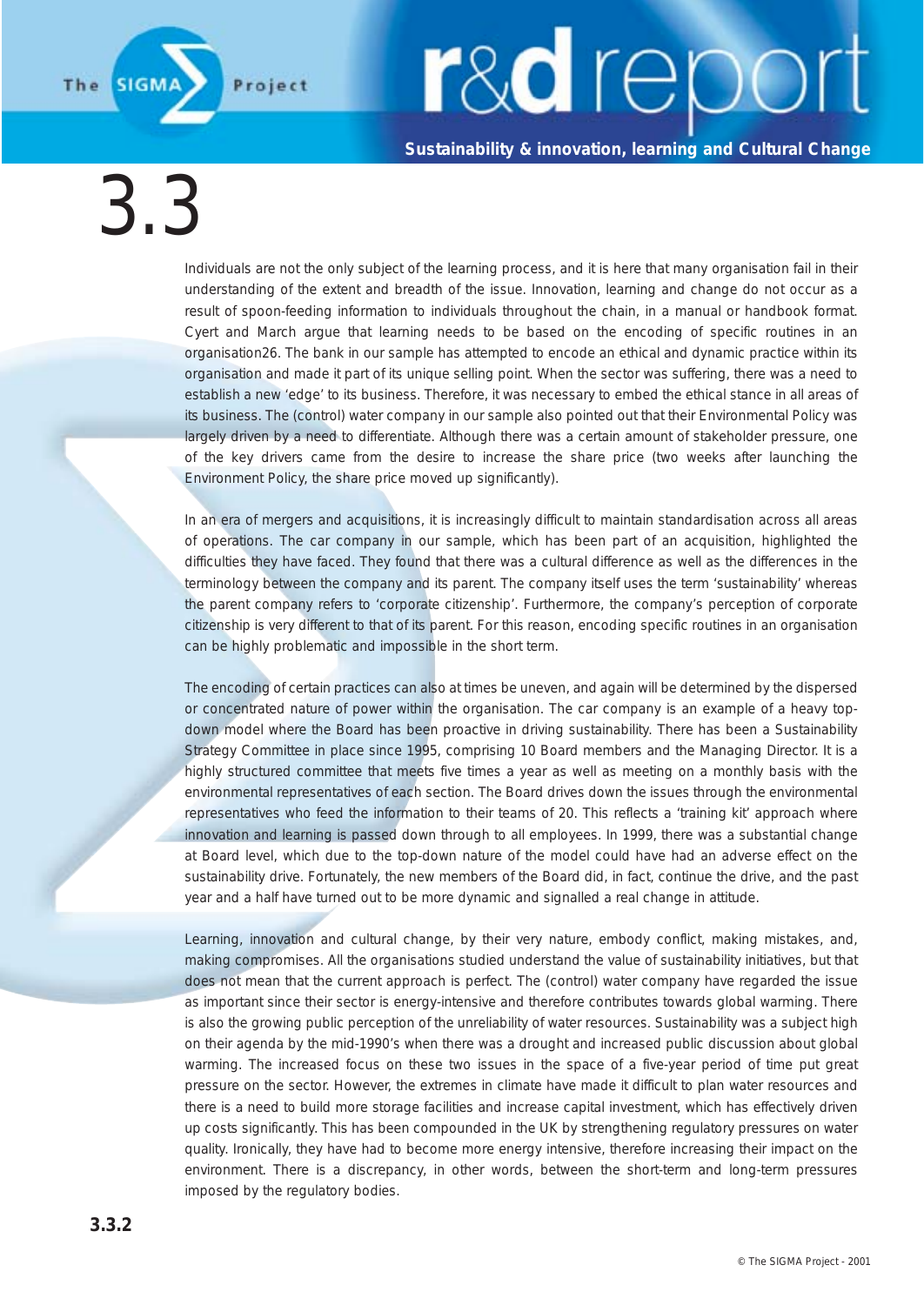**Sustainability & innovation, learning and Cultural Change**

 $3.3$ 

**SIGM** 

Project

The

Individuals are not the only subject of the learning process, and it is here that many organisation fail in their understanding of the extent and breadth of the issue. Innovation, learning and change do not occur as a result of spoon-feeding information to individuals throughout the chain, in a manual or handbook format. Cyert and March argue that learning needs to be based on the encoding of specific routines in an organisation26. The bank in our sample has attempted to encode an ethical and dynamic practice within its organisation and made it part of its unique selling point. When the sector was suffering, there was a need to establish a new 'edge' to its business. Therefore, it was necessary to embed the ethical stance in all areas of its business. The (control) water company in our sample also pointed out that their Environmental Policy was largely driven by a need to differentiate. Although there was a certain amount of stakeholder pressure, one of the key drivers came from the desire to increase the share price (two weeks after launching the Environment Policy, the share price moved up significantly).

In an era of mergers and acquisitions, it is increasingly difficult to maintain standardisation across all areas of operations. The car company in our sample, which has been part of an acquisition, highlighted the difficulties they have faced. They found that there was a cultural difference as well as the differences in the terminology between the company and its parent. The company itself uses the term 'sustainability' whereas the parent company refers to 'corporate citizenship'. Furthermore, the company's perception of corporate citizenship is very different to that of its parent. For this reason, encoding specific routines in an organisation can be highly problematic and impossible in the short term.

The encoding of certain practices can also at times be uneven, and again will be determined by the dispersed or concentrated nature of power within the organisation. The car company is an example of a heavy topdown model where the Board has been proactive in driving sustainability. There has been a Sustainability Strategy Committee in place since 1995, comprising 10 Board members and the Managing Director. It is a highly structured committee that meets five times a year as well as meeting on a monthly basis with the environmental representatives of each section. The Board drives down the issues through the environmental representatives who feed the information to their teams of 20. This reflects a 'training kit' approach where innovation and learning is passed down through to all employees. In 1999, there was a substantial change at Board level, which due to the top-down nature of the model could have had an adverse effect on the sustainability drive. Fortunately, the new members of the Board did, in fact, continue the drive, and the past year and a half have turned out to be more dynamic and signalled a real change in attitude.

Learning, innovation and cultural change, by their very nature, embody conflict, making mistakes, and, making compromises. All the organisations studied understand the value of sustainability initiatives, but that does not mean that the current approach is perfect. The (control) water company have regarded the issue as important since their sector is energy-intensive and therefore contributes towards global warming. There is also the growing public perception of the unreliability of water resources. Sustainability was a subject high on their agenda by the mid-1990's when there was a drought and increased public discussion about global warming. The increased focus on these two issues in the space of a five-year period of time put great pressure on the sector. However, the extremes in climate have made it difficult to plan water resources and there is a need to build more storage facilities and increase capital investment, which has effectively driven up costs significantly. This has been compounded in the UK by strengthening regulatory pressures on water quality. Ironically, they have had to become more energy intensive, therefore increasing their impact on the environment. There is a discrepancy, in other words, between the short-term and long-term pressures imposed by the regulatory bodies.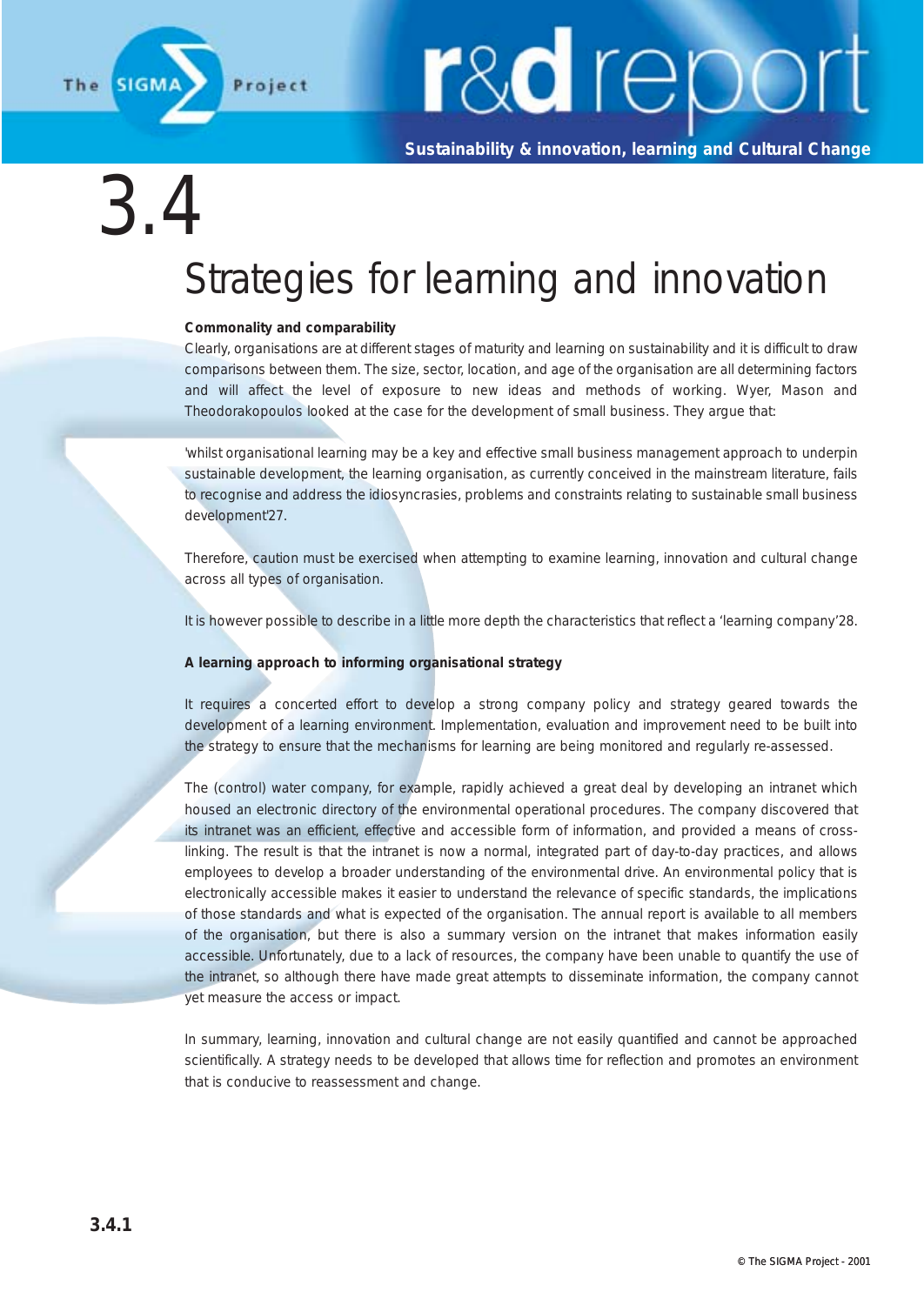

**Sustainability & innovation, learning and Cultural Change**

### $3.4$

### Strategies for learning and innovation

#### **Commonality and comparability**

Clearly, organisations are at different stages of maturity and learning on sustainability and it is difficult to draw comparisons between them. The size, sector, location, and age of the organisation are all determining factors and will affect the level of exposure to new ideas and methods of working. Wyer, Mason and Theodorakopoulos looked at the case for the development of small business. They argue that:

'whilst organisational learning may be a key and effective small business management approach to underpin sustainable development, the learning organisation, as currently conceived in the mainstream literature, fails to recognise and address the idiosyncrasies, problems and constraints relating to sustainable small business development'27.

Therefore, caution must be exercised when attempting to examine learning, innovation and cultural change across all types of organisation.

It is however possible to describe in a little more depth the characteristics that reflect a 'learning company'28.

#### **A learning approach to informing organisational strategy**

It requires a concerted effort to develop a strong company policy and strategy geared towards the development of a learning environment. Implementation, evaluation and improvement need to be built into the strategy to ensure that the mechanisms for learning are being monitored and regularly re-assessed.

The (control) water company, for example, rapidly achieved a great deal by developing an intranet which housed an electronic directory of the environmental operational procedures. The company discovered that its intranet was an efficient, effective and accessible form of information, and provided a means of crosslinking. The result is that the intranet is now a normal, integrated part of day-to-day practices, and allows employees to develop a broader understanding of the environmental drive. An environmental policy that is electronically accessible makes it easier to understand the relevance of specific standards, the implications of those standards and what is expected of the organisation. The annual report is available to all members of the organisation, but there is also a summary version on the intranet that makes information easily accessible. Unfortunately, due to a lack of resources, the company have been unable to quantify the use of the intranet, so although there have made great attempts to disseminate information, the company cannot yet measure the access or impact.

In summary, learning, innovation and cultural change are not easily quantified and cannot be approached scientifically. A strategy needs to be developed that allows time for reflection and promotes an environment that is conducive to reassessment and change.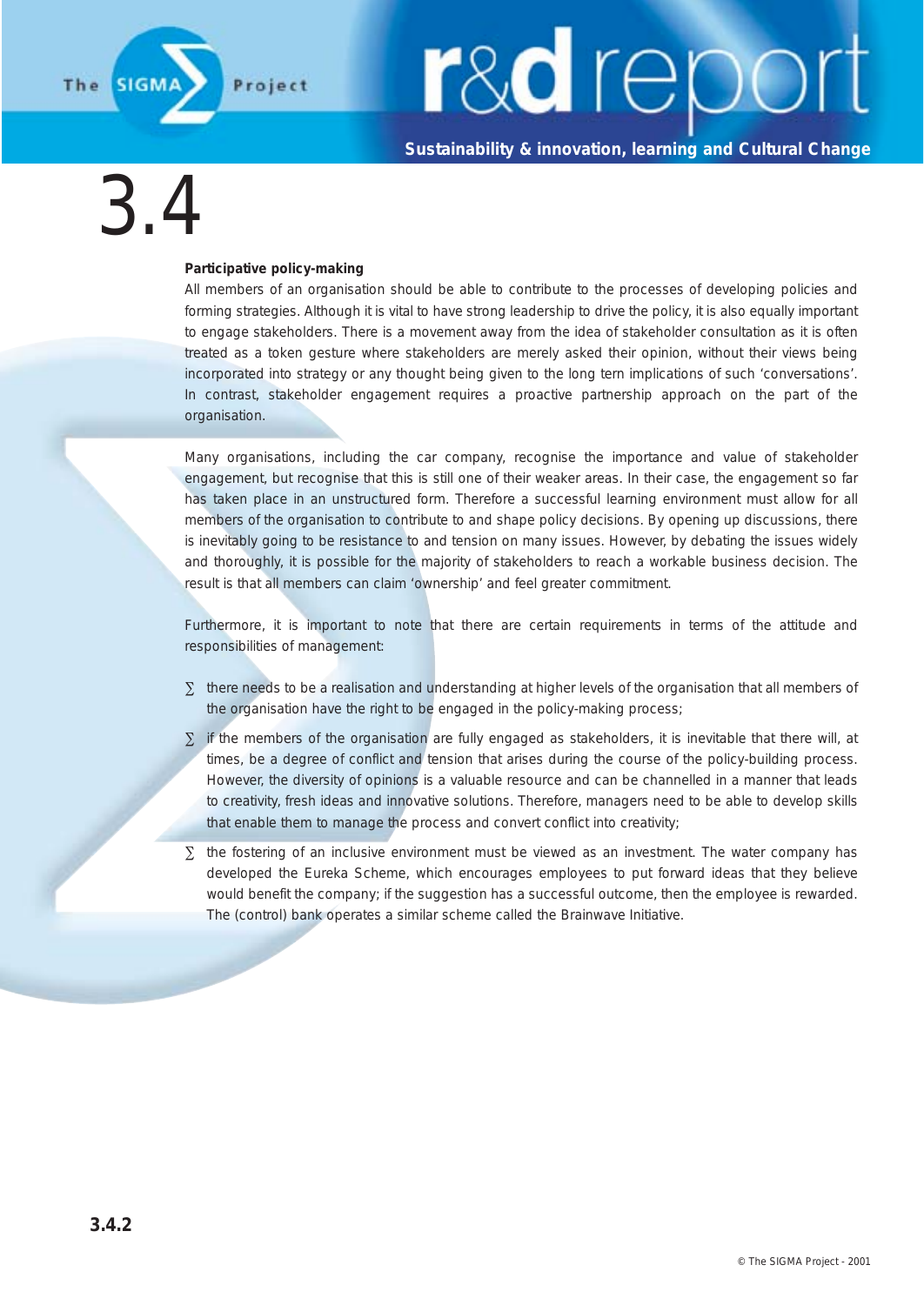

**Sustainability & innovation, learning and Cultural Change**

3.4

#### **Participative policy-making**

All members of an organisation should be able to contribute to the processes of developing policies and forming strategies. Although it is vital to have strong leadership to drive the policy, it is also equally important to engage stakeholders. There is a movement away from the idea of stakeholder consultation as it is often treated as a token gesture where stakeholders are merely asked their opinion, without their views being incorporated into strategy or any thought being given to the long tern implications of such 'conversations'. In contrast, stakeholder engagement requires a proactive partnership approach on the part of the organisation.

Many organisations, including the car company, recognise the importance and value of stakeholder engagement, but recognise that this is still one of their weaker areas. In their case, the engagement so far has taken place in an unstructured form. Therefore a successful learning environment must allow for all members of the organisation to contribute to and shape policy decisions. By opening up discussions, there is inevitably going to be resistance to and tension on many issues. However, by debating the issues widely and thoroughly, it is possible for the majority of stakeholders to reach a workable business decision. The result is that all members can claim 'ownership' and feel greater commitment.

Furthermore, it is important to note that there are certain requirements in terms of the attitude and responsibilities of management:

- ∑ there needs to be a realisation and understanding at higher levels of the organisation that all members of the organisation have the right to be engaged in the policy-making process;
- ∑ if the members of the organisation are fully engaged as stakeholders, it is inevitable that there will, at times, be a degree of conflict and tension that arises during the course of the policy-building process. However, the diversity of opinions is a valuable resource and can be channelled in a manner that leads to creativity, fresh ideas and innovative solutions. Therefore, managers need to be able to develop skills that enable them to manage the process and convert conflict into creativity;
- ∑ the fostering of an inclusive environment must be viewed as an investment. The water company has developed the Eureka Scheme, which encourages employees to put forward ideas that they believe would benefit the company; if the suggestion has a successful outcome, then the employee is rewarded. The (control) bank operates a similar scheme called the Brainwave Initiative.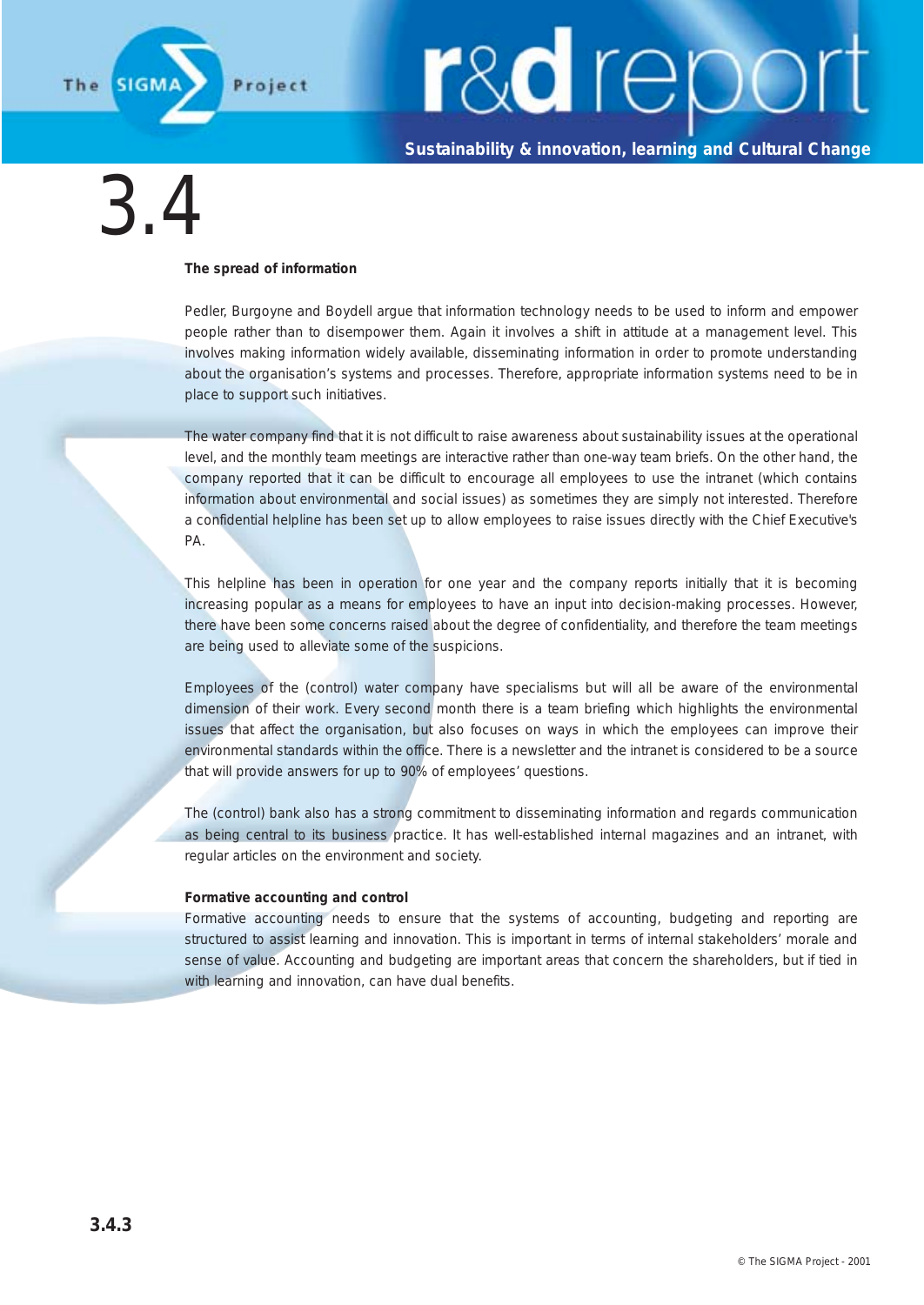

**Sustainability & innovation, learning and Cultural Change**

### 3.4

#### **The spread of information**

Pedler, Burgoyne and Boydell argue that information technology needs to be used to inform and empower people rather than to disempower them. Again it involves a shift in attitude at a management level. This involves making information widely available, disseminating information in order to promote understanding about the organisation's systems and processes. Therefore, appropriate information systems need to be in place to support such initiatives.

The water company find that it is not difficult to raise awareness about sustainability issues at the operational level, and the monthly team meetings are interactive rather than one-way team briefs. On the other hand, the company reported that it can be difficult to encourage all employees to use the intranet (which contains information about environmental and social issues) as sometimes they are simply not interested. Therefore a confidential helpline has been set up to allow employees to raise issues directly with the Chief Executive's PA.

This helpline has been in operation for one year and the company reports initially that it is becoming increasing popular as a means for employees to have an input into decision-making processes. However, there have been some concerns raised about the degree of confidentiality, and therefore the team meetings are being used to alleviate some of the suspicions.

Employees of the (control) water company have specialisms but will all be aware of the environmental dimension of their work. Every second month there is a team briefing which highlights the environmental issues that affect the organisation, but also focuses on ways in which the employees can improve their environmental standards within the office. There is a newsletter and the intranet is considered to be a source that will provide answers for up to 90% of employees' questions.

The (control) bank also has a strong commitment to disseminating information and regards communication as being central to its business practice. It has well-established internal magazines and an intranet, with regular articles on the environment and society.

#### **Formative accounting and control**

Formative accounting needs to ensure that the systems of accounting, budgeting and reporting are structured to assist learning and innovation. This is important in terms of internal stakeholders' morale and sense of value. Accounting and budgeting are important areas that concern the shareholders, but if tied in with learning and innovation, can have dual benefits.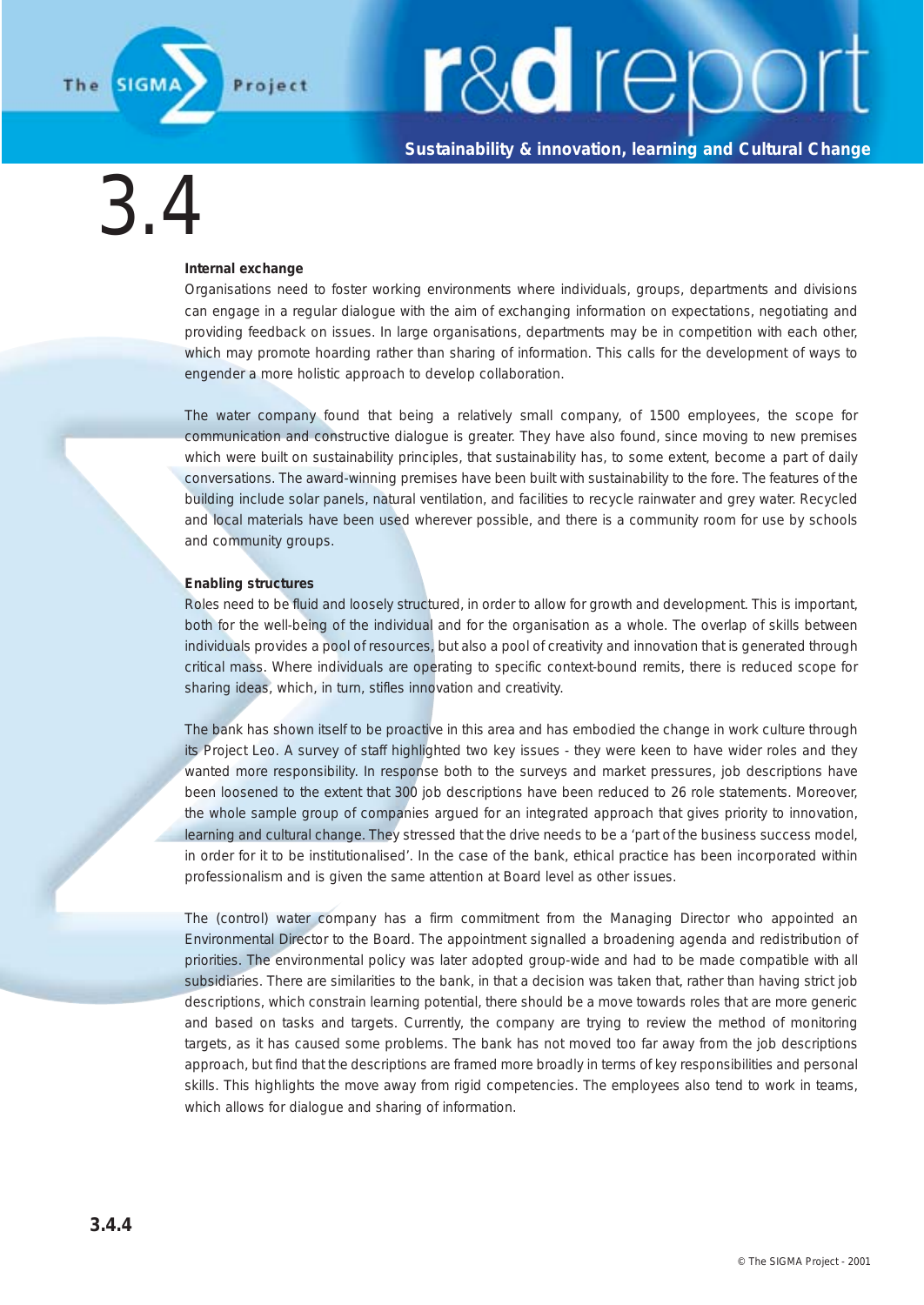

**Sustainability & innovation, learning and Cultural Change**

3.4

#### **Internal exchange**

Organisations need to foster working environments where individuals, groups, departments and divisions can engage in a regular dialogue with the aim of exchanging information on expectations, negotiating and providing feedback on issues. In large organisations, departments may be in competition with each other, which may promote hoarding rather than sharing of information. This calls for the development of ways to engender a more holistic approach to develop collaboration.

The water company found that being a relatively small company, of 1500 employees, the scope for communication and constructive dialogue is greater. They have also found, since moving to new premises which were built on sustainability principles, that sustainability has, to some extent, become a part of daily conversations. The award-winning premises have been built with sustainability to the fore. The features of the building include solar panels, natural ventilation, and facilities to recycle rainwater and grey water. Recycled and local materials have been used wherever possible, and there is a community room for use by schools and community groups.

#### **Enabling structures**

Roles need to be fluid and loosely structured, in order to allow for growth and development. This is important, both for the well-being of the individual and for the organisation as a whole. The overlap of skills between individuals provides a pool of resources, but also a pool of creativity and innovation that is generated through critical mass. Where individuals are operating to specific context-bound remits, there is reduced scope for sharing ideas, which, in turn, stifles innovation and creativity.

The bank has shown itself to be proactive in this area and has embodied the change in work culture through its Project Leo. A survey of staff highlighted two key issues - they were keen to have wider roles and they wanted more responsibility. In response both to the surveys and market pressures, job descriptions have been loosened to the extent that 300 job descriptions have been reduced to 26 role statements. Moreover, the whole sample group of companies argued for an integrated approach that gives priority to innovation, learning and cultural change. They stressed that the drive needs to be a 'part of the business success model, in order for it to be institutionalised'. In the case of the bank, ethical practice has been incorporated within professionalism and is given the same attention at Board level as other issues.

The (control) water company has a firm commitment from the Managing Director who appointed an Environmental Director to the Board. The appointment signalled a broadening agenda and redistribution of priorities. The environmental policy was later adopted group-wide and had to be made compatible with all subsidiaries. There are similarities to the bank, in that a decision was taken that, rather than having strict job descriptions, which constrain learning potential, there should be a move towards roles that are more generic and based on tasks and targets. Currently, the company are trying to review the method of monitoring targets, as it has caused some problems. The bank has not moved too far away from the job descriptions approach, but find that the descriptions are framed more broadly in terms of key responsibilities and personal skills. This highlights the move away from rigid competencies. The employees also tend to work in teams, which allows for dialogue and sharing of information.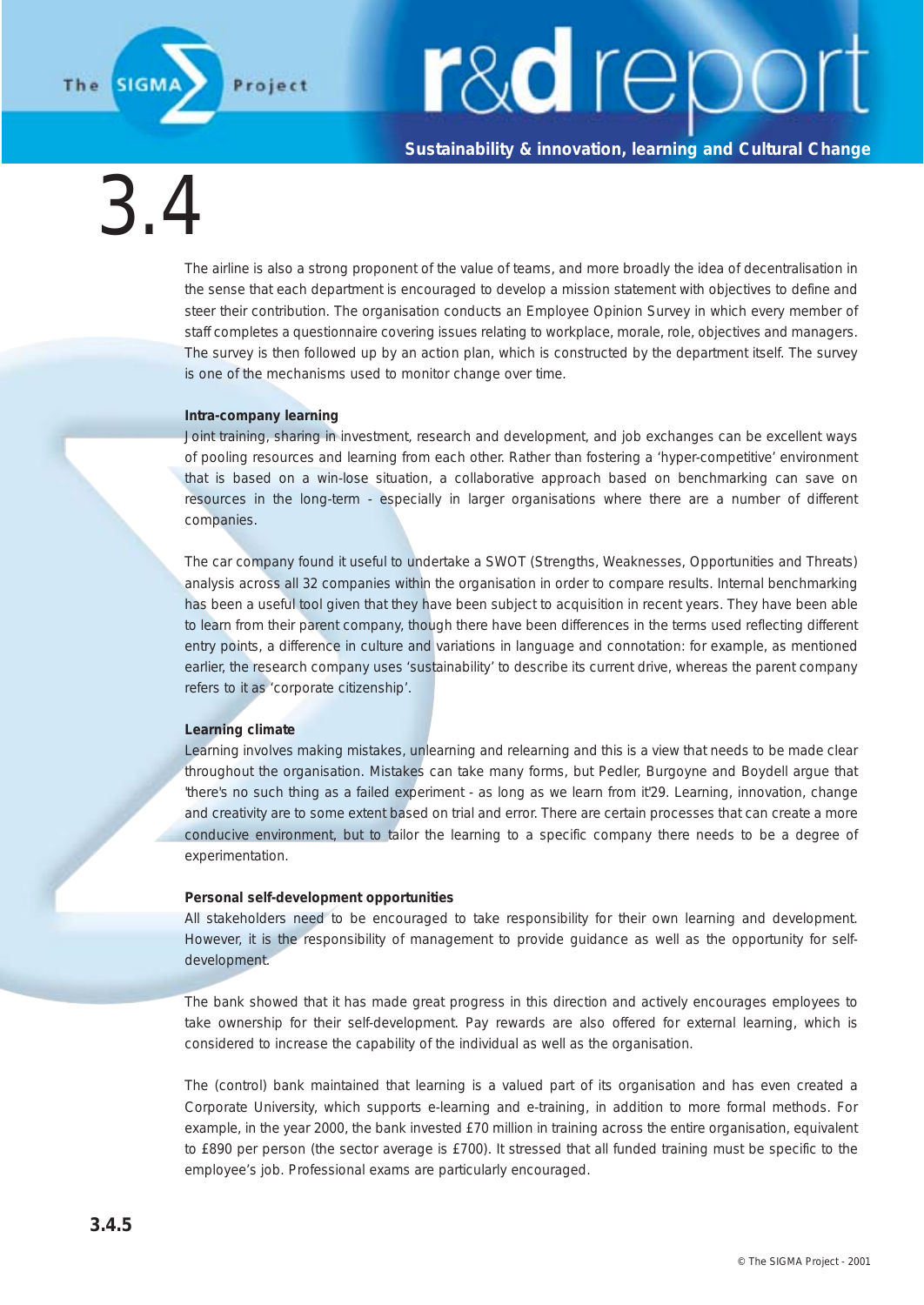**Sustainability & innovation, learning and Cultural Change**

3.4

**SIGN** 

The

The airline is also a strong proponent of the value of teams, and more broadly the idea of decentralisation in the sense that each department is encouraged to develop a mission statement with objectives to define and steer their contribution. The organisation conducts an Employee Opinion Survey in which every member of staff completes a questionnaire covering issues relating to workplace, morale, role, objectives and managers. The survey is then followed up by an action plan, which is constructed by the department itself. The survey is one of the mechanisms used to monitor change over time.

#### **Intra-company learning**

Joint training, sharing in investment, research and development, and job exchanges can be excellent ways of pooling resources and learning from each other. Rather than fostering a 'hyper-competitive' environment that is based on a win-lose situation, a collaborative approach based on benchmarking can save on resources in the long-term - especially in larger organisations where there are a number of different companies.

The car company found it useful to undertake a SWOT (Strengths, Weaknesses, Opportunities and Threats) analysis across all 32 companies within the organisation in order to compare results. Internal benchmarking has been a useful tool given that they have been subject to acquisition in recent years. They have been able to learn from their parent company, though there have been differences in the terms used reflecting different entry points, a difference in culture and variations in language and connotation: for example, as mentioned earlier, the research company uses 'sustainability' to describe its current drive, whereas the parent company refers to it as 'corporate citizenship'.

#### **Learning climate**

Learning involves making mistakes, unlearning and relearning and this is a view that needs to be made clear throughout the organisation. Mistakes can take many forms, but Pedler, Burgoyne and Boydell argue that 'there's no such thing as a failed experiment - as long as we learn from it'29. Learning, innovation, change and creativity are to some extent based on trial and error. There are certain processes that can create a more conducive environment, but to tailor the learning to a specific company there needs to be a degree of experimentation.

#### **Personal self-development opportunities**

All stakeholders need to be encouraged to take responsibility for their own learning and development. However, it is the responsibility of management to provide guidance as well as the opportunity for selfdevelopment.

The bank showed that it has made great progress in this direction and actively encourages employees to take ownership for their self-development. Pay rewards are also offered for external learning, which is considered to increase the capability of the individual as well as the organisation.

The (control) bank maintained that learning is a valued part of its organisation and has even created a Corporate University, which supports e-learning and e-training, in addition to more formal methods. For example, in the year 2000, the bank invested £70 million in training across the entire organisation, equivalent to £890 per person (the sector average is £700). It stressed that all funded training must be specific to the employee's job. Professional exams are particularly encouraged.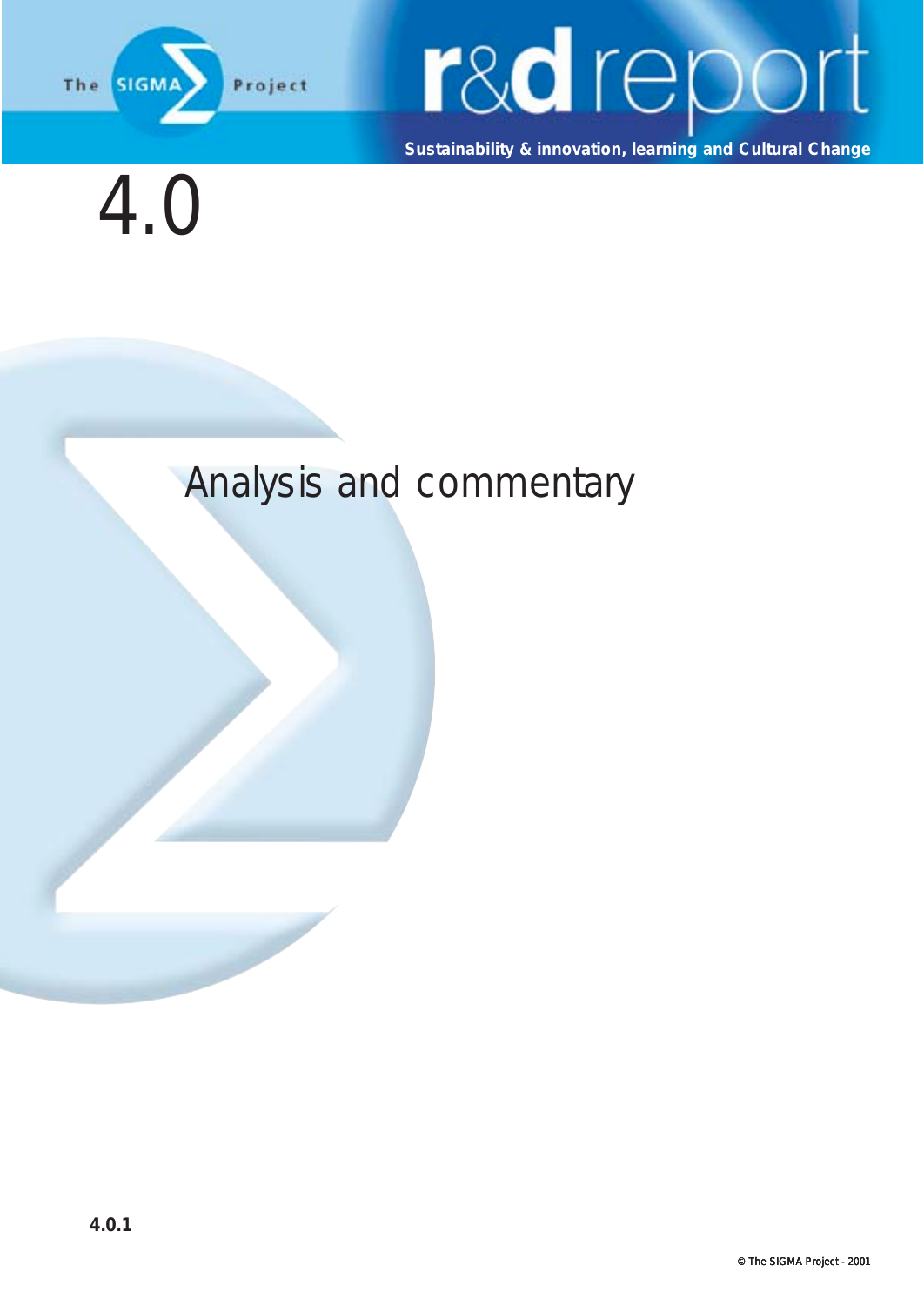

**Sustainability & innovation, learning and Cultural Change**



#### Analysis and commentary

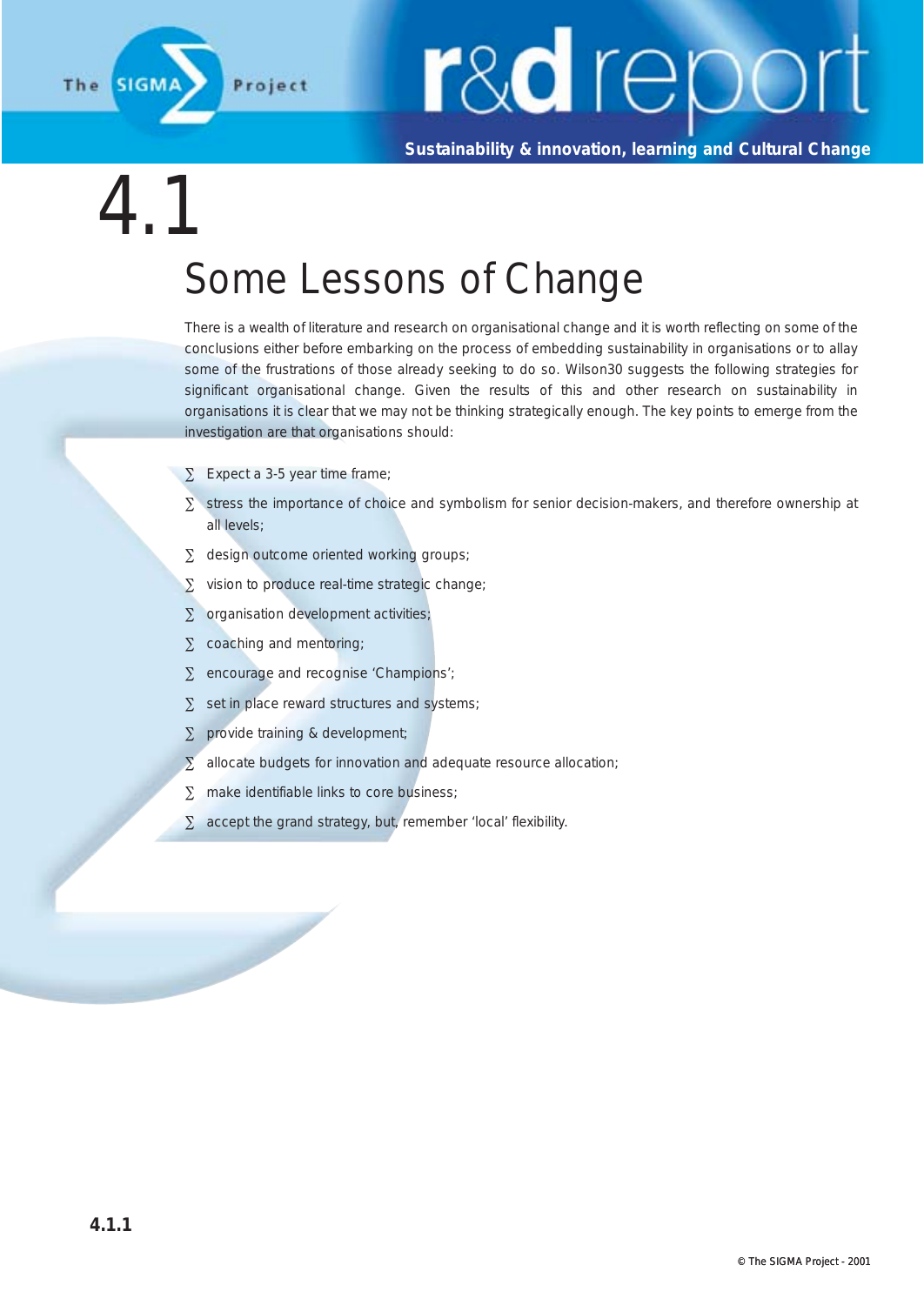

**Sustainability & innovation, learning and Cultural Change**

4.1

#### Some Lessons of Change

There is a wealth of literature and research on organisational change and it is worth reflecting on some of the conclusions either before embarking on the process of embedding sustainability in organisations or to allay some of the frustrations of those already seeking to do so. Wilson30 suggests the following strategies for significant organisational change. Given the results of this and other research on sustainability in organisations it is clear that we may not be thinking strategically enough. The key points to emerge from the investigation are that organisations should:

- ∑ Expect a 3-5 year time frame;
- ∑ stress the importance of choice and symbolism for senior decision-makers, and therefore ownership at all levels;
- ∑ design outcome oriented working groups;
- ∑ vision to produce real-time strategic change;
- ∑ organisation development activities;
- ∑ coaching and mentoring;

- ∑ encourage and recognise 'Champions';
- ∑ set in place reward structures and systems;
- ∑ provide training & development;
- ∑ allocate budgets for innovation and adequate resource allocation;
- ∑ make identifiable links to core business;
- ∑ accept the grand strategy, but, remember 'local' flexibility.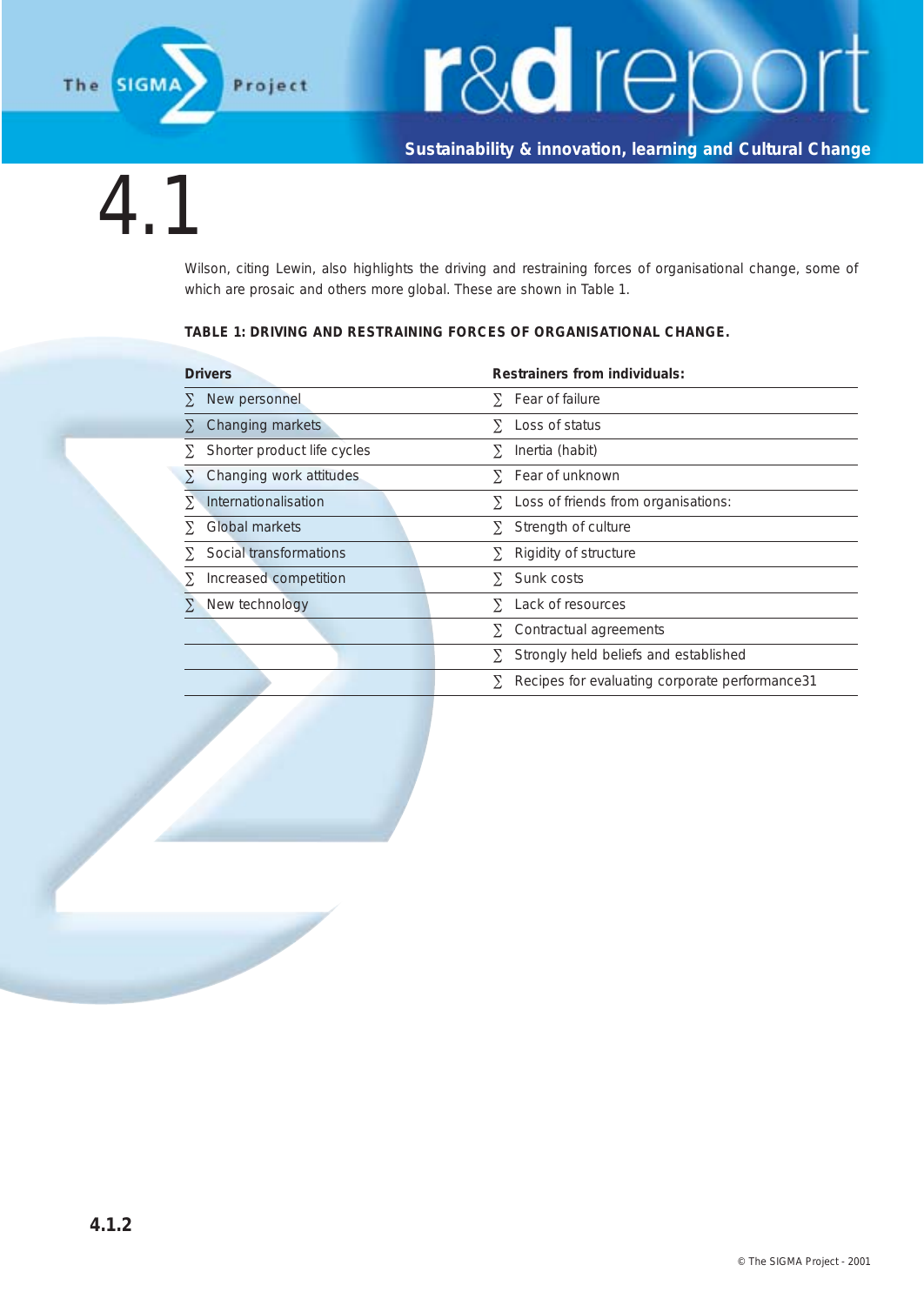

**Sustainability & innovation, learning and Cultural Change**

4.1

Wilson, citing Lewin, also highlights the driving and restraining forces of organisational change, some of which are prosaic and others more global. These are shown in Table 1.

#### **TABLE 1: DRIVING AND RESTRAINING FORCES OF ORGANISATIONAL CHANGE.**

| <b>Drivers</b>              |          | Restrainers from individuals:                   |  |
|-----------------------------|----------|-------------------------------------------------|--|
| New personnel               | Y.       | Fear of failure                                 |  |
| Changing markets            | $\Sigma$ | Loss of status                                  |  |
| Shorter product life cycles | Y.       | Inertia (habit)                                 |  |
| Changing work attitudes     |          | $\Sigma$ Fear of unknown                        |  |
| Internationalisation        |          | Loss of friends from organisations:             |  |
| Global markets              | Y.       | Strength of culture                             |  |
| Social transformations      |          | Rigidity of structure                           |  |
| Increased competition       | Y.       | Sunk costs                                      |  |
| New technology              | Y.       | Lack of resources                               |  |
|                             |          | Contractual agreements                          |  |
|                             |          | Strongly held beliefs and established           |  |
|                             |          | Recipes for evaluating corporate performance 31 |  |
|                             |          | $\Sigma$<br>Y.<br>Σ.<br>Y.                      |  |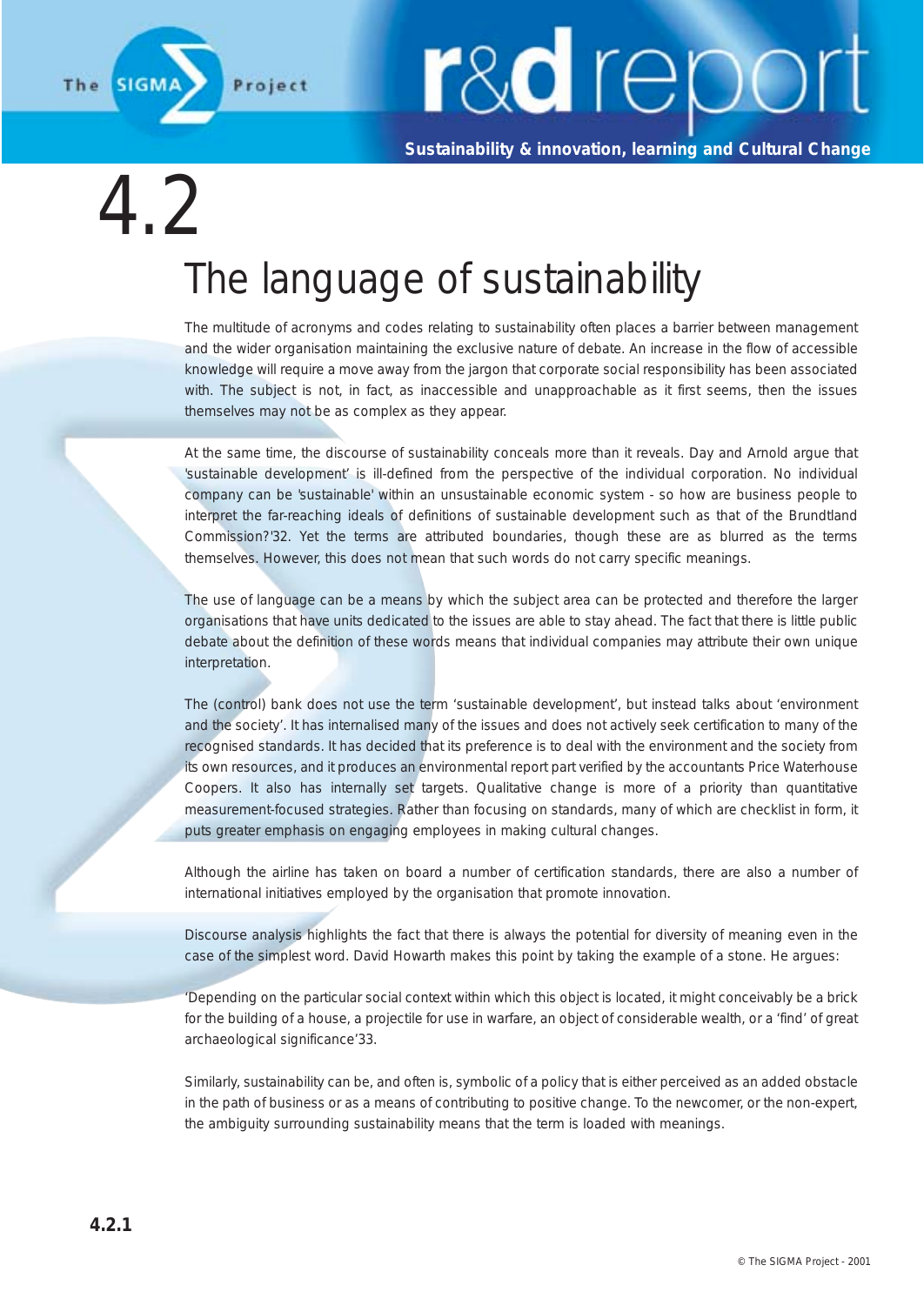

**Sustainability & innovation, learning and Cultural Change**

 $\left\langle 1\right\rangle$ 

### The language of sustainability

The multitude of acronyms and codes relating to sustainability often places a barrier between management and the wider organisation maintaining the exclusive nature of debate. An increase in the flow of accessible knowledge will require a move away from the jargon that corporate social responsibility has been associated with. The subject is not, in fact, as inaccessible and unapproachable as it first seems, then the issues themselves may not be as complex as they appear.

At the same time, the discourse of sustainability conceals more than it reveals. Day and Arnold argue that 'sustainable development' is ill-defined from the perspective of the individual corporation. No individual company can be 'sustainable' within an unsustainable economic system - so how are business people to interpret the far-reaching ideals of definitions of sustainable development such as that of the Brundtland Commission?'32. Yet the terms are attributed boundaries, though these are as blurred as the terms themselves. However, this does not mean that such words do not carry specific meanings.

The use of language can be a means by which the subject area can be protected and therefore the larger organisations that have units dedicated to the issues are able to stay ahead. The fact that there is little public debate about the definition of these words means that individual companies may attribute their own unique interpretation.

The (control) bank does not use the term 'sustainable development', but instead talks about 'environment and the society'. It has internalised many of the issues and does not actively seek certification to many of the recognised standards. It has decided that its preference is to deal with the environment and the society from its own resources, and it produces an environmental report part verified by the accountants Price Waterhouse Coopers. It also has internally set targets. Qualitative change is more of a priority than quantitative measurement-focused strategies. Rather than focusing on standards, many of which are checklist in form, it puts greater emphasis on engaging employees in making cultural changes.

Although the airline has taken on board a number of certification standards, there are also a number of international initiatives employed by the organisation that promote innovation.

Discourse analysis highlights the fact that there is always the potential for diversity of meaning even in the case of the simplest word. David Howarth makes this point by taking the example of a stone. He argues:

'Depending on the particular social context within which this object is located, it might conceivably be a brick for the building of a house, a projectile for use in warfare, an object of considerable wealth, or a 'find' of great archaeological significance'33.

Similarly, sustainability can be, and often is, symbolic of a policy that is either perceived as an added obstacle in the path of business or as a means of contributing to positive change. To the newcomer, or the non-expert, the ambiguity surrounding sustainability means that the term is loaded with meanings.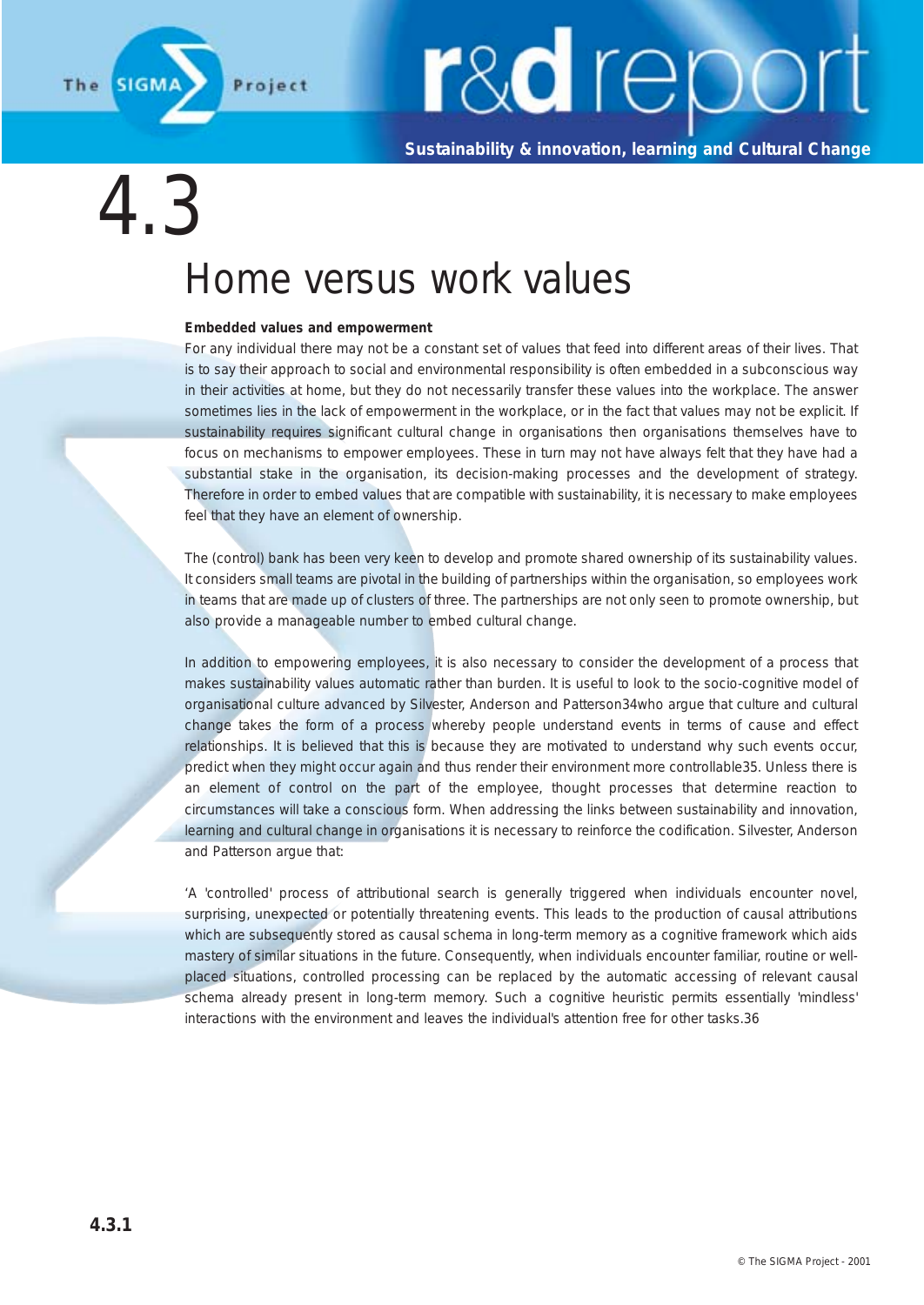

**Sustainability & innovation, learning and Cultural Change**

### 4.3 Home versus work values

#### **Embedded values and empowerment**

For any individual there may not be a constant set of values that feed into different areas of their lives. That is to say their approach to social and environmental responsibility is often embedded in a subconscious way in their activities at home, but they do not necessarily transfer these values into the workplace. The answer sometimes lies in the lack of empowerment in the workplace, or in the fact that values may not be explicit. If sustainability requires significant cultural change in organisations then organisations themselves have to focus on mechanisms to empower employees. These in turn may not have always felt that they have had a substantial stake in the organisation, its decision-making processes and the development of strategy. Therefore in order to embed values that are compatible with sustainability, it is necessary to make employees feel that they have an element of ownership.

The (control) bank has been very keen to develop and promote shared ownership of its sustainability values. It considers small teams are pivotal in the building of partnerships within the organisation, so employees work in teams that are made up of clusters of three. The partnerships are not only seen to promote ownership, but also provide a manageable number to embed cultural change.

In addition to empowering employees, it is also necessary to consider the development of a process that makes sustainability values automatic rather than burden. It is useful to look to the socio-cognitive model of organisational culture advanced by Silvester, Anderson and Patterson34who argue that culture and cultural change takes the form of a process whereby people understand events in terms of cause and effect relationships. It is believed that this is because they are motivated to understand why such events occur, predict when they might occur again and thus render their environment more controllable35. Unless there is an element of control on the part of the employee, thought processes that determine reaction to circumstances will take a conscious form. When addressing the links between sustainability and innovation, learning and cultural change in organisations it is necessary to reinforce the codification. Silvester, Anderson and Patterson argue that:

'A 'controlled' process of attributional search is generally triggered when individuals encounter novel, surprising, unexpected or potentially threatening events. This leads to the production of causal attributions which are subsequently stored as causal schema in long-term memory as a cognitive framework which aids mastery of similar situations in the future. Consequently, when individuals encounter familiar, routine or wellplaced situations, controlled processing can be replaced by the automatic accessing of relevant causal schema already present in long-term memory. Such a cognitive heuristic permits essentially 'mindless' interactions with the environment and leaves the individual's attention free for other tasks.36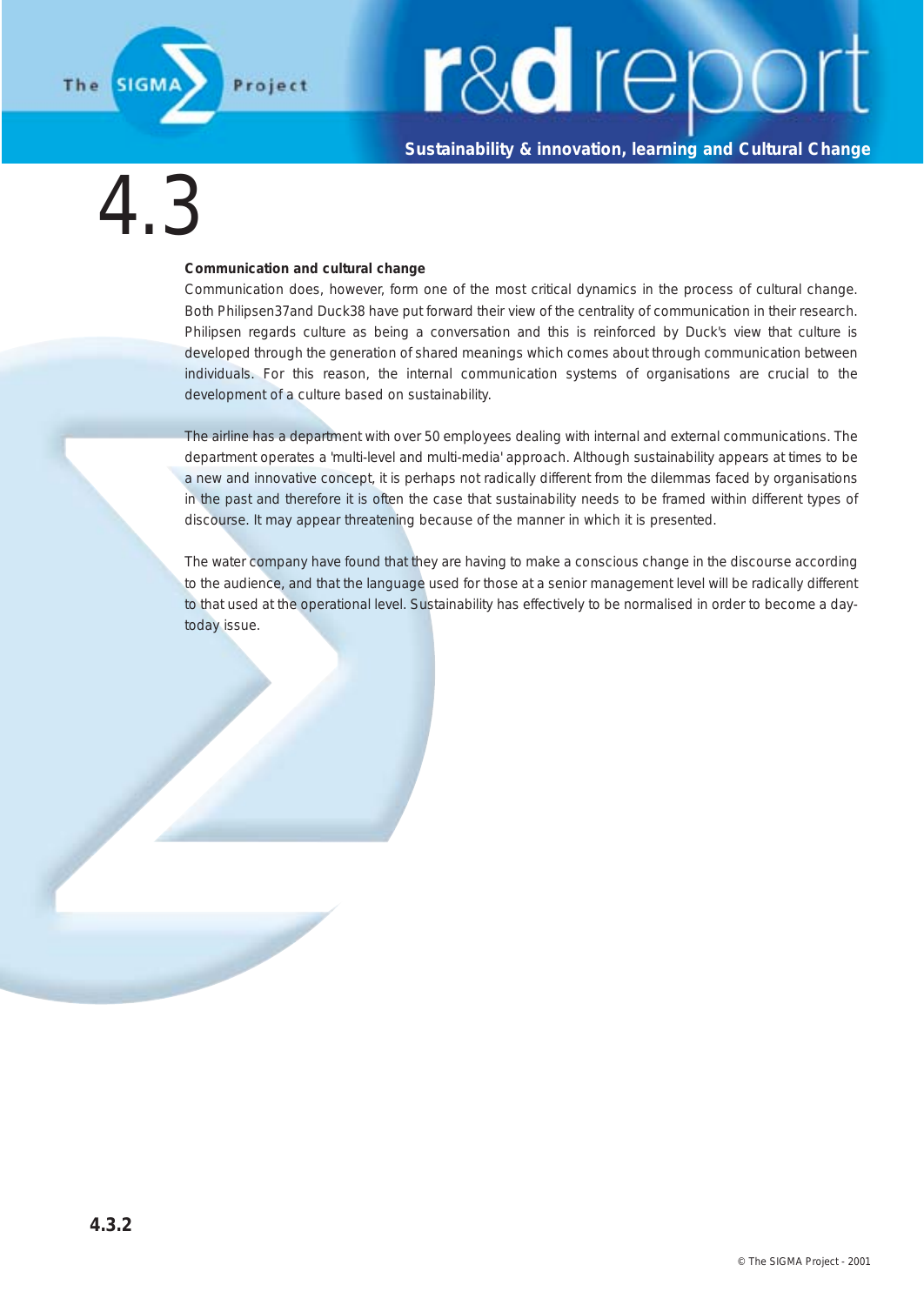

**Sustainability & innovation, learning and Cultural Change**

### 4.3

#### **Communication and cultural change**

Communication does, however, form one of the most critical dynamics in the process of cultural change. Both Philipsen37and Duck38 have put forward their view of the centrality of communication in their research. Philipsen regards culture as being a conversation and this is reinforced by Duck's view that culture is developed through the generation of shared meanings which comes about through communication between individuals. For this reason, the internal communication systems of organisations are crucial to the development of a culture based on sustainability.

The airline has a department with over 50 employees dealing with internal and external communications. The department operates a 'multi-level and multi-media' approach. Although sustainability appears at times to be a new and innovative concept, it is perhaps not radically different from the dilemmas faced by organisations in the past and therefore it is often the case that sustainability needs to be framed within different types of discourse. It may appear threatening because of the manner in which it is presented.

The water company have found that they are having to make a conscious change in the discourse according to the audience, and that the language used for those at a senior management level will be radically different to that used at the operational level. Sustainability has effectively to be normalised in order to become a daytoday issue.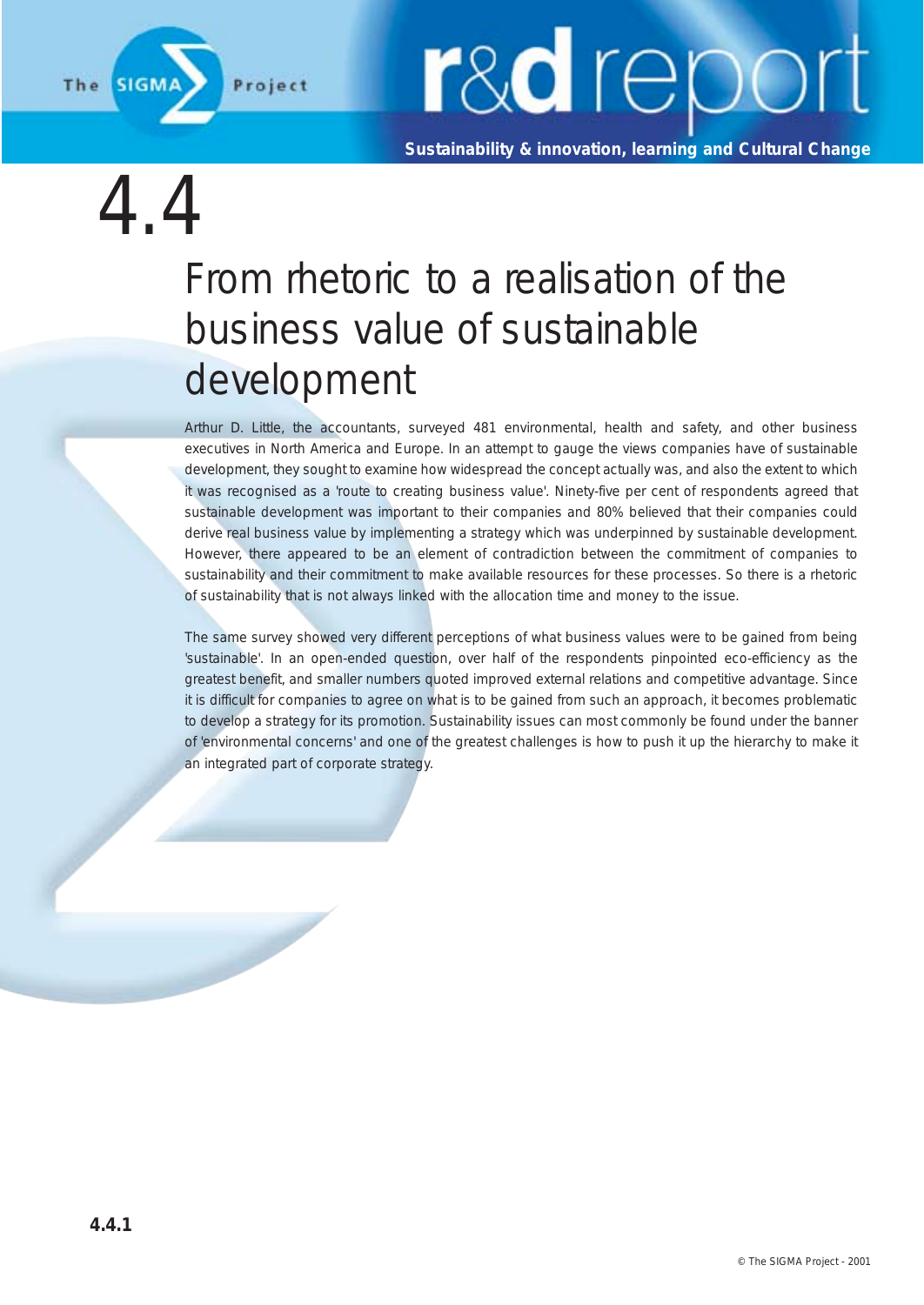

**Sustainability & innovation, learning and Cultural Change**

4.4

### From rhetoric to a realisation of the business value of sustainable development

Arthur D. Little, the accountants, surveyed 481 environmental, health and safety, and other business executives in North America and Europe. In an attempt to gauge the views companies have of sustainable development, they sought to examine how widespread the concept actually was, and also the extent to which it was recognised as a 'route to creating business value'. Ninety-five per cent of respondents agreed that sustainable development was important to their companies and 80% believed that their companies could derive real business value by implementing a strategy which was underpinned by sustainable development. However, there appeared to be an element of contradiction between the commitment of companies to sustainability and their commitment to make available resources for these processes. So there is a rhetoric of sustainability that is not always linked with the allocation time and money to the issue.

The same survey showed very different perceptions of what business values were to be gained from being 'sustainable'. In an open-ended question, over half of the respondents pinpointed eco-efficiency as the greatest benefit, and smaller numbers quoted improved external relations and competitive advantage. Since it is difficult for companies to agree on what is to be gained from such an approach, it becomes problematic to develop a strategy for its promotion. Sustainability issues can most commonly be found under the banner of 'environmental concerns' and one of the greatest challenges is how to push it up the hierarchy to make it an integrated part of corporate strategy.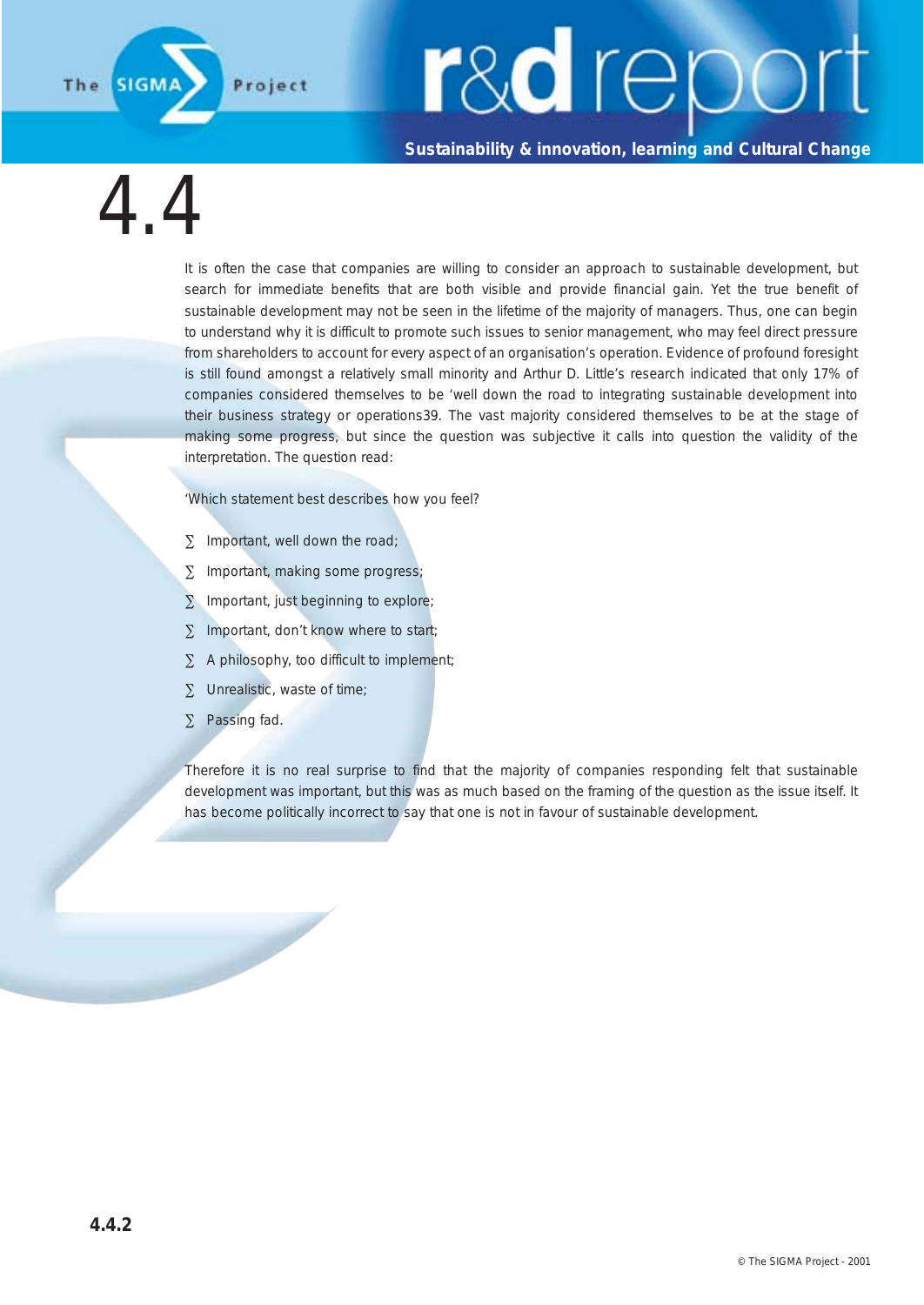**Sustainability & innovation, learning and Cultural Change**

4.4

**SIGM** 

The

It is often the case that companies are willing to consider an approach to sustainable development, but search for immediate benefits that are both visible and provide financial gain. Yet the true benefit of sustainable development may not be seen in the lifetime of the majority of managers. Thus, one can begin to understand why it is difficult to promote such issues to senior management, who may feel direct pressure from shareholders to account for every aspect of an organisation's operation. Evidence of profound foresight is still found amongst a relatively small minority and Arthur D. Little's research indicated that only 17% of companies considered themselves to be 'well down the road to integrating sustainable development into their business strategy or operations39. The vast majority considered themselves to be at the stage of making some progress, but since the question was subjective it calls into question the validity of the interpretation. The question read:

'Which statement best describes how you feel?

- ∑ Important, well down the road;
- ∑ Important, making some progress;
- ∑ Important, just beginning to explore;
- ∑ Important, don't know where to start;
- ∑ A philosophy, too difficult to implement;
- ∑ Unrealistic, waste of time;

∑ Passing fad.

Therefore it is no real surprise to find that the majority of companies responding felt that sustainable development was important, but this was as much based on the framing of the question as the issue itself. It has become politically incorrect to say that one is not in favour of sustainable development.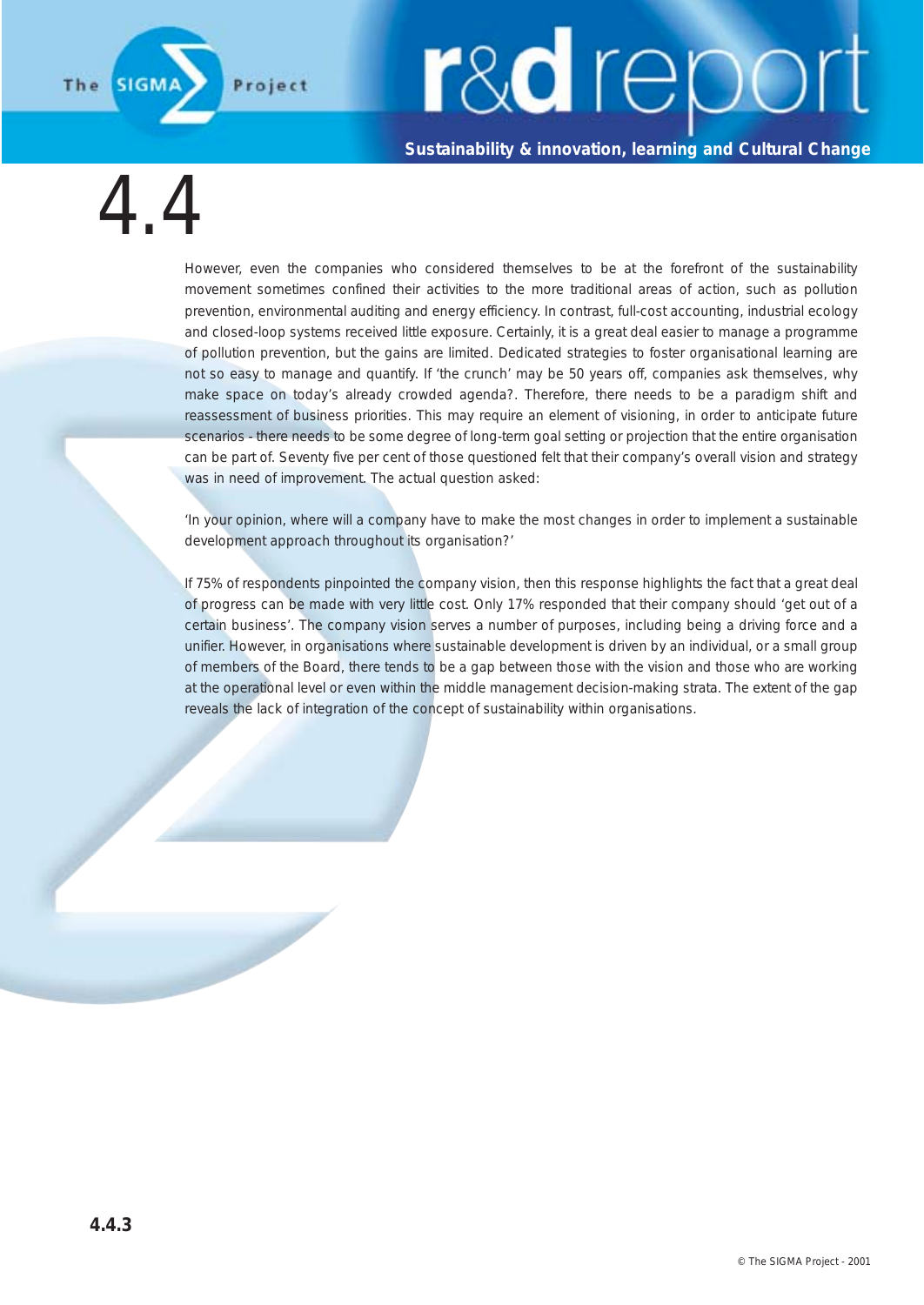**Sustainability & innovation, learning and Cultural Change**

4.4

The

However, even the companies who considered themselves to be at the forefront of the sustainability movement sometimes confined their activities to the more traditional areas of action, such as pollution prevention, environmental auditing and energy efficiency. In contrast, full-cost accounting, industrial ecology and closed-loop systems received little exposure. Certainly, it is a great deal easier to manage a programme of pollution prevention, but the gains are limited. Dedicated strategies to foster organisational learning are not so easy to manage and quantify. If 'the crunch' may be 50 years off, companies ask themselves, why make space on today's already crowded agenda?. Therefore, there needs to be a paradigm shift and reassessment of business priorities. This may require an element of visioning, in order to anticipate future scenarios - there needs to be some degree of long-term goal setting or projection that the entire organisation can be part of. Seventy five per cent of those questioned felt that their company's overall vision and strategy was in need of improvement. The actual question asked:

'In your opinion, where will a company have to make the most changes in order to implement a sustainable development approach throughout its organisation?'

If 75% of respondents pinpointed the company vision, then this response highlights the fact that a great deal of progress can be made with very little cost. Only 17% responded that their company should 'get out of a certain business'. The company vision serves a number of purposes, including being a driving force and a unifier. However, in organisations where sustainable development is driven by an individual, or a small group of members of the Board, there tends to be a gap between those with the vision and those who are working at the operational level or even within the middle management decision-making strata. The extent of the gap reveals the lack of integration of the concept of sustainability within organisations.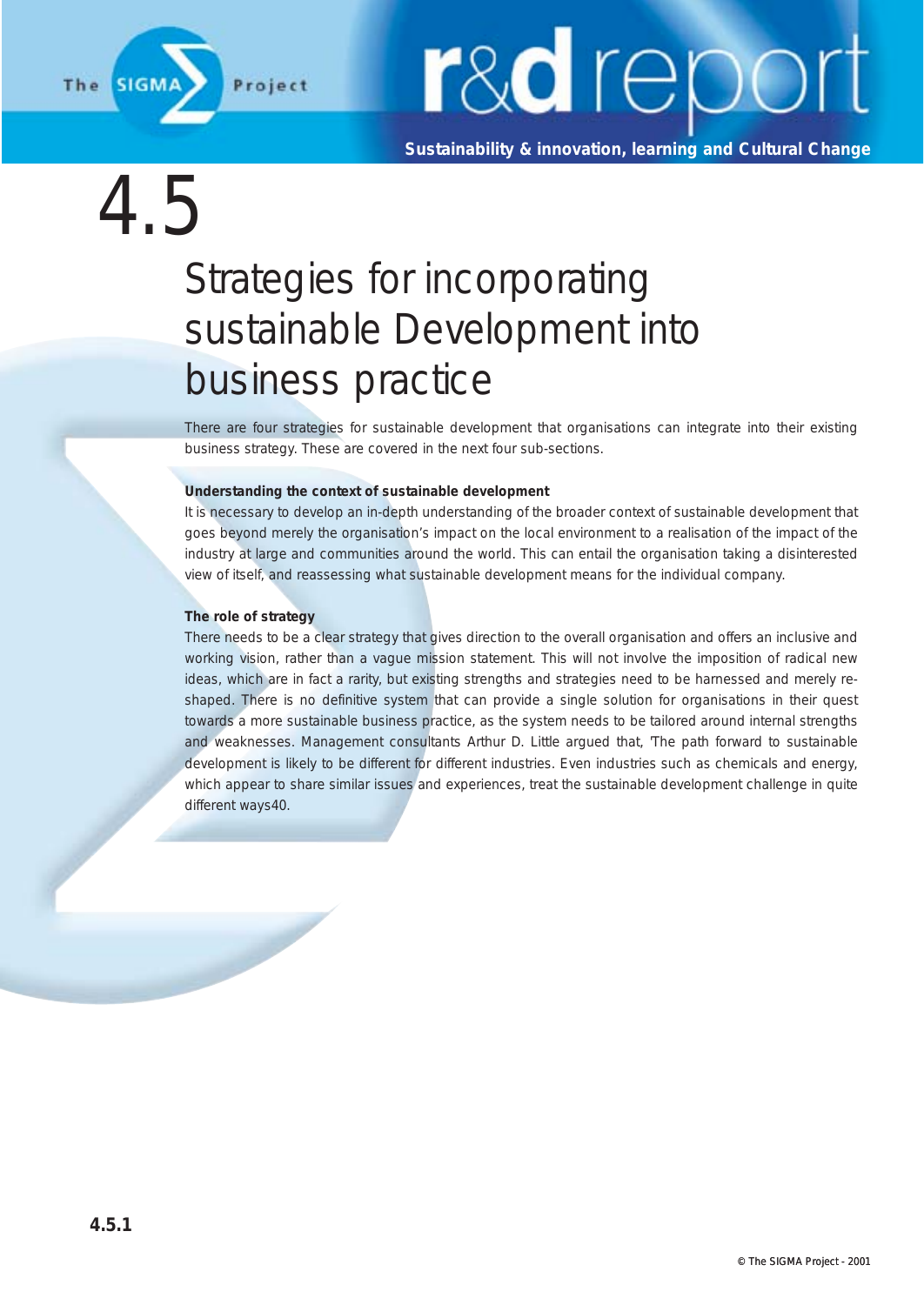

**Sustainability & innovation, learning and Cultural Change**

4.5

### Strategies for incorporating sustainable Development into business practice

There are four strategies for sustainable development that organisations can integrate into their existing business strategy. These are covered in the next four sub-sections.

#### **Understanding the context of sustainable development**

It is necessary to develop an in-depth understanding of the broader context of sustainable development that goes beyond merely the organisation's impact on the local environment to a realisation of the impact of the industry at large and communities around the world. This can entail the organisation taking a disinterested view of itself, and reassessing what sustainable development means for the individual company.

#### **The role of strategy**

There needs to be a clear strategy that gives direction to the overall organisation and offers an inclusive and working vision, rather than a vague mission statement. This will not involve the imposition of radical new ideas, which are in fact a rarity, but existing strengths and strategies need to be harnessed and merely reshaped. There is no definitive system that can provide a single solution for organisations in their quest towards a more sustainable business practice, as the system needs to be tailored around internal strengths and weaknesses. Management consultants Arthur D. Little argued that, 'The path forward to sustainable development is likely to be different for different industries. Even industries such as chemicals and energy, which appear to share similar issues and experiences, treat the sustainable development challenge in quite different ways40.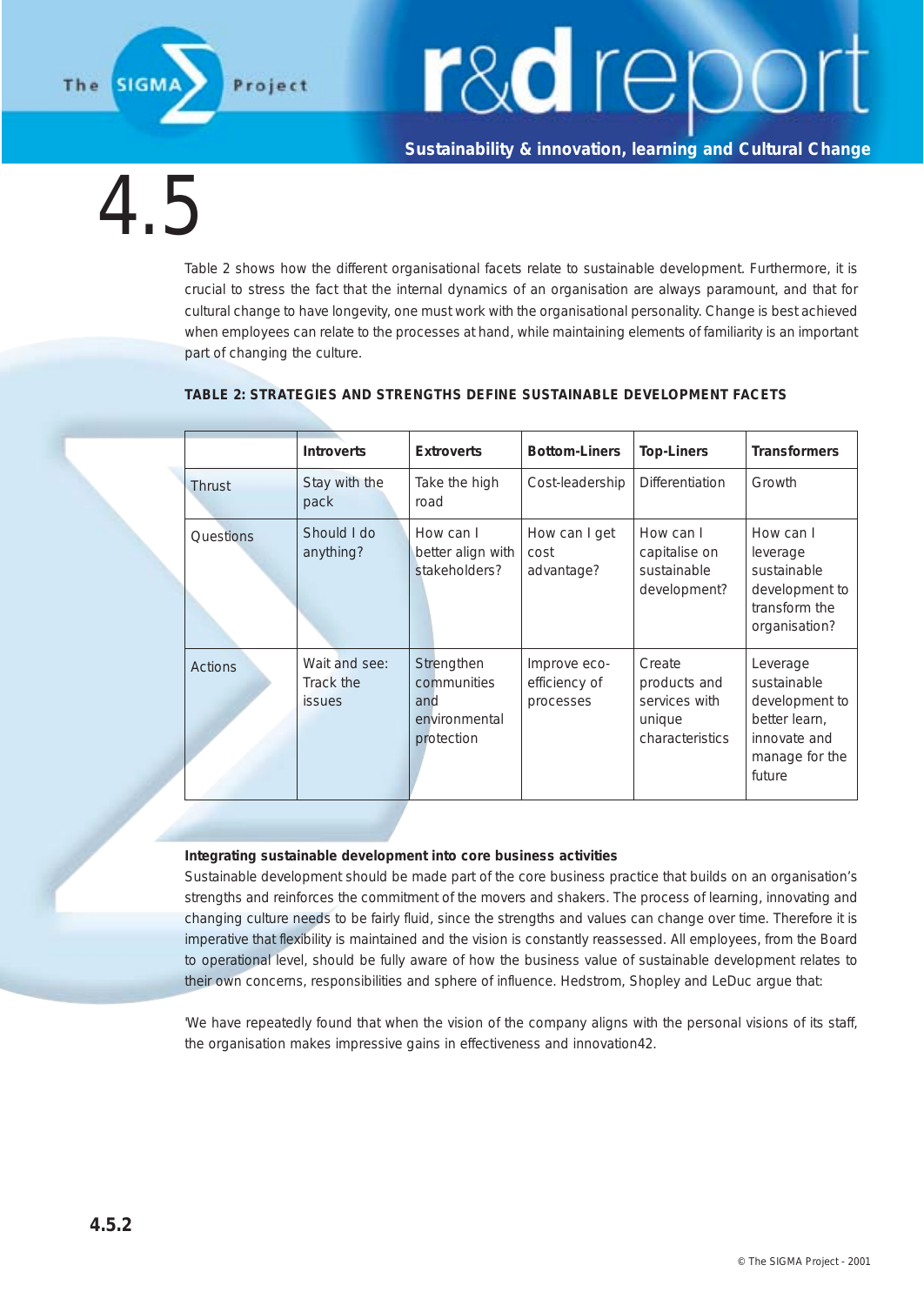The

# r&d repor

**Sustainability & innovation, learning and Cultural Change**

4.5

Table 2 shows how the different organisational facets relate to sustainable development. Furthermore, it is crucial to stress the fact that the internal dynamics of an organisation are always paramount, and that for cultural change to have longevity, one must work with the organisational personality. Change is best achieved when employees can relate to the processes at hand, while maintaining elements of familiarity is an important part of changing the culture.

|  |                  | <b>Introverts</b>                           | <b>Extroverts</b>                                               | <b>Bottom-Liners</b>                       | <b>Top-Liners</b>                                                    | <b>Transformers</b>                                                                                    |
|--|------------------|---------------------------------------------|-----------------------------------------------------------------|--------------------------------------------|----------------------------------------------------------------------|--------------------------------------------------------------------------------------------------------|
|  | Thrust           | Stay with the<br>pack                       | Take the high<br>road                                           | Cost-leadership                            | <b>Differentiation</b>                                               | Growth                                                                                                 |
|  | <b>Ouestions</b> | Should I do<br>anything?                    | How can I<br>better align with<br>stakeholders?                 | How can I get<br>cost<br>advantage?        | How can I<br>capitalise on<br>sustainable<br>development?            | How can I<br>leverage<br>sustainable<br>development to<br>transform the<br>organisation?               |
|  | <b>Actions</b>   | Wait and see:<br>Track the<br><i>issues</i> | Strengthen<br>communities<br>and<br>environmental<br>protection | Improve eco-<br>efficiency of<br>processes | Create<br>products and<br>services with<br>unique<br>characteristics | Leverage<br>sustainable<br>development to<br>better learn,<br>innovate and<br>manage for the<br>future |

#### **TABLE 2: STRATEGIES AND STRENGTHS DEFINE SUSTAINABLE DEVELOPMENT FACETS**

#### **Integrating sustainable development into core business activities**

Sustainable development should be made part of the core business practice that builds on an organisation's strengths and reinforces the commitment of the movers and shakers. The process of learning, innovating and changing culture needs to be fairly fluid, since the strengths and values can change over time. Therefore it is imperative that flexibility is maintained and the vision is constantly reassessed. All employees, from the Board to operational level, should be fully aware of how the business value of sustainable development relates to their own concerns, responsibilities and sphere of influence. Hedstrom, Shopley and LeDuc argue that:

'We have repeatedly found that when the vision of the company aligns with the personal visions of its staff, the organisation makes impressive gains in effectiveness and innovation42.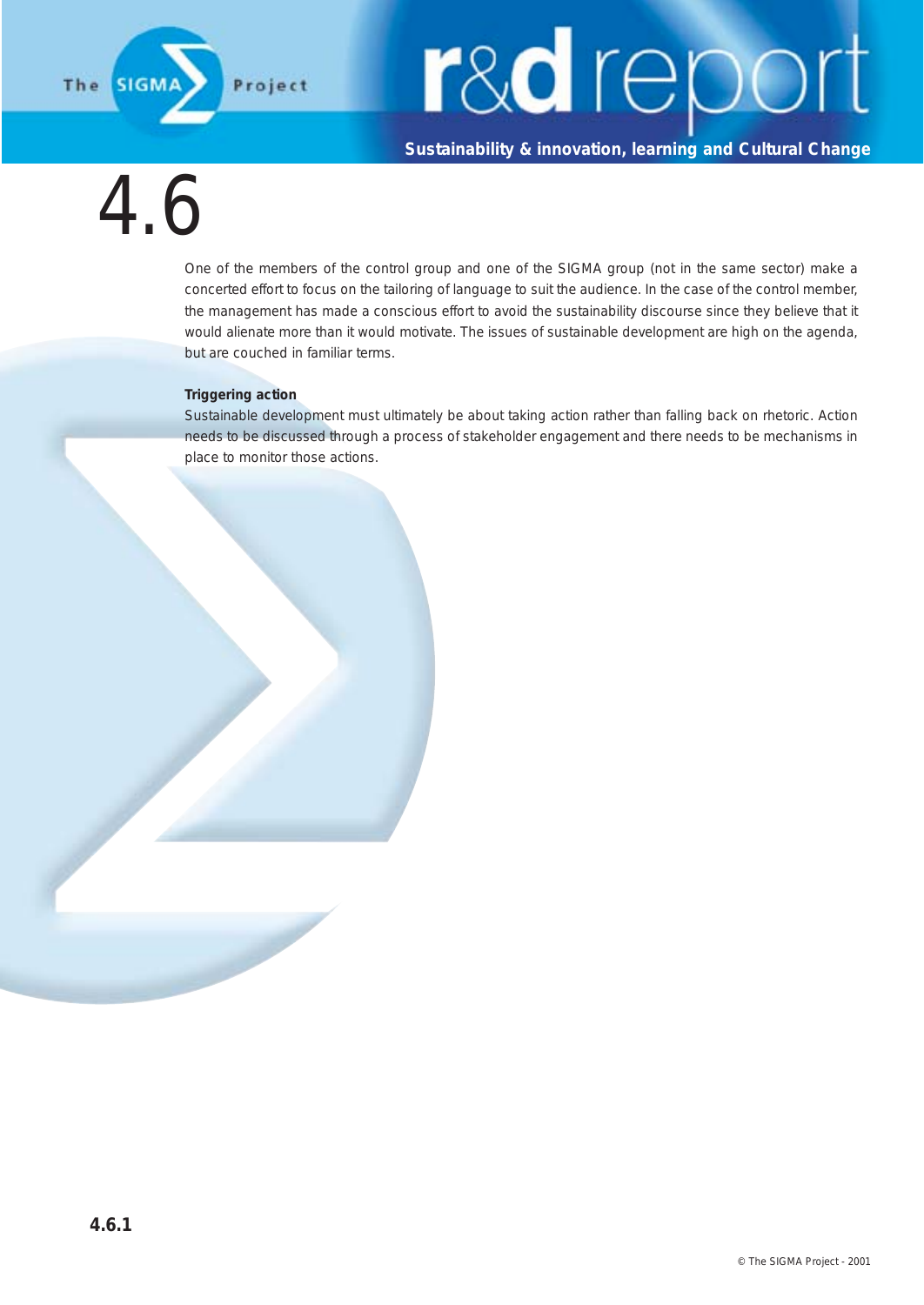

**Sustainability & innovation, learning and Cultural Change**

 $4f$ 

One of the members of the control group and one of the SIGMA group (not in the same sector) make a concerted effort to focus on the tailoring of language to suit the audience. In the case of the control member, the management has made a conscious effort to avoid the sustainability discourse since they believe that it would alienate more than it would motivate. The issues of sustainable development are high on the agenda, but are couched in familiar terms.

#### **Triggering action**

Sustainable development must ultimately be about taking action rather than falling back on rhetoric. Action needs to be discussed through a process of stakeholder engagement and there needs to be mechanisms in place to monitor those actions.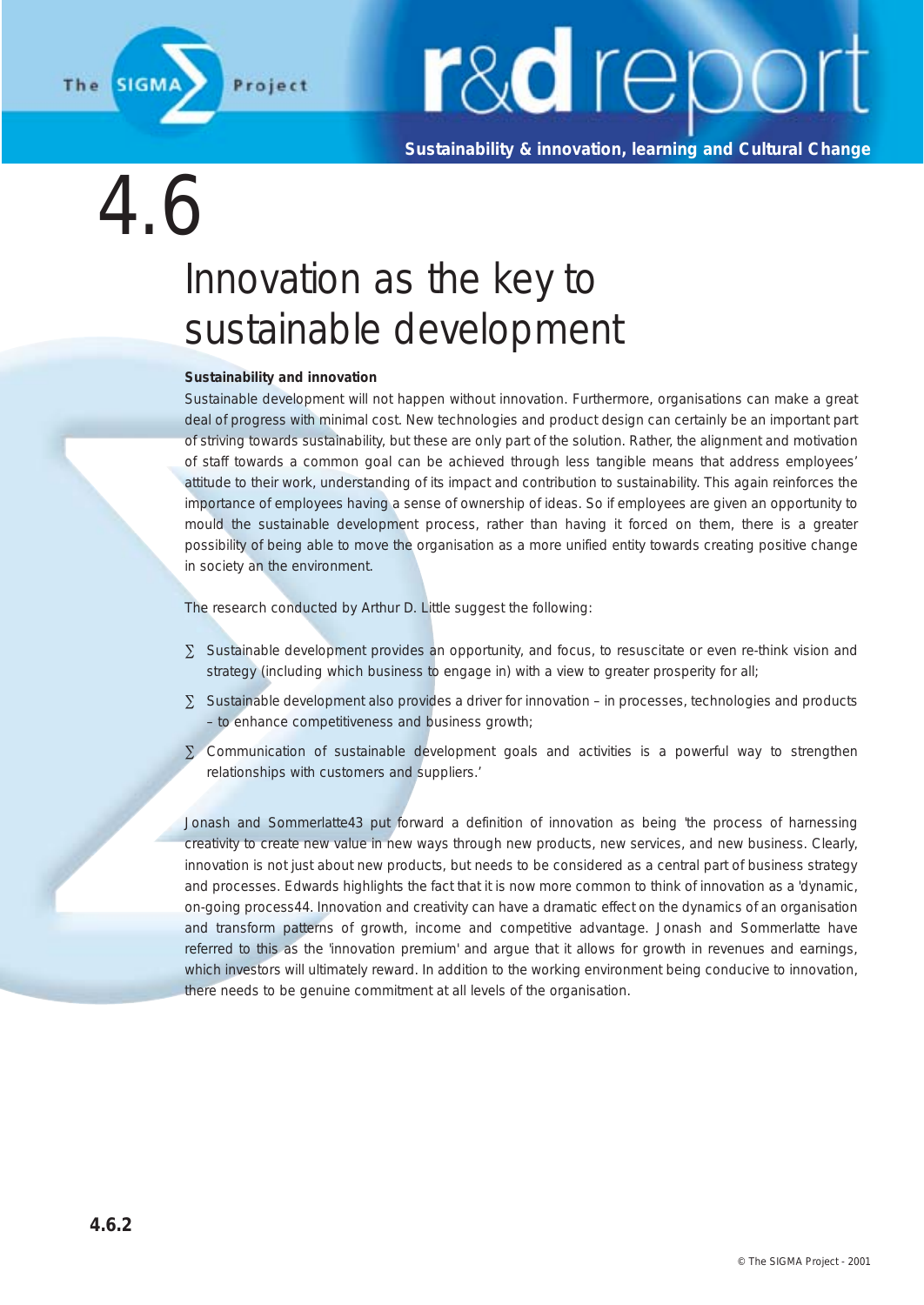

**Sustainability & innovation, learning and Cultural Change**

### 4.6

### Innovation as the key to sustainable development

#### **Sustainability and innovation**

Sustainable development will not happen without innovation. Furthermore, organisations can make a great deal of progress with minimal cost. New technologies and product design can certainly be an important part of striving towards sustainability, but these are only part of the solution. Rather, the alignment and motivation of staff towards a common goal can be achieved through less tangible means that address employees' attitude to their work, understanding of its impact and contribution to sustainability. This again reinforces the importance of employees having a sense of ownership of ideas. So if employees are given an opportunity to mould the sustainable development process, rather than having it forced on them, there is a greater possibility of being able to move the organisation as a more unified entity towards creating positive change in society an the environment.

The research conducted by Arthur D. Little suggest the following:

- ∑ Sustainable development provides an opportunity, and focus, to resuscitate or even re-think vision and strategy (including which business to engage in) with a view to greater prosperity for all;
- ∑ Sustainable development also provides a driver for innovation in processes, technologies and products – to enhance competitiveness and business growth;
- ∑ Communication of sustainable development goals and activities is a powerful way to strengthen relationships with customers and suppliers.'

Jonash and Sommerlatte43 put forward a definition of innovation as being 'the process of harnessing creativity to create new value in new ways through new products, new services, and new business. Clearly, innovation is not just about new products, but needs to be considered as a central part of business strategy and processes. Edwards highlights the fact that it is now more common to think of innovation as a 'dynamic, on-going process44. Innovation and creativity can have a dramatic effect on the dynamics of an organisation and transform patterns of growth, income and competitive advantage. Jonash and Sommerlatte have referred to this as the 'innovation premium' and argue that it allows for growth in revenues and earnings, which investors will ultimately reward. In addition to the working environment being conducive to innovation, there needs to be genuine commitment at all levels of the organisation.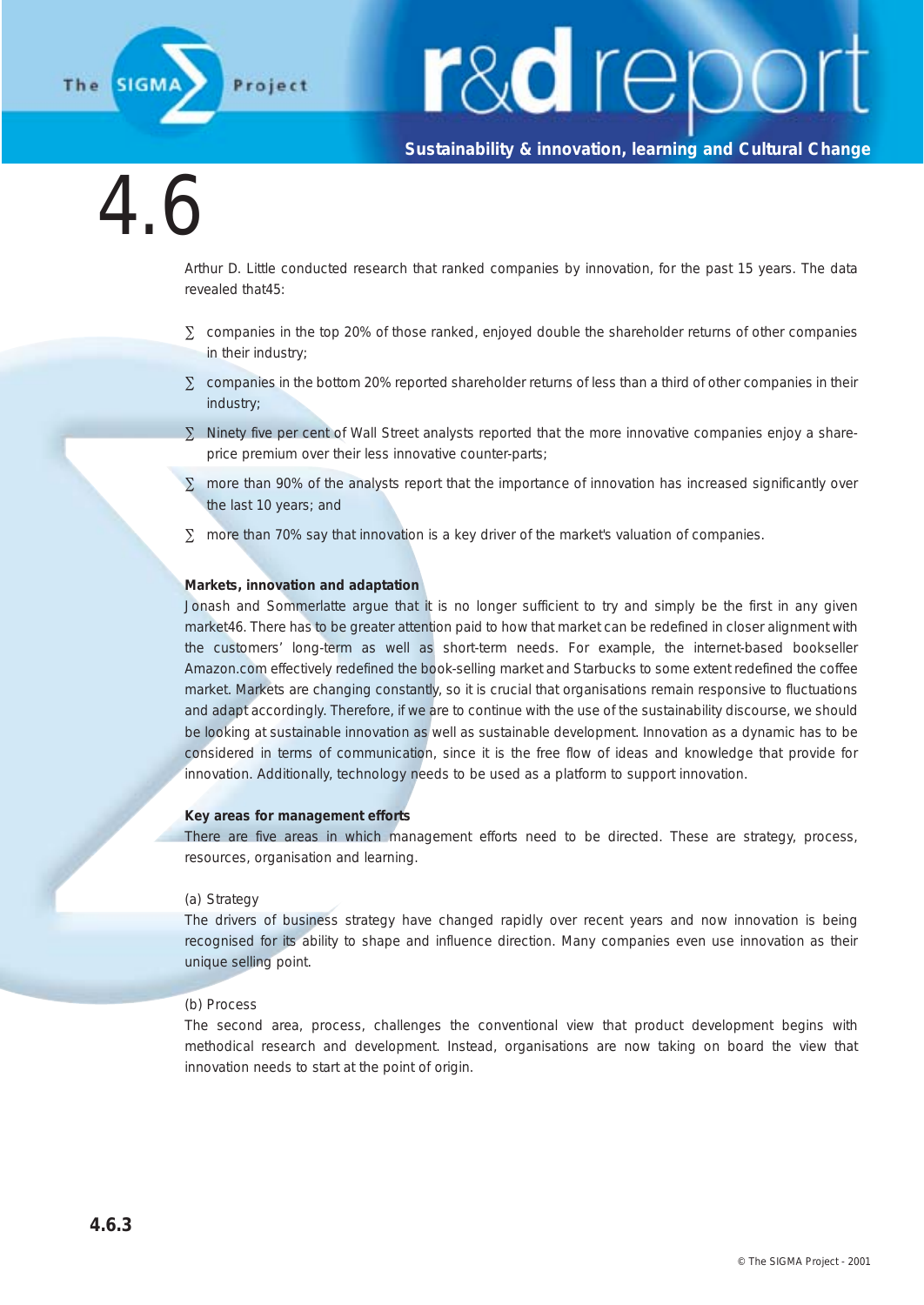

## r&a repo

#### **Sustainability & innovation, learning and Cultural Change**

### 4.6

Arthur D. Little conducted research that ranked companies by innovation, for the past 15 years. The data revealed that45:

- ∑ companies in the top 20% of those ranked, enjoyed double the shareholder returns of other companies in their industry;
- ∑ companies in the bottom 20% reported shareholder returns of less than a third of other companies in their industry;
- ∑ Ninety five per cent of Wall Street analysts reported that the more innovative companies enjoy a shareprice premium over their less innovative counter-parts;
- ∑ more than 90% of the analysts report that the importance of innovation has increased significantly over the last 10 years; and
- ∑ more than 70% say that innovation is a key driver of the market's valuation of companies.

#### **Markets, innovation and adaptation**

Jonash and Sommerlatte argue that it is no longer sufficient to try and simply be the first in any given market46. There has to be greater attention paid to how that market can be redefined in closer alignment with the customers' long-term as well as short-term needs. For example, the internet-based bookseller Amazon.com effectively redefined the book-selling market and Starbucks to some extent redefined the coffee market. Markets are changing constantly, so it is crucial that organisations remain responsive to fluctuations and adapt accordingly. Therefore, if we are to continue with the use of the sustainability discourse, we should be looking at sustainable innovation as well as sustainable development. Innovation as a dynamic has to be considered in terms of communication, since it is the free flow of ideas and knowledge that provide for innovation. Additionally, technology needs to be used as a platform to support innovation.

#### **Key areas for management efforts**

There are five areas in which management efforts need to be directed. These are strategy, process, resources, organisation and learning.

#### (a) Strategy

The drivers of business strategy have changed rapidly over recent years and now innovation is being recognised for its ability to shape and influence direction. Many companies even use innovation as their unique selling point.

#### (b) Process

The second area, process, challenges the conventional view that product development begins with methodical research and development. Instead, organisations are now taking on board the view that innovation needs to start at the point of origin.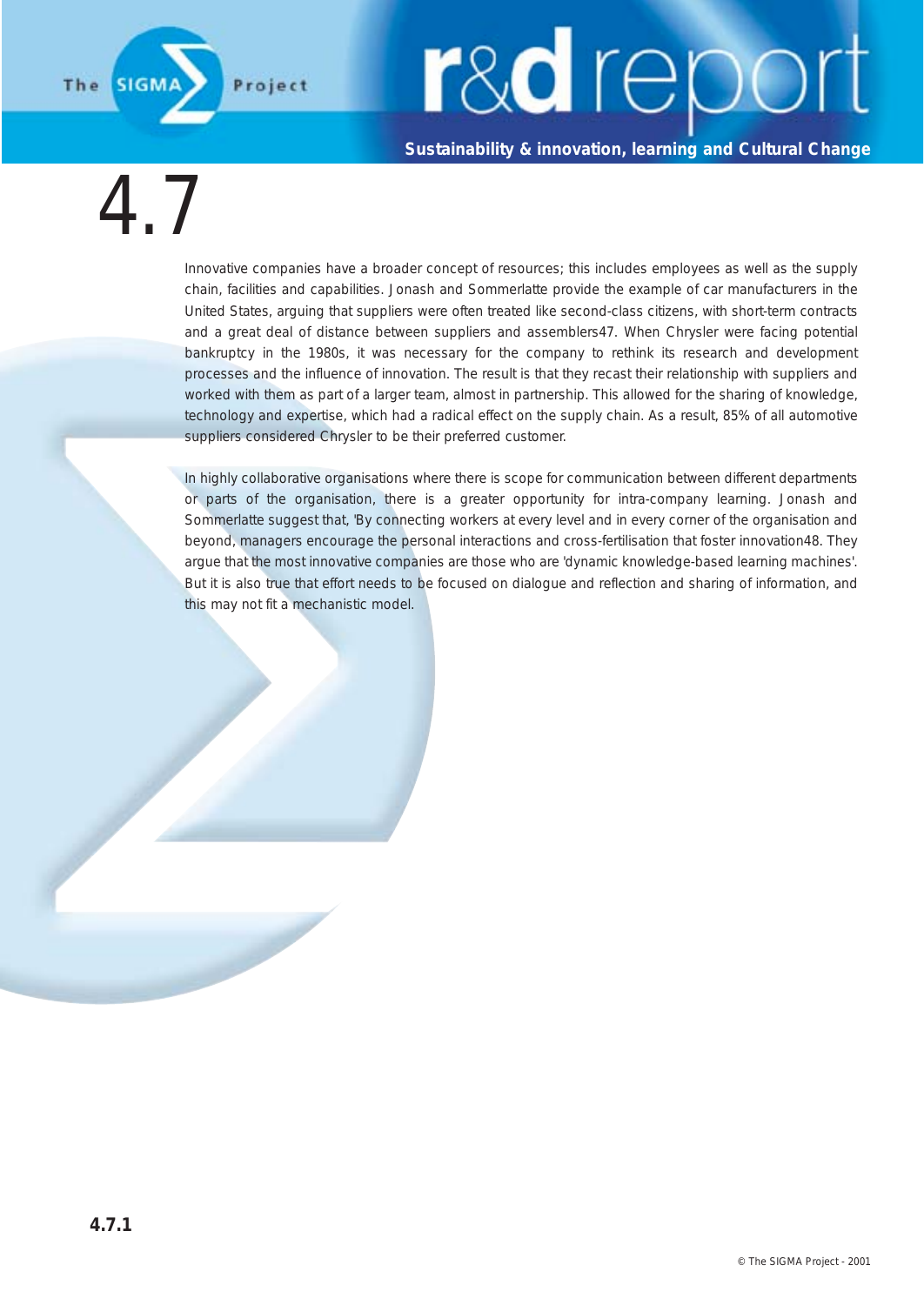#### **Sustainability & innovation, learning and Cultural Change**

4.7

**SIGM** 

Project

The

Innovative companies have a broader concept of resources; this includes employees as well as the supply chain, facilities and capabilities. Jonash and Sommerlatte provide the example of car manufacturers in the United States, arguing that suppliers were often treated like second-class citizens, with short-term contracts and a great deal of distance between suppliers and assemblers47. When Chrysler were facing potential bankruptcy in the 1980s, it was necessary for the company to rethink its research and development processes and the influence of innovation. The result is that they recast their relationship with suppliers and worked with them as part of a larger team, almost in partnership. This allowed for the sharing of knowledge, technology and expertise, which had a radical effect on the supply chain. As a result, 85% of all automotive suppliers considered Chrysler to be their preferred customer.

In highly collaborative organisations where there is scope for communication between different departments or parts of the organisation, there is a greater opportunity for intra-company learning. Jonash and Sommerlatte suggest that, 'By connecting workers at every level and in every corner of the organisation and beyond, managers encourage the personal interactions and cross-fertilisation that foster innovation48. They argue that the most innovative companies are those who are 'dynamic knowledge-based learning machines'. But it is also true that effort needs to be focused on dialogue and reflection and sharing of information, and this may not fit a mechanistic model.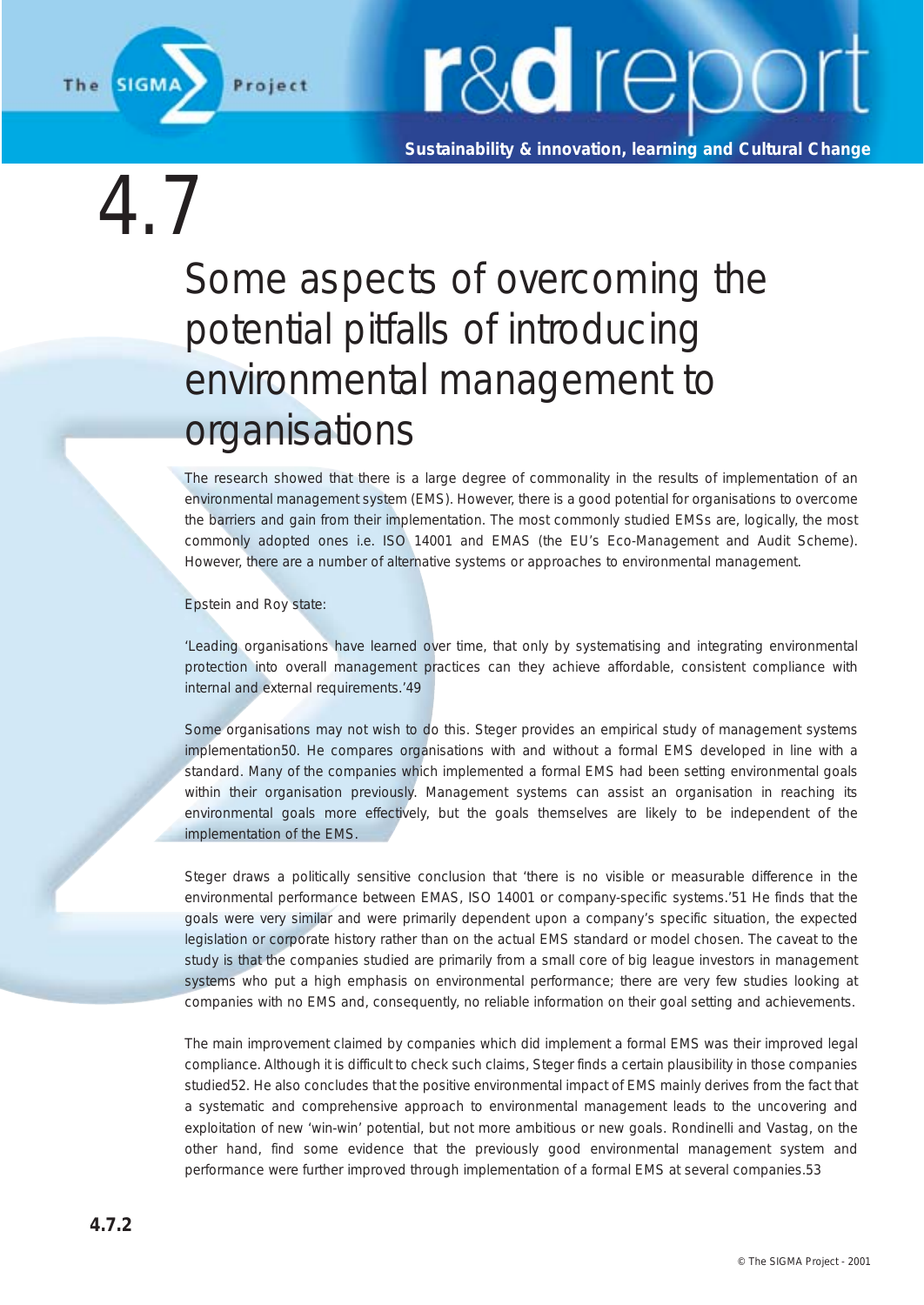

**Sustainability & innovation, learning and Cultural Change**

 $4.7$ 

### Some aspects of overcoming the potential pitfalls of introducing environmental management to organisations

The research showed that there is a large degree of commonality in the results of implementation of an environmental management system (EMS). However, there is a good potential for organisations to overcome the barriers and gain from their implementation. The most commonly studied EMSs are, logically, the most commonly adopted ones i.e. ISO 14001 and EMAS (the EU's Eco-Management and Audit Scheme). However, there are a number of alternative systems or approaches to environmental management.

Epstein and Roy state:

'Leading organisations have learned over time, that only by systematising and integrating environmental protection into overall management practices can they achieve affordable, consistent compliance with internal and external requirements.'49

Some organisations may not wish to do this. Steger provides an empirical study of management systems implementation50. He compares organisations with and without a formal EMS developed in line with a standard. Many of the companies which implemented a formal EMS had been setting environmental goals within their organisation previously. Management systems can assist an organisation in reaching its environmental goals more effectively, but the goals themselves are likely to be independent of the implementation of the EMS.

Steger draws a politically sensitive conclusion that 'there is no visible or measurable difference in the environmental performance between EMAS, ISO 14001 or company-specific systems.'51 He finds that the goals were very similar and were primarily dependent upon a company's specific situation, the expected legislation or corporate history rather than on the actual EMS standard or model chosen. The caveat to the study is that the companies studied are primarily from a small core of big league investors in management systems who put a high emphasis on environmental performance; there are very few studies looking at companies with no EMS and, consequently, no reliable information on their goal setting and achievements.

The main improvement claimed by companies which did implement a formal EMS was their improved legal compliance. Although it is difficult to check such claims, Steger finds a certain plausibility in those companies studied52. He also concludes that the positive environmental impact of EMS mainly derives from the fact that a systematic and comprehensive approach to environmental management leads to the uncovering and exploitation of new 'win-win' potential, but not more ambitious or new goals. Rondinelli and Vastag, on the other hand, find some evidence that the previously good environmental management system and performance were further improved through implementation of a formal EMS at several companies.53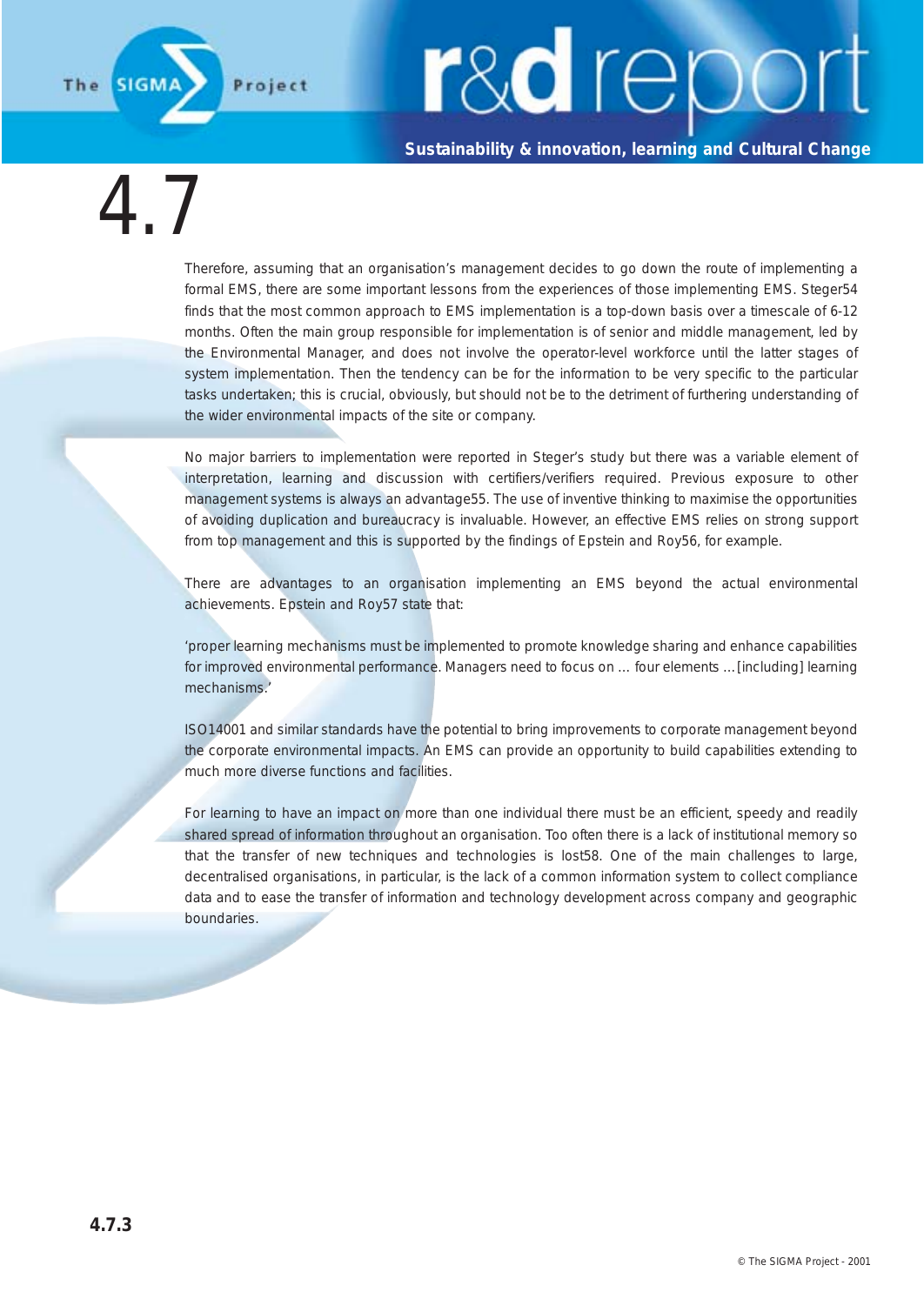**Sustainability & innovation, learning and Cultural Change**

4.7

Therefore, assuming that an organisation's management decides to go down the route of implementing a formal EMS, there are some important lessons from the experiences of those implementing EMS. Steger54 finds that the most common approach to EMS implementation is a top-down basis over a timescale of 6-12 months. Often the main group responsible for implementation is of senior and middle management, led by the Environmental Manager, and does not involve the operator-level workforce until the latter stages of system implementation. Then the tendency can be for the information to be very specific to the particular tasks undertaken; this is crucial, obviously, but should not be to the detriment of furthering understanding of the wider environmental impacts of the site or company.

No major barriers to implementation were reported in Steger's study but there was a variable element of interpretation, learning and discussion with certifiers/verifiers required. Previous exposure to other management systems is always an advantage55. The use of inventive thinking to maximise the opportunities of avoiding duplication and bureaucracy is invaluable. However, an effective EMS relies on strong support from top management and this is supported by the findings of Epstein and Roy56, for example.

There are advantages to an organisation implementing an EMS beyond the actual environmental achievements. Epstein and Roy57 state that:

'proper learning mechanisms must be implemented to promote knowledge sharing and enhance capabilities for improved environmental performance. Managers need to focus on … four elements …[including] learning mechanisms.'

ISO14001 and similar standards have the potential to bring improvements to corporate management beyond the corporate environmental impacts. An EMS can provide an opportunity to build capabilities extending to much more diverse functions and facilities.

For learning to have an impact on more than one individual there must be an efficient, speedy and readily shared spread of information throughout an organisation. Too often there is a lack of institutional memory so that the transfer of new techniques and technologies is lost58. One of the main challenges to large, decentralised organisations, in particular, is the lack of a common information system to collect compliance data and to ease the transfer of information and technology development across company and geographic boundaries.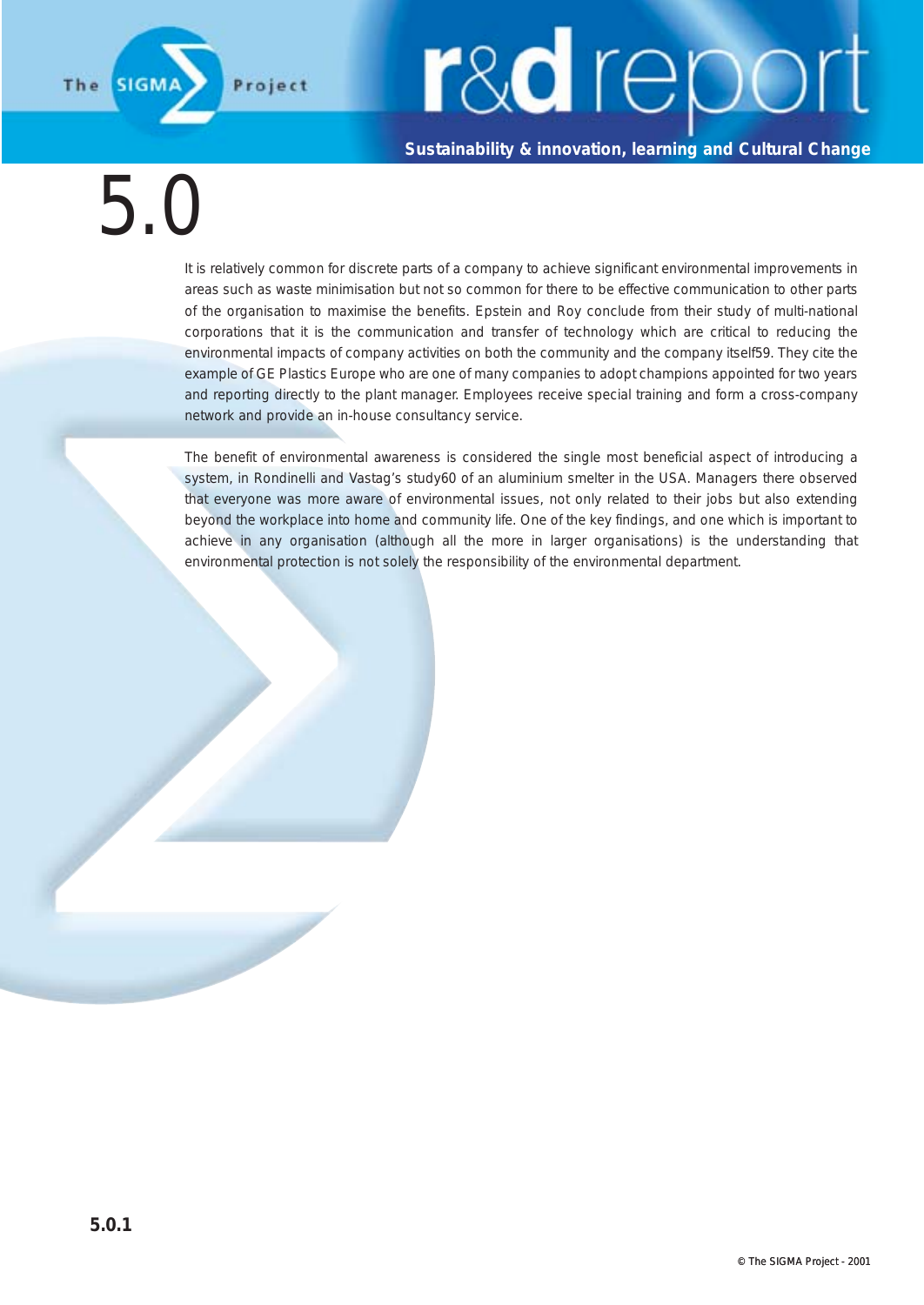**Sustainability & innovation, learning and Cultural Change**

5.0

**SIGM** 

Project

The

It is relatively common for discrete parts of a company to achieve significant environmental improvements in areas such as waste minimisation but not so common for there to be effective communication to other parts of the organisation to maximise the benefits. Epstein and Roy conclude from their study of multi-national corporations that it is the communication and transfer of technology which are critical to reducing the environmental impacts of company activities on both the community and the company itself59. They cite the example of GE Plastics Europe who are one of many companies to adopt champions appointed for two years and reporting directly to the plant manager. Employees receive special training and form a cross-company network and provide an in-house consultancy service.

The benefit of environmental awareness is considered the single most beneficial aspect of introducing a system, in Rondinelli and Vastag's study60 of an aluminium smelter in the USA. Managers there observed that everyone was more aware of environmental issues, not only related to their jobs but also extending beyond the workplace into home and community life. One of the key findings, and one which is important to achieve in any organisation (although all the more in larger organisations) is the understanding that environmental protection is not solely the responsibility of the environmental department.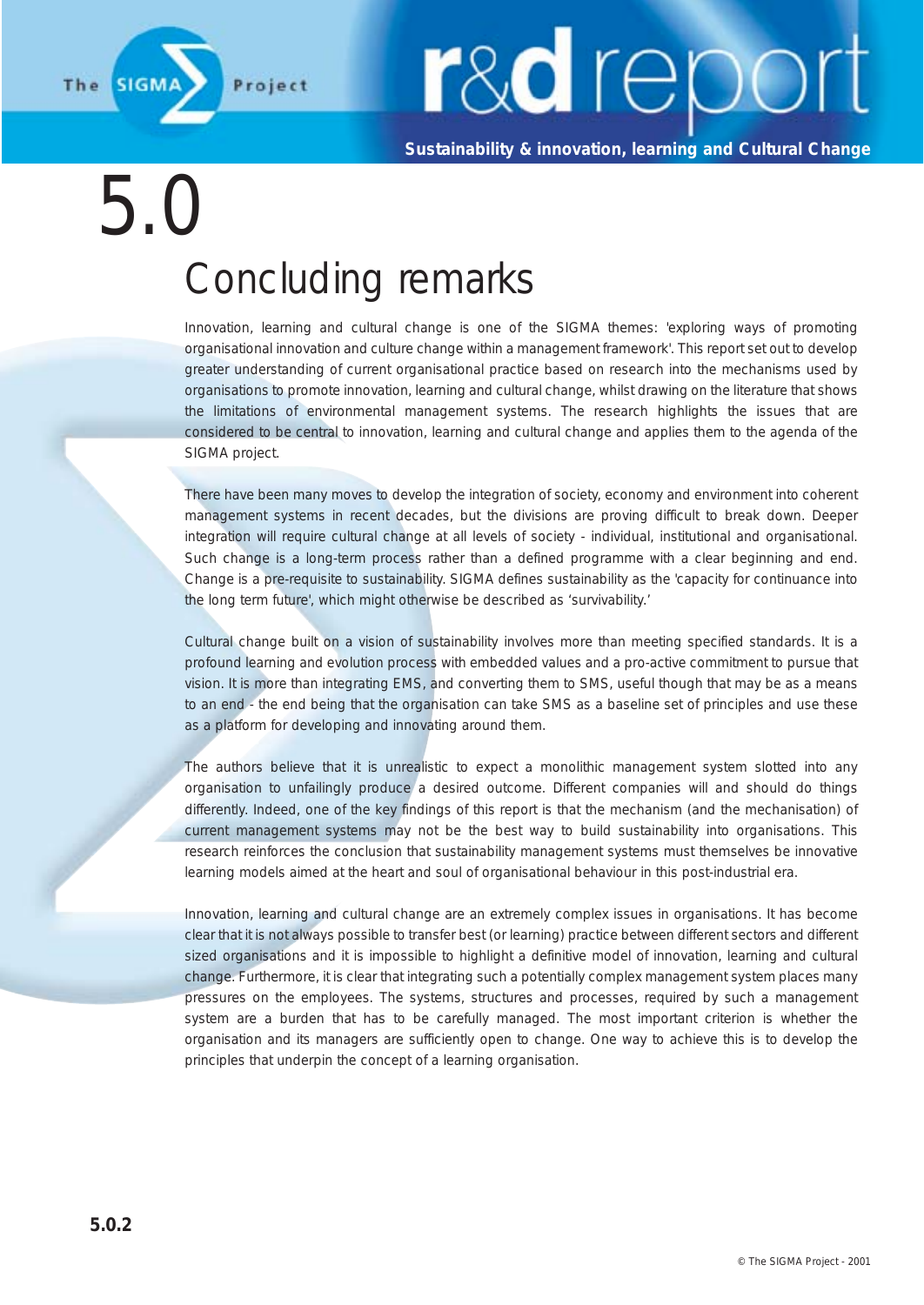

**Sustainability & innovation, learning and Cultural Change**

5.0

### Concluding remarks

Innovation, learning and cultural change is one of the SIGMA themes: 'exploring ways of promoting organisational innovation and culture change within a management framework'. This report set out to develop greater understanding of current organisational practice based on research into the mechanisms used by organisations to promote innovation, learning and cultural change, whilst drawing on the literature that shows the limitations of environmental management systems. The research highlights the issues that are considered to be central to innovation, learning and cultural change and applies them to the agenda of the SIGMA project.

There have been many moves to develop the integration of society, economy and environment into coherent management systems in recent decades, but the divisions are proving difficult to break down. Deeper integration will require cultural change at all levels of society - individual, institutional and organisational. Such change is a long-term process rather than a defined programme with a clear beginning and end. Change is a pre-requisite to sustainability. SIGMA defines sustainability as the 'capacity for continuance into the long term future', which might otherwise be described as 'survivability.'

Cultural change built on a vision of sustainability involves more than meeting specified standards. It is a profound learning and evolution process with embedded values and a pro-active commitment to pursue that vision. It is more than integrating EMS, and converting them to SMS, useful though that may be as a means to an end - the end being that the organisation can take SMS as a baseline set of principles and use these as a platform for developing and innovating around them.

The authors believe that it is unrealistic to expect a monolithic management system slotted into any organisation to unfailingly produce a desired outcome. Different companies will and should do things differently. Indeed, one of the key findings of this report is that the mechanism (and the mechanisation) of current management systems may not be the best way to build sustainability into organisations. This research reinforces the conclusion that sustainability management systems must themselves be innovative learning models aimed at the heart and soul of organisational behaviour in this post-industrial era.

Innovation, learning and cultural change are an extremely complex issues in organisations. It has become clear that it is not always possible to transfer best (or learning) practice between different sectors and different sized organisations and it is impossible to highlight a definitive model of innovation, learning and cultural change. Furthermore, it is clear that integrating such a potentially complex management system places many pressures on the employees. The systems, structures and processes, required by such a management system are a burden that has to be carefully managed. The most important criterion is whether the organisation and its managers are sufficiently open to change. One way to achieve this is to develop the principles that underpin the concept of a learning organisation.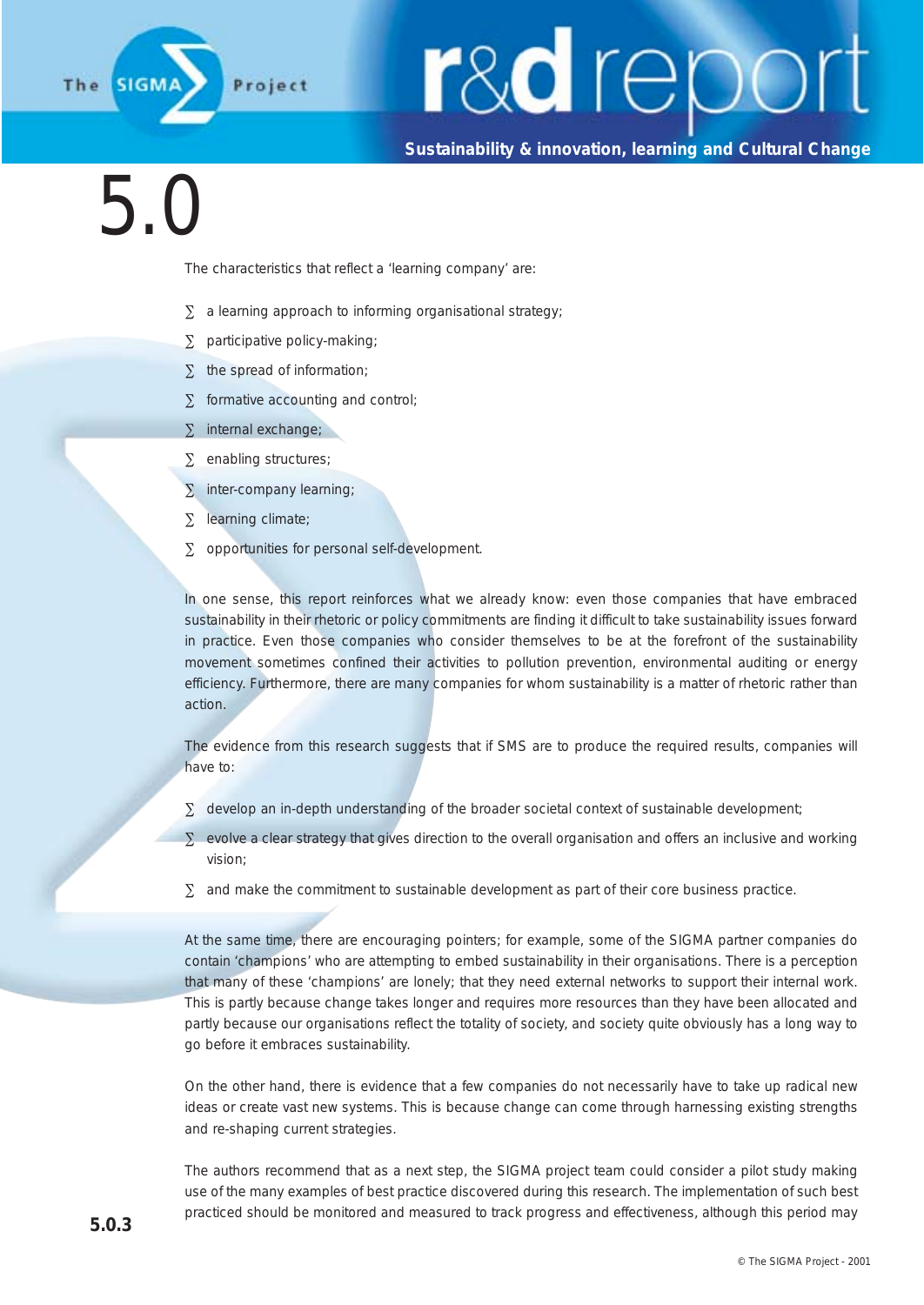

#### **Sustainability & innovation, learning and Cultural Change**

### 5.0

The characteristics that reflect a 'learning company' are:

- ∑ a learning approach to informing organisational strategy;
- ∑ participative policy-making;
- ∑ the spread of information;
- ∑ formative accounting and control;
- ∑ internal exchange;
- ∑ enabling structures;
- ∑ inter-company learning;
- ∑ learning climate;
- ∑ opportunities for personal self-development.

In one sense, this report reinforces what we already know: even those companies that have embraced sustainability in their rhetoric or policy commitments are finding it difficult to take sustainability issues forward in practice. Even those companies who consider themselves to be at the forefront of the sustainability movement sometimes confined their activities to pollution prevention, environmental auditing or energy efficiency. Furthermore, there are many companies for whom sustainability is a matter of rhetoric rather than action.

The evidence from this research suggests that if SMS are to produce the required results, companies will have to:

- ∑ develop an in-depth understanding of the broader societal context of sustainable development;
- ∑ evolve a clear strategy that gives direction to the overall organisation and offers an inclusive and working vision;
- $\Sigma$  and make the commitment to sustainable development as part of their core business practice.

At the same time, there are encouraging pointers; for example, some of the SIGMA partner companies do contain 'champions' who are attempting to embed sustainability in their organisations. There is a perception that many of these 'champions' are lonely; that they need external networks to support their internal work. This is partly because change takes longer and requires more resources than they have been allocated and partly because our organisations reflect the totality of society, and society quite obviously has a long way to go before it embraces sustainability.

On the other hand, there is evidence that a few companies do not necessarily have to take up radical new ideas or create vast new systems. This is because change can come through harnessing existing strengths and re-shaping current strategies.

The authors recommend that as a next step, the SIGMA project team could consider a pilot study making use of the many examples of best practice discovered during this research. The implementation of such best practiced should be monitored and measured to track progress and effectiveness, although this period may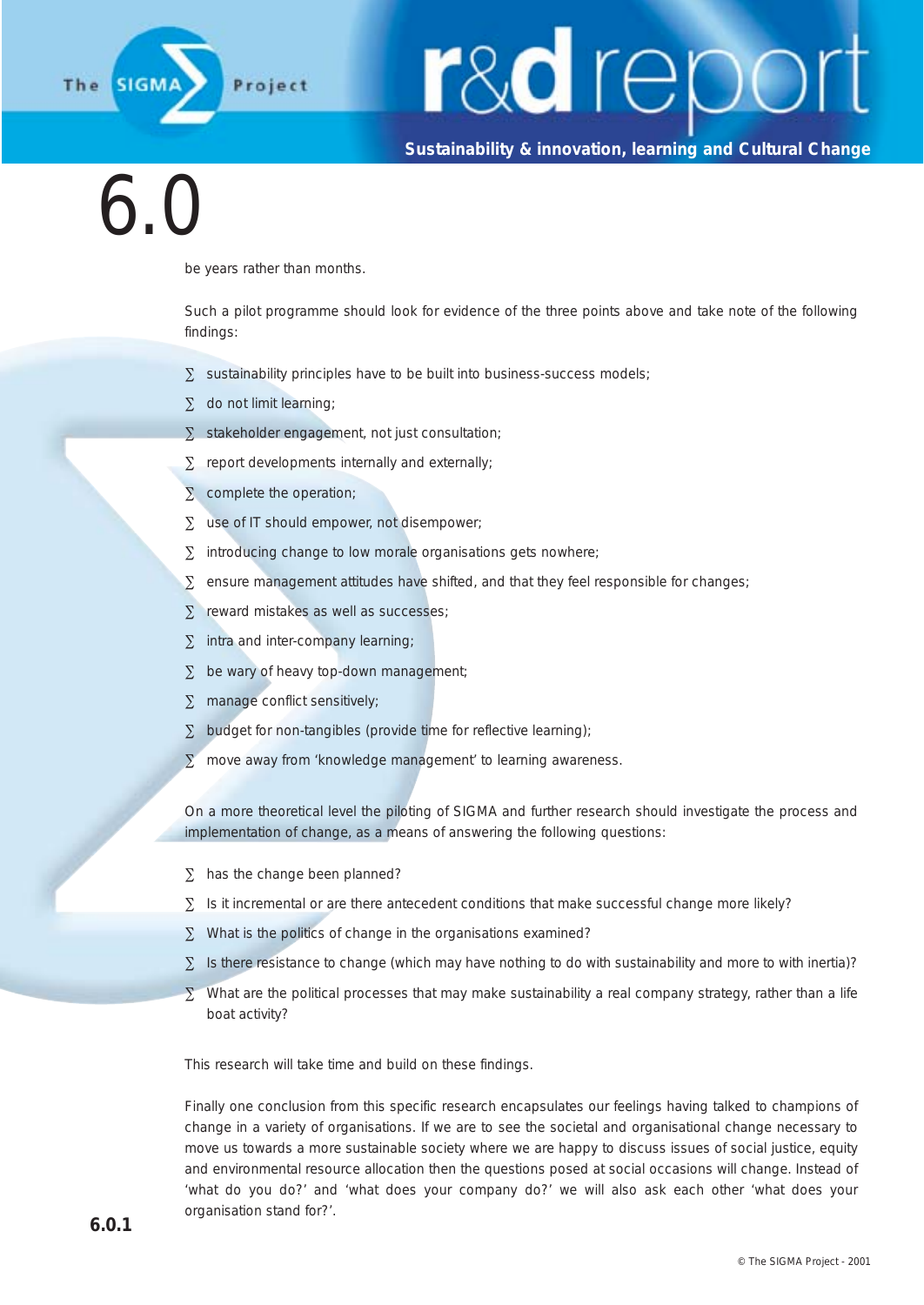

#### **Sustainability & innovation, learning and Cultural Change**

6.0

be years rather than months.

Such a pilot programme should look for evidence of the three points above and take note of the following findings:

- ∑ sustainability principles have to be built into business-success models;
- ∑ do not limit learning;
- ∑ stakeholder engagement, not just consultation;
- ∑ report developments internally and externally;
- ∑ complete the operation;
- ∑ use of IT should empower, not disempower:
- ∑ introducing change to low morale organisations gets nowhere;
- ∑ ensure management attitudes have shifted, and that they feel responsible for changes;
- ∑ reward mistakes as well as successes;
- ∑ intra and inter-company learning;
- ∑ be wary of heavy top-down management;
- ∑ manage conflict sensitively;
- ∑ budget for non-tangibles (provide time for reflective learning);
- ∑ move away from 'knowledge management' to learning awareness.

On a more theoretical level the piloting of SIGMA and further research should investigate the process and implementation of change, as a means of answering the following questions:

- ∑ has the change been planned?
- ∑ Is it incremental or are there antecedent conditions that make successful change more likely?
- ∑ What is the politics of change in the organisations examined?
- ∑ Is there resistance to change (which may have nothing to do with sustainability and more to with inertia)?
- $\Sigma$  What are the political processes that may make sustainability a real company strategy, rather than a life boat activity?

This research will take time and build on these findings.

Finally one conclusion from this specific research encapsulates our feelings having talked to champions of change in a variety of organisations. If we are to see the societal and organisational change necessary to move us towards a more sustainable society where we are happy to discuss issues of social justice, equity and environmental resource allocation then the questions posed at social occasions will change. Instead of 'what do you do?' and 'what does your company do?' we will also ask each other 'what does your organisation stand for?'.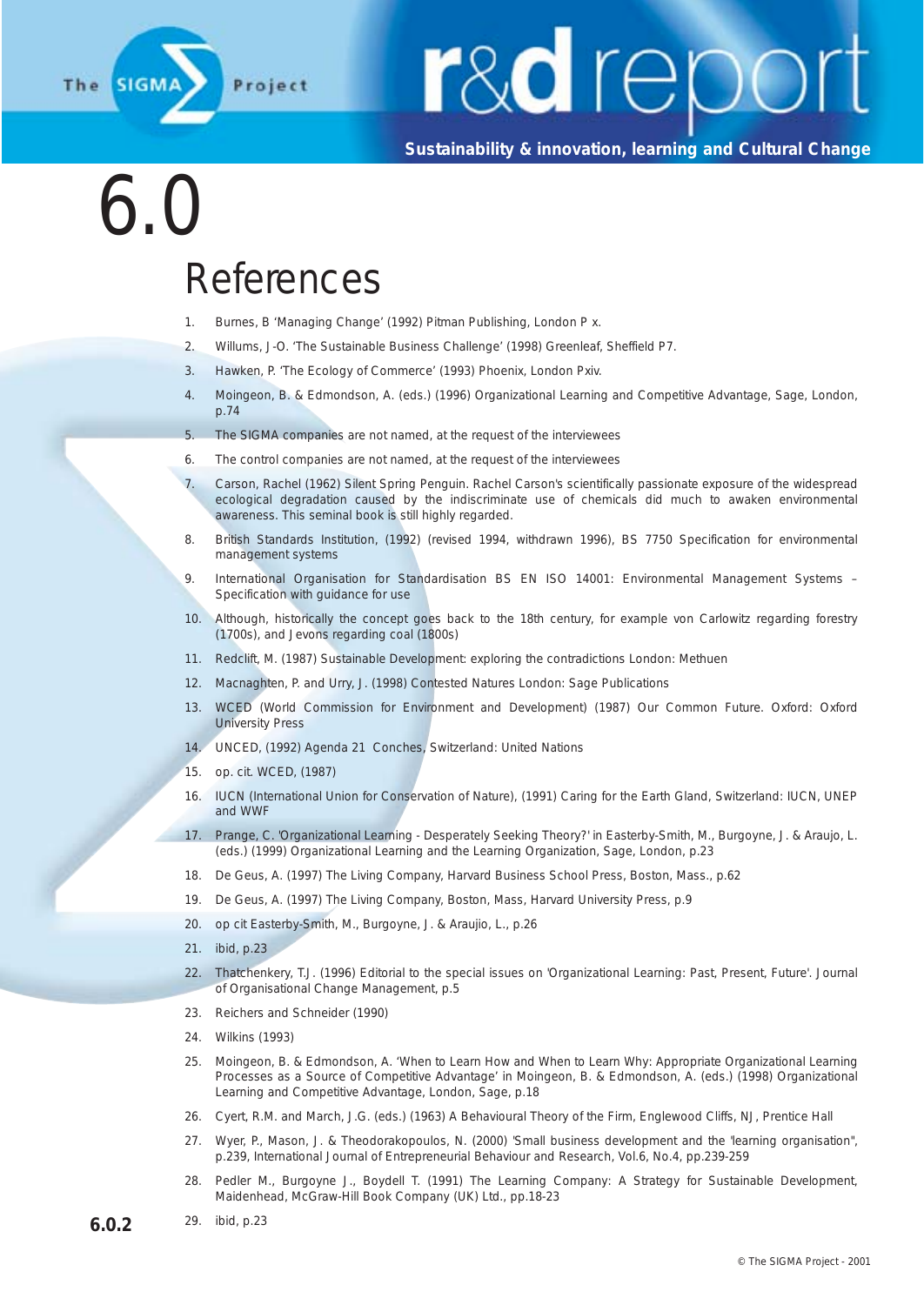

**Sustainability & innovation, learning and Cultural Change**

### 6.0

#### References

- 1. Burnes, B 'Managing Change' (1992) Pitman Publishing, London P x.
- 2. Willums, J-O. 'The Sustainable Business Challenge' (1998) Greenleaf, Sheffield P7.
- 3. Hawken, P. 'The Ecology of Commerce' (1993) Phoenix, London Pxiv.
- 4. Moingeon, B. & Edmondson, A. (eds.) (1996) Organizational Learning and Competitive Advantage, Sage, London, p.74
- 5. The SIGMA companies are not named, at the request of the interviewees
- 6. The control companies are not named, at the request of the interviewees
- 7. Carson, Rachel (1962) Silent Spring Penguin. Rachel Carson's scientifically passionate exposure of the widespread ecological degradation caused by the indiscriminate use of chemicals did much to awaken environmental awareness. This seminal book is still highly regarded.
- 8. British Standards Institution, (1992) (revised 1994, withdrawn 1996), BS 7750 Specification for environmental management systems
- 9. International Organisation for Standardisation BS EN ISO 14001: Environmental Management Systems Specification with guidance for use
- 10. Although, historically the concept goes back to the 18th century, for example von Carlowitz regarding forestry (1700s), and Jevons regarding coal (1800s)
- 11. Redclift, M. (1987) Sustainable Development: exploring the contradictions London: Methuen
- 12. Macnaghten, P. and Urry, J. (1998) Contested Natures London: Sage Publications
- 13. WCED (World Commission for Environment and Development) (1987) Our Common Future. Oxford: Oxford University Press
- 14. UNCED, (1992) Agenda 21 Conches, Switzerland: United Nations
- 15. op. cit. WCED, (1987)
- 16. IUCN (International Union for Conservation of Nature), (1991) Caring for the Earth Gland, Switzerland: IUCN, UNEP and WWF
- 17. Prange, C. 'Organizational Learning Desperately Seeking Theory?' in Easterby-Smith, M., Burgoyne, J. & Araujo, L. (eds.) (1999) Organizational Learning and the Learning Organization, Sage, London, p.23
- 18. De Geus, A. (1997) The Living Company, Harvard Business School Press, Boston, Mass., p.62
- 19. De Geus, A. (1997) The Living Company, Boston, Mass, Harvard University Press, p.9
- 20. op cit Easterby-Smith, M., Burgoyne, J. & Araujio, L., p.26
- 21. ibid, p.23
- 22. Thatchenkery, T.J. (1996) Editorial to the special issues on 'Organizational Learning: Past, Present, Future'. Journal of Organisational Change Management, p.5
- 23. Reichers and Schneider (1990)
- 24. Wilkins (1993)
- 25. Moingeon, B. & Edmondson, A. 'When to Learn How and When to Learn Why: Appropriate Organizational Learning Processes as a Source of Competitive Advantage' in Moingeon, B. & Edmondson, A. (eds.) (1998) Organizational Learning and Competitive Advantage, London, Sage, p.18
- 26. Cyert, R.M. and March, J.G. (eds.) (1963) A Behavioural Theory of the Firm, Englewood Cliffs, NJ, Prentice Hall
- 27. Wyer, P., Mason, J. & Theodorakopoulos, N. (2000) 'Small business development and the 'learning organisation'', p.239, International Journal of Entrepreneurial Behaviour and Research, Vol.6, No.4, pp.239-259
- 28. Pedler M., Burgoyne J., Boydell T. (1991) The Learning Company: A Strategy for Sustainable Development, Maidenhead, McGraw-Hill Book Company (UK) Ltd., pp.18-23
- **6.0.2** 29. ibid, p.23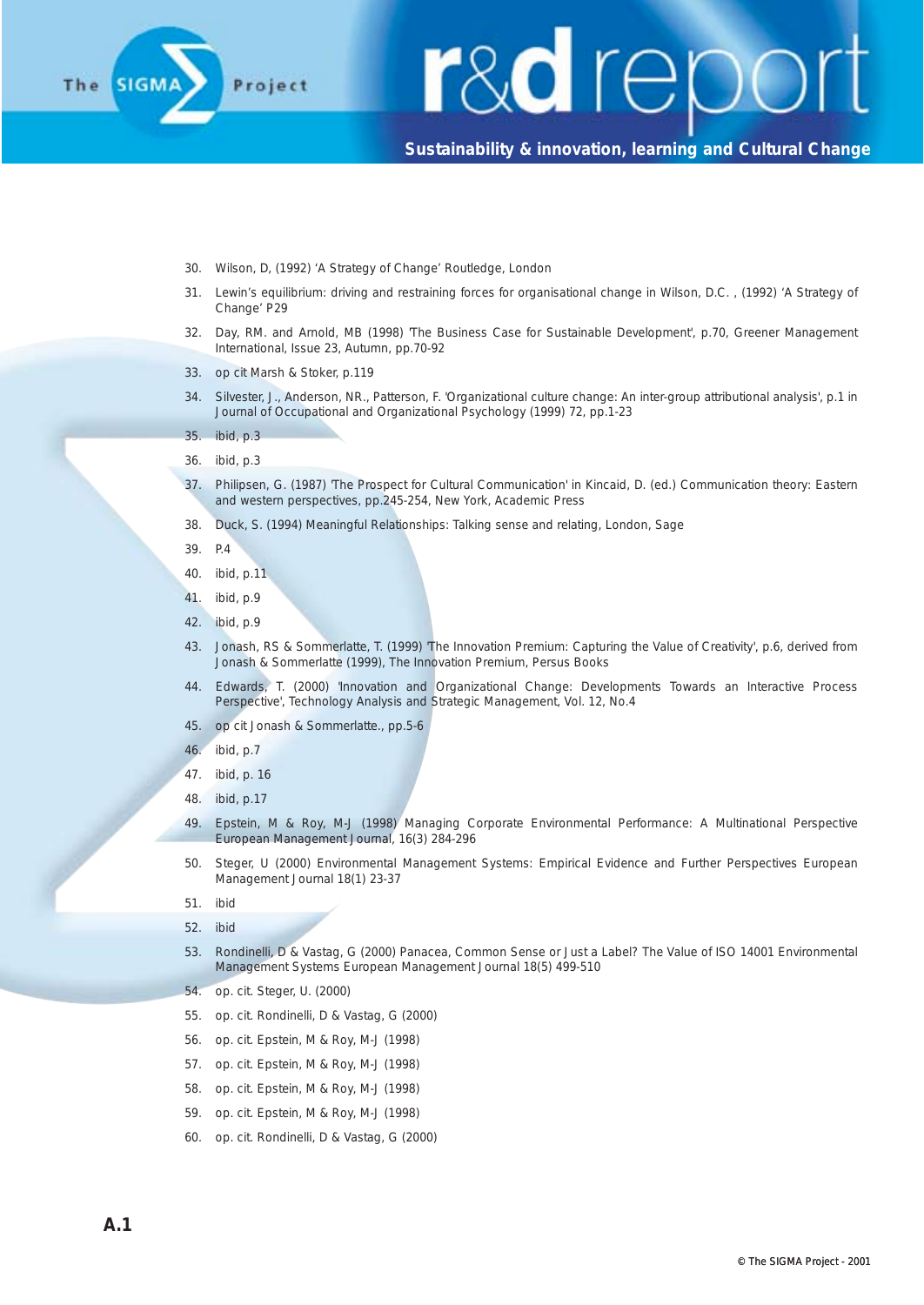

- 30. Wilson, D, (1992) 'A Strategy of Change' Routledge, London
- 31. Lewin's equilibrium: driving and restraining forces for organisational change in Wilson, D.C. , (1992) 'A Strategy of Change' P29
- 32. Day, RM. and Arnold, MB (1998) 'The Business Case for Sustainable Development', p.70, Greener Management International, Issue 23, Autumn, pp.70-92
- 33. op cit Marsh & Stoker, p.119
- 34. Silvester, J., Anderson, NR., Patterson, F. 'Organizational culture change: An inter-group attributional analysis', p.1 in Journal of Occupational and Organizational Psychology (1999) 72, pp.1-23
- 35. ibid, p.3
- 36. ibid, p.3
- 37. Philipsen, G. (1987) 'The Prospect for Cultural Communication' in Kincaid, D. (ed.) Communication theory: Eastern and western perspectives, pp.245-254, New York, Academic Press
- 38. Duck, S. (1994) Meaningful Relationships: Talking sense and relating, London, Sage
- 39. P.4
- 40. ibid, p.11
- 41. ibid, p.9
- 42. ibid, p.9
- 43. Jonash, RS & Sommerlatte, T. (1999) 'The Innovation Premium: Capturing the Value of Creativity', p.6, derived from Jonash & Sommerlatte (1999), The Innovation Premium, Persus Books
- 44. Edwards, T. (2000) 'Innovation and Organizational Change: Developments Towards an Interactive Process Perspective', Technology Analysis and Strategic Management, Vol. 12, No.4
- 45. op cit Jonash & Sommerlatte., pp.5-6
- 46. ibid, p.7
- 47. ibid, p. 16
- 48. ibid, p.17
- 49. Epstein, M & Roy, M-J (1998) Managing Corporate Environmental Performance: A Multinational Perspective European Management Journal, 16(3) 284-296
- 50. Steger, U (2000) Environmental Management Systems: Empirical Evidence and Further Perspectives European Management Journal 18(1) 23-37
- 51. ibid
- 52. ibid
- 53. Rondinelli, D & Vastag, G (2000) Panacea, Common Sense or Just a Label? The Value of ISO 14001 Environmental Management Systems European Management Journal 18(5) 499-510
- 54. op. cit. Steger, U. (2000)
- 55. op. cit. Rondinelli, D & Vastag, G (2000)
- 56. op. cit. Epstein, M & Roy, M-J (1998)
- 57. op. cit. Epstein, M & Roy, M-J (1998)
- 58. op. cit. Epstein, M & Roy, M-J (1998)
- 59. op. cit. Epstein, M & Roy, M-J (1998)
- 60. op. cit. Rondinelli, D & Vastag, G (2000)